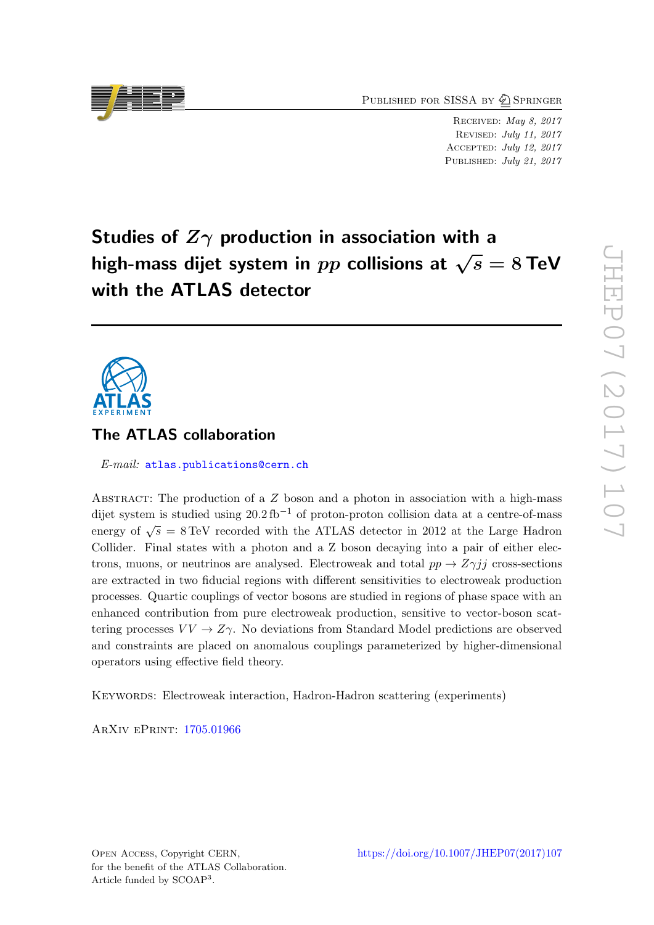PUBLISHED FOR SISSA BY 2 SPRINGER

Received: May 8, 2017 Revised: July 11, 2017 Accepted: July 12, 2017 PUBLISHED: July 21, 2017

Studies of  $Z\gamma$  production in association with a high-mass dijet system in pp collisions at  $\sqrt{s} = 8$  TeV with the ATLAS detector

# The ATLAS collaboration

E-mail: [atlas.publications@cern.ch](mailto:atlas.publications@cern.ch)

ABSTRACT: The production of a  $Z$  boson and a photon in association with a high-mass dijet system is studied using  $20.2 \text{ fb}^{-1}$  of proton-proton collision data at a centre-of-mass energy of  $\sqrt{s} = 8 \text{ TeV}$  recorded with the ATLAS detector in 2012 at the Large Hadron Collider. Final states with a photon and a Z boson decaying into a pair of either electrons, muons, or neutrinos are analysed. Electroweak and total  $pp \rightarrow Z\gamma jj$  cross-sections are extracted in two fiducial regions with different sensitivities to electroweak production processes. Quartic couplings of vector bosons are studied in regions of phase space with an enhanced contribution from pure electroweak production, sensitive to vector-boson scattering processes  $VV \rightarrow Z\gamma$ . No deviations from Standard Model predictions are observed and constraints are placed on anomalous couplings parameterized by higher-dimensional operators using effective field theory.

Keywords: Electroweak interaction, Hadron-Hadron scattering (experiments)

ArXiv ePrint: [1705.01966](https://arxiv.org/abs/1705.01966)

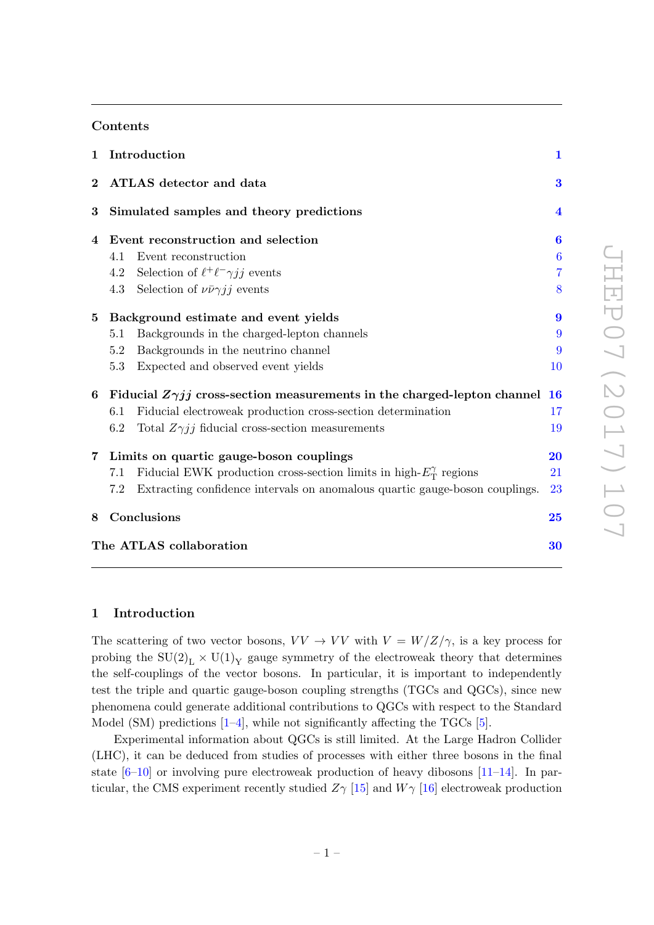## Contents

|             |     | 1 Introduction                                                                    | $\mathbf{1}$     |
|-------------|-----|-----------------------------------------------------------------------------------|------------------|
| $\bf{2}$    |     | ATLAS detector and data                                                           | 3                |
| $\bf{3}$    |     | Simulated samples and theory predictions                                          | $\boldsymbol{4}$ |
| 4           |     | Event reconstruction and selection                                                | $\bf{6}$         |
|             | 4.1 | Event reconstruction                                                              | $\boldsymbol{6}$ |
|             | 4.2 | Selection of $\ell^+\ell^-\gamma jj$ events                                       | 7                |
|             | 4.3 | Selection of $\nu \bar{\nu} \gamma j j$ events                                    | 8                |
| $5^{\circ}$ |     | Background estimate and event yields                                              | 9                |
|             | 5.1 | Backgrounds in the charged-lepton channels                                        | 9                |
|             | 5.2 | Backgrounds in the neutrino channel                                               | 9                |
|             | 5.3 | Expected and observed event yields                                                | 10               |
| 6           |     | Fiducial $Z\gamma jj$ cross-section measurements in the charged-lepton channel 16 |                  |
|             | 6.1 | Fiducial electroweak production cross-section determination                       | 17               |
|             | 6.2 | Total $Z\gamma jj$ fiducial cross-section measurements                            | 19               |
|             |     | 7 Limits on quartic gauge-boson couplings                                         | 20               |
|             | 7.1 | Fiducial EWK production cross-section limits in high- $E_T^{\gamma}$ regions      | 21               |
|             | 7.2 | Extracting confidence intervals on anomalous quartic gauge-boson couplings.       | 23               |
| 8           |     | Conclusions                                                                       | 25               |
|             |     | The ATLAS collaboration                                                           | 30               |

#### <span id="page-1-0"></span>1 Introduction

The scattering of two vector bosons,  $VV \to VV$  with  $V = W/Z/\gamma$ , is a key process for probing the  $SU(2)_L \times U(1)_Y$  gauge symmetry of the electroweak theory that determines the self-couplings of the vector bosons. In particular, it is important to independently test the triple and quartic gauge-boson coupling strengths (TGCs and QGCs), since new phenomena could generate additional contributions to QGCs with respect to the Standard Model (SM) predictions  $[1-4]$  $[1-4]$ , while not significantly affecting the TGCs  $[5]$ .

Experimental information about QGCs is still limited. At the Large Hadron Collider (LHC), it can be deduced from studies of processes with either three bosons in the final state  $[6–10]$  $[6–10]$  or involving pure electroweak production of heavy dibosons  $[11–14]$  $[11–14]$ . In particular, the CMS experiment recently studied  $Z_{\gamma}$  [\[15\]](#page-27-7) and  $W_{\gamma}$  [\[16\]](#page-27-8) electroweak production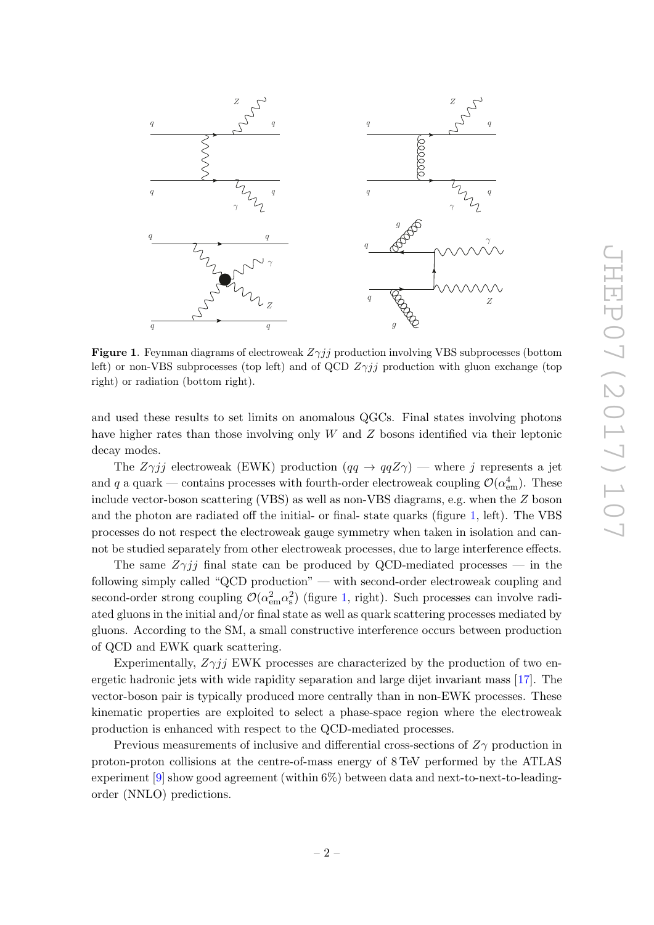

<span id="page-2-0"></span>**Figure 1.** Feynman diagrams of electroweak  $Z\gamma jj$  production involving VBS subprocesses (bottom left) or non-VBS subprocesses (top left) and of QCD  $Z\gamma jj$  production with gluon exchange (top right) or radiation (bottom right).

and used these results to set limits on anomalous QGCs. Final states involving photons have higher rates than those involving only W and Z bosons identified via their leptonic decay modes.

The  $Z\gamma jj$  electroweak (EWK) production  $(qq \rightarrow qqZ\gamma)$  — where j represents a jet and q a quark — contains processes with fourth-order electroweak coupling  $\mathcal{O}(\alpha_{\rm em}^4)$ . These include vector-boson scattering (VBS) as well as non-VBS diagrams, e.g. when the Z boson and the photon are radiated off the initial- or final- state quarks (figure [1,](#page-2-0) left). The VBS processes do not respect the electroweak gauge symmetry when taken in isolation and cannot be studied separately from other electroweak processes, due to large interference effects.

The same  $Z\gamma jj$  final state can be produced by QCD-mediated processes — in the following simply called "QCD production" — with second-order electroweak coupling and second-order strong coupling  $\mathcal{O}(\alpha_{em}^2\alpha_{s}^2)$  (figure [1,](#page-2-0) right). Such processes can involve radiated gluons in the initial and/or final state as well as quark scattering processes mediated by gluons. According to the SM, a small constructive interference occurs between production of QCD and EWK quark scattering.

Experimentally,  $Z\gamma jj$  EWK processes are characterized by the production of two energetic hadronic jets with wide rapidity separation and large dijet invariant mass [\[17\]](#page-28-0). The vector-boson pair is typically produced more centrally than in non-EWK processes. These kinematic properties are exploited to select a phase-space region where the electroweak production is enhanced with respect to the QCD-mediated processes.

Previous measurements of inclusive and differential cross-sections of  $Z_{\gamma}$  production in proton-proton collisions at the centre-of-mass energy of 8 TeV performed by the ATLAS experiment [\[9\]](#page-27-9) show good agreement (within 6%) between data and next-to-next-to-leadingorder (NNLO) predictions.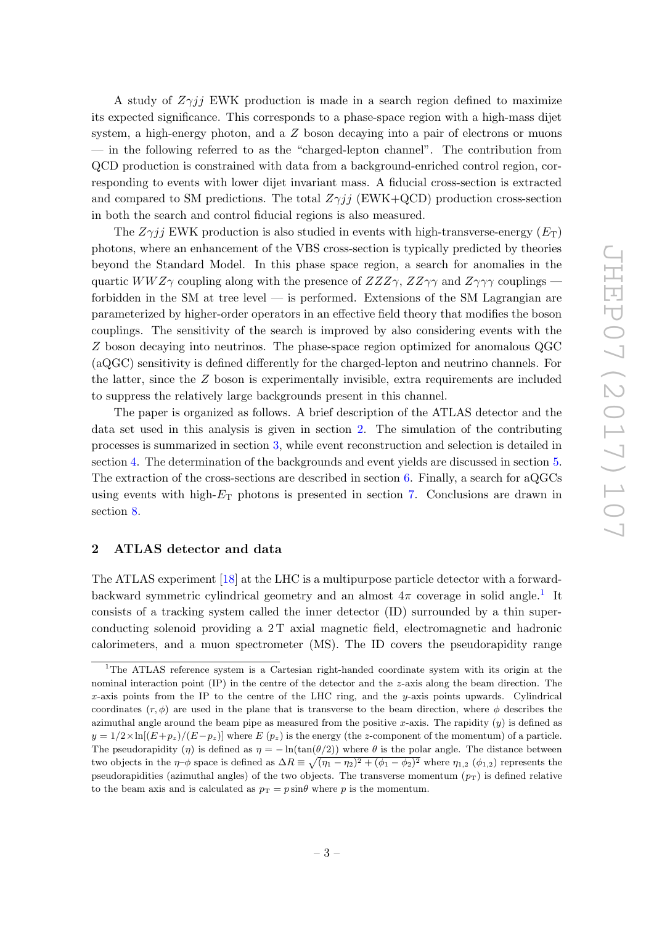A study of  $Z\gamma ij$  EWK production is made in a search region defined to maximize its expected significance. This corresponds to a phase-space region with a high-mass dijet system, a high-energy photon, and a Z boson decaying into a pair of electrons or muons — in the following referred to as the "charged-lepton channel". The contribution from QCD production is constrained with data from a background-enriched control region, corresponding to events with lower dijet invariant mass. A fiducial cross-section is extracted and compared to SM predictions. The total  $Z\gamma ij$  (EWK+QCD) production cross-section in both the search and control fiducial regions is also measured.

The  $Z\gamma jj$  EWK production is also studied in events with high-transverse-energy  $(E_T)$ photons, where an enhancement of the VBS cross-section is typically predicted by theories beyond the Standard Model. In this phase space region, a search for anomalies in the quartic WWZ $\gamma$  coupling along with the presence of  $ZZZ\gamma$ ,  $ZZ\gamma\gamma$  and  $Z\gamma\gamma\gamma$  couplings forbidden in the SM at tree level — is performed. Extensions of the SM Lagrangian are parameterized by higher-order operators in an effective field theory that modifies the boson couplings. The sensitivity of the search is improved by also considering events with the Z boson decaying into neutrinos. The phase-space region optimized for anomalous QGC (aQGC) sensitivity is defined differently for the charged-lepton and neutrino channels. For the latter, since the  $Z$  boson is experimentally invisible, extra requirements are included to suppress the relatively large backgrounds present in this channel.

The paper is organized as follows. A brief description of the ATLAS detector and the data set used in this analysis is given in section [2.](#page-3-0) The simulation of the contributing processes is summarized in section [3,](#page-4-0) while event reconstruction and selection is detailed in section [4.](#page-6-0) The determination of the backgrounds and event yields are discussed in section [5.](#page-9-0) The extraction of the cross-sections are described in section [6.](#page-16-0) Finally, a search for aQGCs using events with high- $E_T$  photons is presented in section [7.](#page-20-0) Conclusions are drawn in section [8.](#page-25-0)

## <span id="page-3-0"></span>2 ATLAS detector and data

The ATLAS experiment [\[18\]](#page-28-1) at the LHC is a multipurpose particle detector with a forwardbackward symmetric cylindrical geometry and an almost  $4\pi$  coverage in solid angle.<sup>[1](#page-3-1)</sup> It consists of a tracking system called the inner detector (ID) surrounded by a thin superconducting solenoid providing a 2T axial magnetic field, electromagnetic and hadronic calorimeters, and a muon spectrometer (MS). The ID covers the pseudorapidity range

<span id="page-3-1"></span><sup>1</sup>The ATLAS reference system is a Cartesian right-handed coordinate system with its origin at the nominal interaction point  $(IP)$  in the centre of the detector and the z-axis along the beam direction. The x-axis points from the IP to the centre of the LHC ring, and the y-axis points upwards. Cylindrical coordinates  $(r, \phi)$  are used in the plane that is transverse to the beam direction, where  $\phi$  describes the azimuthal angle around the beam pipe as measured from the positive x-axis. The rapidity  $(y)$  is defined as  $y = 1/2 \times \ln[(E+p_z)/(E-p_z)]$  where  $E(p_z)$  is the energy (the z-component of the momentum) of a particle. The pseudorapidity (η) is defined as  $\eta = -\ln(\tan(\theta/2))$  where  $\theta$  is the polar angle. The distance between two objects in the  $\eta$ - $\phi$  space is defined as  $\Delta R \equiv \sqrt{(\eta_1 - \eta_2)^2 + (\phi_1 - \phi_2)^2}$  where  $\eta_{1,2}$  ( $\phi_{1,2}$ ) represents the pseudorapidities (azimuthal angles) of the two objects. The transverse momentum  $(p_T)$  is defined relative to the beam axis and is calculated as  $p_T = p \sin \theta$  where p is the momentum.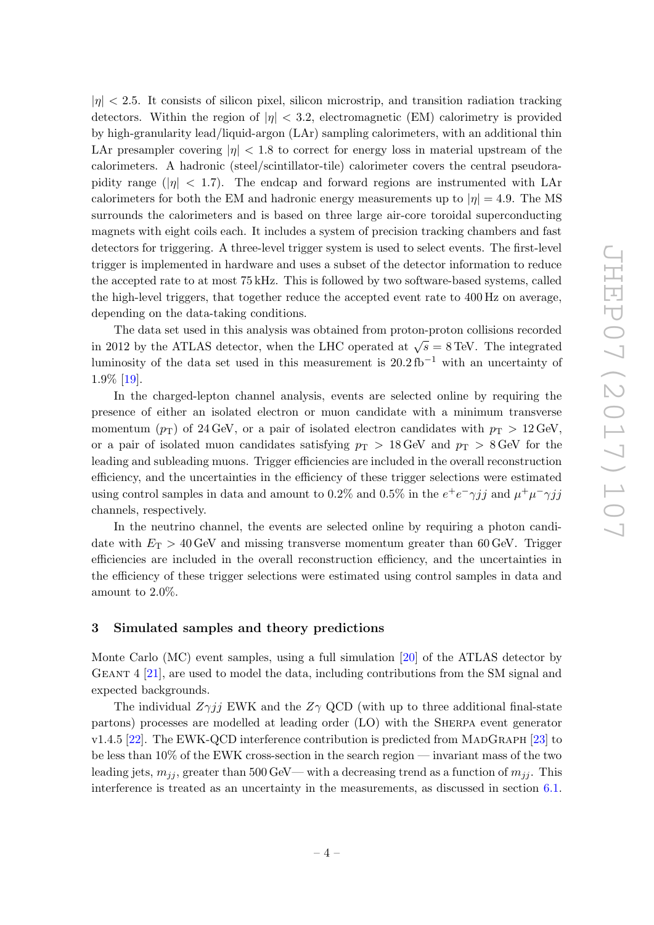$|\eta|$  < 2.5. It consists of silicon pixel, silicon microstrip, and transition radiation tracking detectors. Within the region of  $|\eta| < 3.2$ , electromagnetic (EM) calorimetry is provided by high-granularity lead/liquid-argon (LAr) sampling calorimeters, with an additional thin LAr presampler covering  $|\eta| < 1.8$  to correct for energy loss in material upstream of the calorimeters. A hadronic (steel/scintillator-tile) calorimeter covers the central pseudorapidity range ( $|\eta|$  < 1.7). The endcap and forward regions are instrumented with LAr calorimeters for both the EM and hadronic energy measurements up to  $|\eta| = 4.9$ . The MS surrounds the calorimeters and is based on three large air-core toroidal superconducting magnets with eight coils each. It includes a system of precision tracking chambers and fast detectors for triggering. A three-level trigger system is used to select events. The first-level trigger is implemented in hardware and uses a subset of the detector information to reduce the accepted rate to at most 75 kHz. This is followed by two software-based systems, called the high-level triggers, that together reduce the accepted event rate to 400 Hz on average, depending on the data-taking conditions.

The data set used in this analysis was obtained from proton-proton collisions recorded in 2012 by the ATLAS detector, when the LHC operated at  $\sqrt{s} = 8$  TeV. The integrated luminosity of the data set used in this measurement is  $20.2 \text{ fb}^{-1}$  with an uncertainty of 1.9% [\[19\]](#page-28-2).

In the charged-lepton channel analysis, events are selected online by requiring the presence of either an isolated electron or muon candidate with a minimum transverse momentum  $(p_T)$  of 24 GeV, or a pair of isolated electron candidates with  $p_T > 12$  GeV, or a pair of isolated muon candidates satisfying  $p_T > 18 \,\text{GeV}$  and  $p_T > 8 \,\text{GeV}$  for the leading and subleading muons. Trigger efficiencies are included in the overall reconstruction efficiency, and the uncertainties in the efficiency of these trigger selections were estimated using control samples in data and amount to 0.2% and 0.5% in the  $e^+e^-\gamma jj$  and  $\mu^+\mu^-\gamma jj$ channels, respectively.

In the neutrino channel, the events are selected online by requiring a photon candidate with  $E_T > 40$  GeV and missing transverse momentum greater than 60 GeV. Trigger efficiencies are included in the overall reconstruction efficiency, and the uncertainties in the efficiency of these trigger selections were estimated using control samples in data and amount to 2.0%.

#### <span id="page-4-0"></span>3 Simulated samples and theory predictions

Monte Carlo (MC) event samples, using a full simulation [\[20\]](#page-28-3) of the ATLAS detector by Geant 4 [\[21\]](#page-28-4), are used to model the data, including contributions from the SM signal and expected backgrounds.

The individual  $Z\gamma jj$  EWK and the  $Z\gamma$  QCD (with up to three additional final-state partons) processes are modelled at leading order (LO) with the Sherpa event generator  $v1.4.5$  [\[22\]](#page-28-5). The EWK-QCD interference contribution is predicted from MADGRAPH [\[23\]](#page-28-6) to be less than 10% of the EWK cross-section in the search region — invariant mass of the two leading jets,  $m_{jj}$ , greater than 500 GeV— with a decreasing trend as a function of  $m_{jj}$ . This interference is treated as an uncertainty in the measurements, as discussed in section [6.1.](#page-17-0)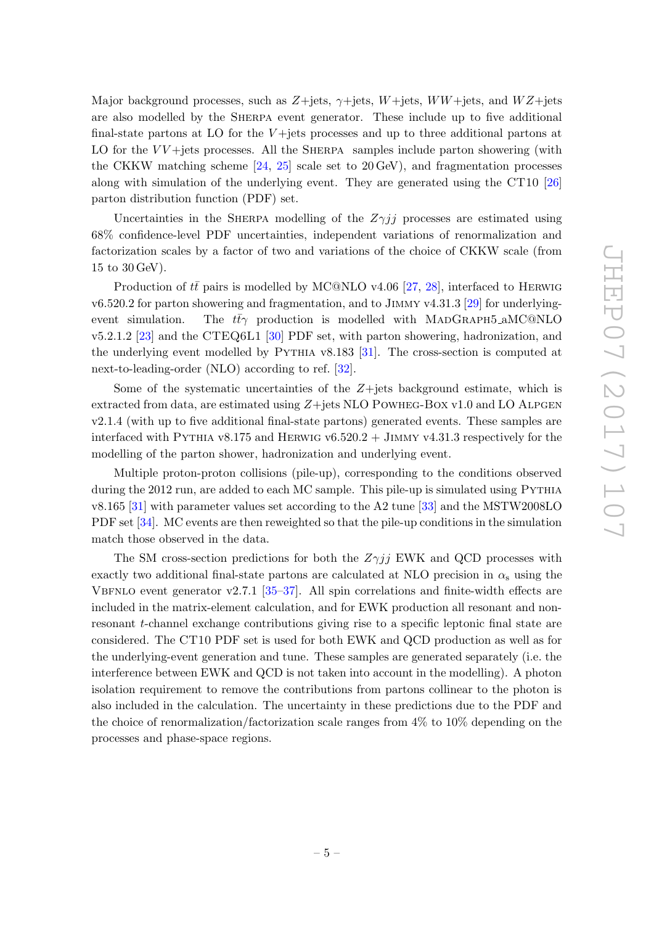Major background processes, such as  $Z + \text{jets}$ ,  $\gamma + \text{jets}$ , W $W + \text{jets}$ , and  $WZ + \text{jets}$ are also modelled by the Sherpa event generator. These include up to five additional final-state partons at LO for the  $V$ +jets processes and up to three additional partons at LO for the  $VV+$ jets processes. All the SHERPA samples include parton showering (with the CKKW matching scheme  $[24, 25]$  $[24, 25]$  $[24, 25]$  scale set to 20 GeV), and fragmentation processes along with simulation of the underlying event. They are generated using the CT10 [\[26\]](#page-28-9) parton distribution function (PDF) set.

Uncertainties in the SHERPA modelling of the  $Z\gamma jj$  processes are estimated using 68% confidence-level PDF uncertainties, independent variations of renormalization and factorization scales by a factor of two and variations of the choice of CKKW scale (from 15 to 30 GeV).

Production of  $t\bar{t}$  pairs is modelled by MC@NLO v4.06 [\[27,](#page-28-10) [28\]](#page-28-11), interfaced to HERWIG v6.520.2 for parton showering and fragmentation, and to Jimmy v4.31.3 [\[29\]](#page-28-12) for underlyingevent simulation. The  $t\bar{t}\gamma$  production is modelled with MADGRAPH5 aMC@NLO v5.2.1.2 [\[23\]](#page-28-6) and the CTEQ6L1 [\[30\]](#page-28-13) PDF set, with parton showering, hadronization, and the underlying event modelled by PYTHIA v8.183 [\[31\]](#page-28-14). The cross-section is computed at next-to-leading-order (NLO) according to ref. [\[32\]](#page-28-15).

Some of the systematic uncertainties of the  $Z+$ jets background estimate, which is extracted from data, are estimated using  $Z +$ jets NLO POWHEG-BOX v1.0 and LO ALPGEN v2.1.4 (with up to five additional final-state partons) generated events. These samples are interfaced with PYTHIA v8.175 and HERWIG v6.520.2 + JIMMY v4.31.3 respectively for the modelling of the parton shower, hadronization and underlying event.

Multiple proton-proton collisions (pile-up), corresponding to the conditions observed during the 2012 run, are added to each MC sample. This pile-up is simulated using PYTHIA v8.165 [\[31\]](#page-28-14) with parameter values set according to the A2 tune [\[33\]](#page-28-16) and the MSTW2008LO PDF set [\[34\]](#page-28-17). MC events are then reweighted so that the pile-up conditions in the simulation match those observed in the data.

The SM cross-section predictions for both the  $Z\gamma jj$  EWK and QCD processes with exactly two additional final-state partons are calculated at NLO precision in  $\alpha_s$  using the VBFNLO event generator v2.7.1 [ $35-37$ ]. All spin correlations and finite-width effects are included in the matrix-element calculation, and for EWK production all resonant and nonresonant t-channel exchange contributions giving rise to a specific leptonic final state are considered. The CT10 PDF set is used for both EWK and QCD production as well as for the underlying-event generation and tune. These samples are generated separately (i.e. the interference between EWK and QCD is not taken into account in the modelling). A photon isolation requirement to remove the contributions from partons collinear to the photon is also included in the calculation. The uncertainty in these predictions due to the PDF and the choice of renormalization/factorization scale ranges from 4% to 10% depending on the processes and phase-space regions.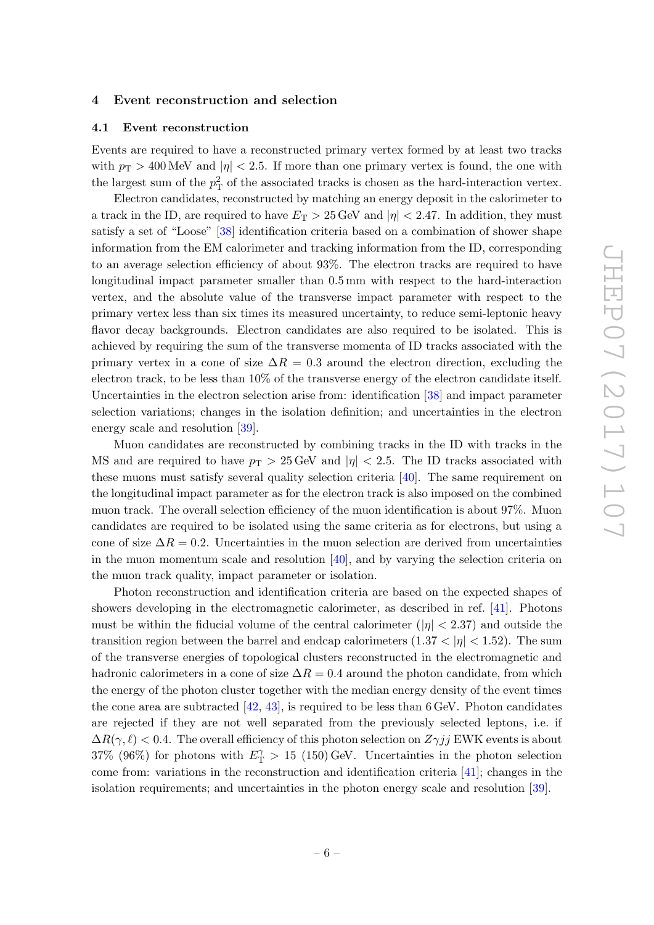#### <span id="page-6-0"></span>4 Event reconstruction and selection

#### <span id="page-6-1"></span>4.1 Event reconstruction

Events are required to have a reconstructed primary vertex formed by at least two tracks with  $p_T > 400$  MeV and  $|\eta| < 2.5$ . If more than one primary vertex is found, the one with the largest sum of the  $p_T^2$  of the associated tracks is chosen as the hard-interaction vertex.

Electron candidates, reconstructed by matching an energy deposit in the calorimeter to a track in the ID, are required to have  $E_T > 25$  GeV and  $|\eta| < 2.47$ . In addition, they must satisfy a set of "Loose" [\[38\]](#page-29-1) identification criteria based on a combination of shower shape information from the EM calorimeter and tracking information from the ID, corresponding to an average selection efficiency of about 93%. The electron tracks are required to have longitudinal impact parameter smaller than 0.5 mm with respect to the hard-interaction vertex, and the absolute value of the transverse impact parameter with respect to the primary vertex less than six times its measured uncertainty, to reduce semi-leptonic heavy flavor decay backgrounds. Electron candidates are also required to be isolated. This is achieved by requiring the sum of the transverse momenta of ID tracks associated with the primary vertex in a cone of size  $\Delta R = 0.3$  around the electron direction, excluding the electron track, to be less than 10% of the transverse energy of the electron candidate itself. Uncertainties in the electron selection arise from: identification [\[38\]](#page-29-1) and impact parameter selection variations; changes in the isolation definition; and uncertainties in the electron energy scale and resolution [\[39\]](#page-29-2).

Muon candidates are reconstructed by combining tracks in the ID with tracks in the MS and are required to have  $p_T > 25$  GeV and  $|\eta| < 2.5$ . The ID tracks associated with these muons must satisfy several quality selection criteria [\[40\]](#page-29-3). The same requirement on the longitudinal impact parameter as for the electron track is also imposed on the combined muon track. The overall selection efficiency of the muon identification is about 97%. Muon candidates are required to be isolated using the same criteria as for electrons, but using a cone of size  $\Delta R = 0.2$ . Uncertainties in the muon selection are derived from uncertainties in the muon momentum scale and resolution [\[40\]](#page-29-3), and by varying the selection criteria on the muon track quality, impact parameter or isolation.

Photon reconstruction and identification criteria are based on the expected shapes of showers developing in the electromagnetic calorimeter, as described in ref. [\[41\]](#page-29-4). Photons must be within the fiducial volume of the central calorimeter ( $|\eta| < 2.37$ ) and outside the transition region between the barrel and endcap calorimeters  $(1.37 < |\eta| < 1.52)$ . The sum of the transverse energies of topological clusters reconstructed in the electromagnetic and hadronic calorimeters in a cone of size  $\Delta R = 0.4$  around the photon candidate, from which the energy of the photon cluster together with the median energy density of the event times the cone area are subtracted  $[42, 43]$  $[42, 43]$  $[42, 43]$ , is required to be less than 6 GeV. Photon candidates are rejected if they are not well separated from the previously selected leptons, i.e. if  $\Delta R(\gamma, \ell) < 0.4$ . The overall efficiency of this photon selection on  $Z\gamma jj$  EWK events is about 37% (96%) for photons with  $E_{\rm T}^{\gamma} > 15$  (150) GeV. Uncertainties in the photon selection come from: variations in the reconstruction and identification criteria [\[41\]](#page-29-4); changes in the isolation requirements; and uncertainties in the photon energy scale and resolution [\[39\]](#page-29-2).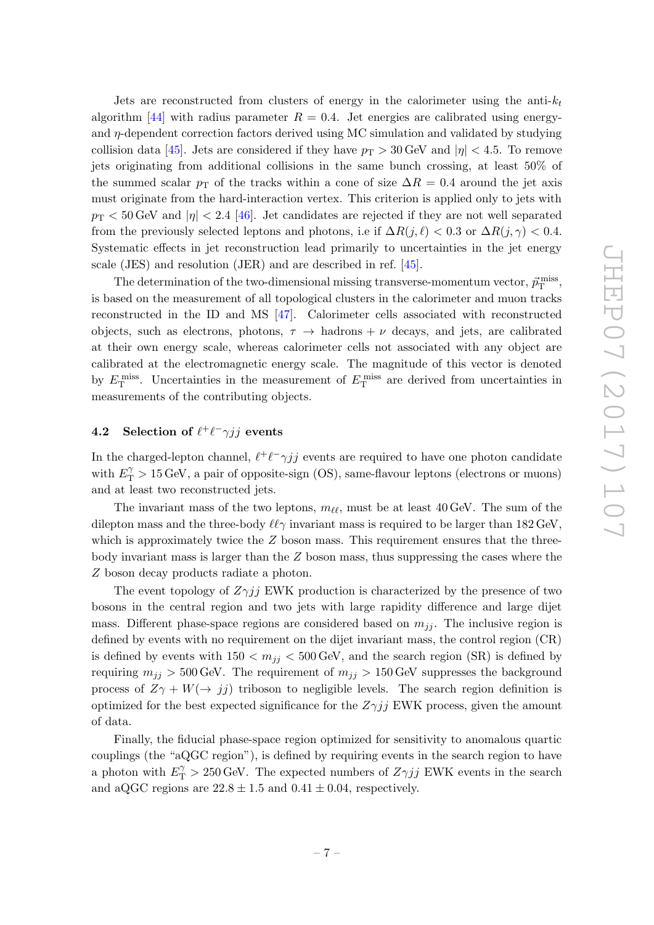Jets are reconstructed from clusters of energy in the calorimeter using the anti- $k_t$ algorithm [\[44\]](#page-29-7) with radius parameter  $R = 0.4$ . Jet energies are calibrated using energyand  $\eta$ -dependent correction factors derived using MC simulation and validated by studying collision data [\[45\]](#page-29-8). Jets are considered if they have  $p_T > 30$  GeV and  $|\eta| < 4.5$ . To remove jets originating from additional collisions in the same bunch crossing, at least 50% of the summed scalar  $p_{\text{T}}$  of the tracks within a cone of size  $\Delta R = 0.4$  around the jet axis must originate from the hard-interaction vertex. This criterion is applied only to jets with  $p_{\rm T}$  < 50 GeV and  $|\eta|$  < 2.4 [\[46\]](#page-29-9). Jet candidates are rejected if they are not well separated from the previously selected leptons and photons, i.e if  $\Delta R(j, \ell) < 0.3$  or  $\Delta R(j, \gamma) < 0.4$ . Systematic effects in jet reconstruction lead primarily to uncertainties in the jet energy scale (JES) and resolution (JER) and are described in ref. [\[45\]](#page-29-8).

The determination of the two-dimensional missing transverse-momentum vector,  $\vec{p}_{\rm T}^{\rm miss}$ , is based on the measurement of all topological clusters in the calorimeter and muon tracks reconstructed in the ID and MS [\[47\]](#page-29-10). Calorimeter cells associated with reconstructed objects, such as electrons, photons,  $\tau \rightarrow$  hadrons +  $\nu$  decays, and jets, are calibrated at their own energy scale, whereas calorimeter cells not associated with any object are calibrated at the electromagnetic energy scale. The magnitude of this vector is denoted by  $E_{\rm T}^{\rm miss}$ . Uncertainties in the measurement of  $E_{\rm T}^{\rm miss}$  are derived from uncertainties in measurements of the contributing objects.

## <span id="page-7-0"></span>**4.2** Selection of  $\ell^+ \ell^- \gamma j j$  events

In the charged-lepton channel,  $\ell^+ \ell^- \gamma j j$  events are required to have one photon candidate with  $E_{\text{T}}^{\gamma} > 15 \,\text{GeV}$ , a pair of opposite-sign (OS), same-flavour leptons (electrons or muons) and at least two reconstructed jets.

The invariant mass of the two leptons,  $m_{\ell\ell}$ , must be at least 40 GeV. The sum of the dilepton mass and the three-body  $\ell\ell\gamma$  invariant mass is required to be larger than 182 GeV, which is approximately twice the  $Z$  boson mass. This requirement ensures that the threebody invariant mass is larger than the Z boson mass, thus suppressing the cases where the Z boson decay products radiate a photon.

The event topology of  $Z\gamma jj$  EWK production is characterized by the presence of two bosons in the central region and two jets with large rapidity difference and large dijet mass. Different phase-space regions are considered based on  $m_{ij}$ . The inclusive region is defined by events with no requirement on the dijet invariant mass, the control region (CR) is defined by events with  $150 < m_{jj} < 500$  GeV, and the search region (SR) is defined by requiring  $m_{jj} > 500$  GeV. The requirement of  $m_{jj} > 150$  GeV suppresses the background process of  $Z\gamma + W(\rightarrow jj)$  triboson to negligible levels. The search region definition is optimized for the best expected significance for the  $Z\gamma jj$  EWK process, given the amount of data.

Finally, the fiducial phase-space region optimized for sensitivity to anomalous quartic couplings (the "aQGC region"), is defined by requiring events in the search region to have a photon with  $E_{\rm T}^{\gamma} > 250 \,\text{GeV}$ . The expected numbers of  $Z\gamma jj$  EWK events in the search and aQGC regions are  $22.8 \pm 1.5$  and  $0.41 \pm 0.04$ , respectively.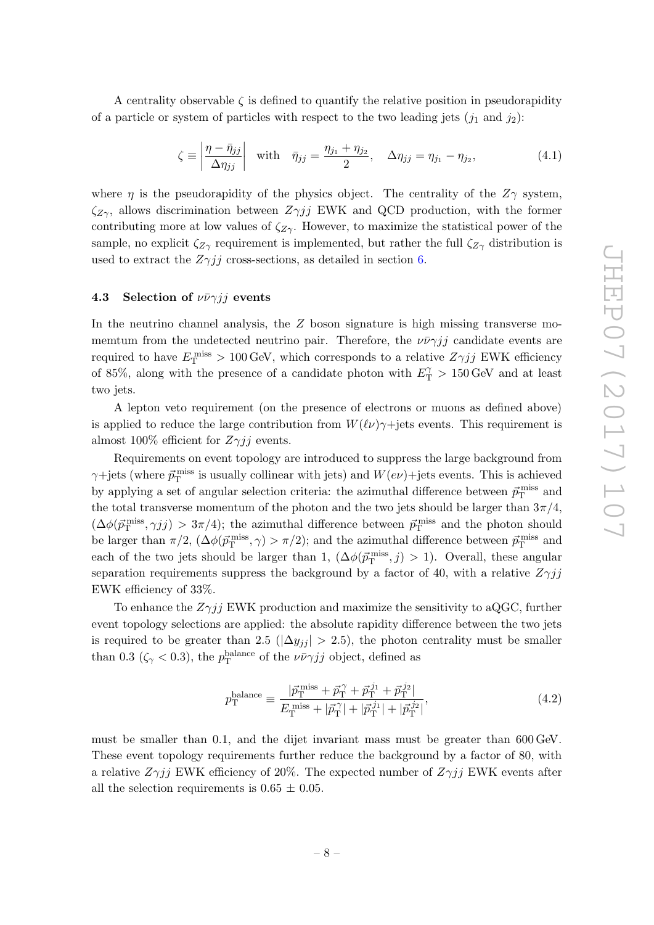A centrality observable  $\zeta$  is defined to quantify the relative position in pseudorapidity of a particle or system of particles with respect to the two leading jets  $(j_1 \text{ and } j_2)$ :

<span id="page-8-1"></span>
$$
\zeta \equiv \left| \frac{\eta - \bar{\eta}_{jj}}{\Delta \eta_{jj}} \right| \quad \text{with} \quad \bar{\eta}_{jj} = \frac{\eta_{j_1} + \eta_{j_2}}{2}, \quad \Delta \eta_{jj} = \eta_{j_1} - \eta_{j_2}, \tag{4.1}
$$

where  $\eta$  is the pseudorapidity of the physics object. The centrality of the  $Z\gamma$  system,  $\zeta_{Z\gamma}$ , allows discrimination between  $Z\gamma jj$  EWK and QCD production, with the former contributing more at low values of  $\zeta_{Z\gamma}$ . However, to maximize the statistical power of the sample, no explicit  $\zeta_{Z\gamma}$  requirement is implemented, but rather the full  $\zeta_{Z\gamma}$  distribution is used to extract the  $Z\gamma jj$  cross-sections, as detailed in section [6.](#page-16-0)

#### <span id="page-8-0"></span>4.3 Selection of  $\nu \bar{\nu} \gamma j j$  events

In the neutrino channel analysis, the  $Z$  boson signature is high missing transverse momemtum from the undetected neutrino pair. Therefore, the  $\nu \bar{\nu} \gamma j j$  candidate events are required to have  $E_{\rm T}^{\rm miss} > 100 \,\text{GeV}$ , which corresponds to a relative  $Z\gamma jj$  EWK efficiency of 85%, along with the presence of a candidate photon with  $E_{\rm T}^{\gamma} > 150 \,\text{GeV}$  and at least two jets.

A lepton veto requirement (on the presence of electrons or muons as defined above) is applied to reduce the large contribution from  $W(\ell\nu)\gamma$ +jets events. This requirement is almost 100% efficient for  $Z_{\gamma}$ *j* events.

Requirements on event topology are introduced to suppress the large background from  $\gamma$ +jets (where  $\vec{p}_{\rm T}^{\rm miss}$  is usually collinear with jets) and  $W(e\nu)$ +jets events. This is achieved by applying a set of angular selection criteria: the azimuthal difference between  $\vec{p}_{\rm T}^{\rm miss}$  and the total transverse momentum of the photon and the two jets should be larger than  $3\pi/4$ ,  $(\Delta\phi(\vec{p}_{\rm T}^{\rm miss},\gamma jj) > 3\pi/4)$ ; the azimuthal difference between  $\vec{p}_{\rm T}^{\rm miss}$  and the photon should be larger than  $\pi/2$ ,  $(\Delta\phi(\vec{p}_{\rm T}^{\rm miss}, \gamma) > \pi/2)$ ; and the azimuthal difference between  $\vec{p}_{\rm T}^{\rm miss}$  and each of the two jets should be larger than 1,  $(\Delta\phi(\vec{p}_{T}^{\text{miss}}, j) > 1)$ . Overall, these angular separation requirements suppress the background by a factor of 40, with a relative  $Z\gamma jj$ EWK efficiency of 33%.

To enhance the  $Z\gamma i\bar{j}$  EWK production and maximize the sensitivity to aQGC, further event topology selections are applied: the absolute rapidity difference between the two jets is required to be greater than 2.5 ( $|\Delta y_{ij}| > 2.5$ ), the photon centrality must be smaller than 0.3 ( $\zeta_{\gamma}$  < 0.3), the  $p_{\rm T}^{\rm balance}$  of the  $\nu \bar{\nu} \gamma j j$  object, defined as

$$
p_{\rm T}^{\rm balance} \equiv \frac{|\vec{p}_{\rm T}^{\rm miss} + \vec{p}_{\rm T}^{\gamma} + \vec{p}_{\rm T}^{j_1} + \vec{p}_{\rm T}^{j_2}|}{E_{\rm T}^{\rm miss} + |\vec{p}_{\rm T}^{\gamma}| + |\vec{p}_{\rm T}^{j_1}| + |\vec{p}_{\rm T}^{j_2}|},\tag{4.2}
$$

must be smaller than 0.1, and the dijet invariant mass must be greater than 600 GeV. These event topology requirements further reduce the background by a factor of 80, with a relative  $Z\gamma jj$  EWK efficiency of 20%. The expected number of  $Z\gamma jj$  EWK events after all the selection requirements is  $0.65 \pm 0.05$ .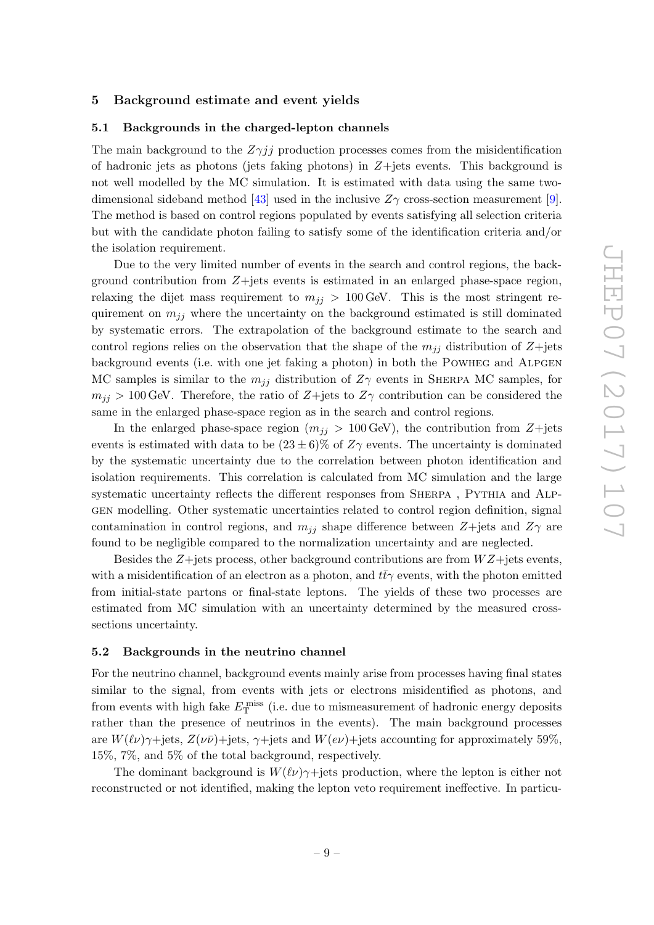#### <span id="page-9-0"></span>5 Background estimate and event yields

#### <span id="page-9-1"></span>5.1 Backgrounds in the charged-lepton channels

The main background to the  $Z\gamma jj$  production processes comes from the misidentification of hadronic jets as photons (jets faking photons) in  $Z+$ jets events. This background is not well modelled by the MC simulation. It is estimated with data using the same two-dimensional sideband method [\[43\]](#page-29-6) used in the inclusive  $Z_{\gamma}$  cross-section measurement [\[9\]](#page-27-9). The method is based on control regions populated by events satisfying all selection criteria but with the candidate photon failing to satisfy some of the identification criteria and/or the isolation requirement.

Due to the very limited number of events in the search and control regions, the background contribution from Z+jets events is estimated in an enlarged phase-space region, relaxing the dijet mass requirement to  $m_{jj} > 100 \,\text{GeV}$ . This is the most stringent requirement on  $m_{ij}$  where the uncertainty on the background estimated is still dominated by systematic errors. The extrapolation of the background estimate to the search and control regions relies on the observation that the shape of the  $m_{ij}$  distribution of Z+jets background events (i.e. with one jet faking a photon) in both the POWHEG and ALPGEN MC samples is similar to the  $m_{ij}$  distribution of  $Z\gamma$  events in SHERPA MC samples, for  $m_{jj} > 100$  GeV. Therefore, the ratio of Z+jets to  $Z\gamma$  contribution can be considered the same in the enlarged phase-space region as in the search and control regions.

In the enlarged phase-space region  $(m_{jj} > 100 \,\text{GeV})$ , the contribution from Z+jets events is estimated with data to be  $(23 \pm 6)\%$  of  $Z\gamma$  events. The uncertainty is dominated by the systematic uncertainty due to the correlation between photon identification and isolation requirements. This correlation is calculated from MC simulation and the large systematic uncertainty reflects the different responses from SHERPA, PYTHIA and ALPgen modelling. Other systematic uncertainties related to control region definition, signal contamination in control regions, and  $m_{jj}$  shape difference between Z+jets and Z $\gamma$  are found to be negligible compared to the normalization uncertainty and are neglected.

Besides the  $Z +$ jets process, other background contributions are from  $WZ +$ jets events, with a misidentification of an electron as a photon, and  $t\bar{t}\gamma$  events, with the photon emitted from initial-state partons or final-state leptons. The yields of these two processes are estimated from MC simulation with an uncertainty determined by the measured crosssections uncertainty.

#### <span id="page-9-2"></span>5.2 Backgrounds in the neutrino channel

For the neutrino channel, background events mainly arise from processes having final states similar to the signal, from events with jets or electrons misidentified as photons, and from events with high fake  $E_{\rm T}^{\rm miss}$  (i.e. due to mismeasurement of hadronic energy deposits rather than the presence of neutrinos in the events). The main background processes are  $W(\ell\nu)\gamma$ +jets,  $Z(\nu\bar{\nu})$ +jets,  $\gamma$ +jets and  $W(e\nu)$ +jets accounting for approximately 59%, 15%, 7%, and 5% of the total background, respectively.

The dominant background is  $W(\ell\nu)\gamma$ +jets production, where the lepton is either not reconstructed or not identified, making the lepton veto requirement ineffective. In particu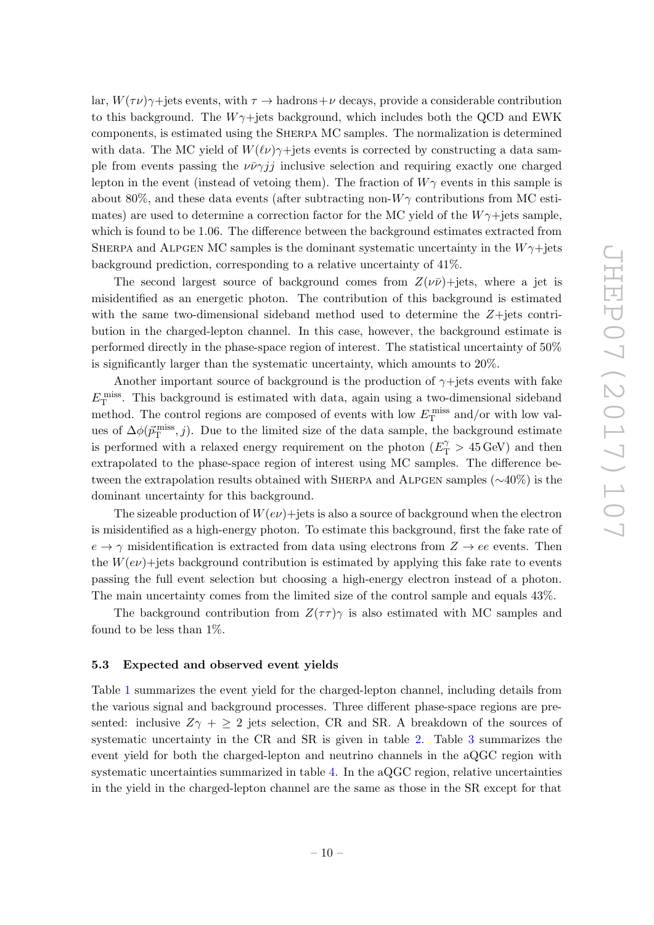lar,  $W(\tau \nu) \gamma$ +jets events, with  $\tau \to$  hadrons+ $\nu$  decays, provide a considerable contribution to this background. The  $W\gamma$ +jets background, which includes both the QCD and EWK components, is estimated using the Sherpa MC samples. The normalization is determined with data. The MC yield of  $W(\ell\nu)\gamma$ +jets events is corrected by constructing a data sample from events passing the  $\nu \bar{\nu} \gamma j j$  inclusive selection and requiring exactly one charged lepton in the event (instead of vetoing them). The fraction of  $W\gamma$  events in this sample is about 80%, and these data events (after subtracting non- $W\gamma$  contributions from MC estimates) are used to determine a correction factor for the MC yield of the  $W\gamma +$ jets sample, which is found to be 1.06. The difference between the background estimates extracted from SHERPA and ALPGEN MC samples is the dominant systematic uncertainty in the  $W\gamma +$ jets background prediction, corresponding to a relative uncertainty of 41%.

The second largest source of background comes from  $Z(\nu\bar{\nu})+$ jets, where a jet is misidentified as an energetic photon. The contribution of this background is estimated with the same two-dimensional sideband method used to determine the  $Z+$ jets contribution in the charged-lepton channel. In this case, however, the background estimate is performed directly in the phase-space region of interest. The statistical uncertainty of 50% is significantly larger than the systematic uncertainty, which amounts to 20%.

Another important source of background is the production of  $\gamma$ +jets events with fake  $E_{\rm T}^{\rm miss}$ . This background is estimated with data, again using a two-dimensional sideband method. The control regions are composed of events with low  $E_{\rm T}^{\rm miss}$  and/or with low values of  $\Delta\phi(\vec{p}_{\rm T}^{\rm miss},j)$ . Due to the limited size of the data sample, the background estimate is performed with a relaxed energy requirement on the photon  $(E_{\text{T}}^{\gamma} > 45 \,\text{GeV})$  and then extrapolated to the phase-space region of interest using MC samples. The difference between the extrapolation results obtained with Sherpa and Alpgen samples (∼40%) is the dominant uncertainty for this background.

The sizeable production of  $W(e\nu)$ +jets is also a source of background when the electron is misidentified as a high-energy photon. To estimate this background, first the fake rate of  $e \rightarrow \gamma$  misidentification is extracted from data using electrons from  $Z \rightarrow ee$  events. Then the  $W(e\nu)$ +jets background contribution is estimated by applying this fake rate to events passing the full event selection but choosing a high-energy electron instead of a photon. The main uncertainty comes from the limited size of the control sample and equals 43%.

The background contribution from  $Z(\tau\tau)\gamma$  is also estimated with MC samples and found to be less than 1%.

#### <span id="page-10-0"></span>5.3 Expected and observed event yields

Table [1](#page-11-0) summarizes the event yield for the charged-lepton channel, including details from the various signal and background processes. Three different phase-space regions are presented: inclusive  $Z\gamma + \geq 2$  jets selection, CR and SR. A breakdown of the sources of systematic uncertainty in the CR and SR is given in table [2.](#page-11-1) Table [3](#page-12-0) summarizes the event yield for both the charged-lepton and neutrino channels in the aQGC region with systematic uncertainties summarized in table [4.](#page-12-1) In the aQGC region, relative uncertainties in the yield in the charged-lepton channel are the same as those in the SR except for that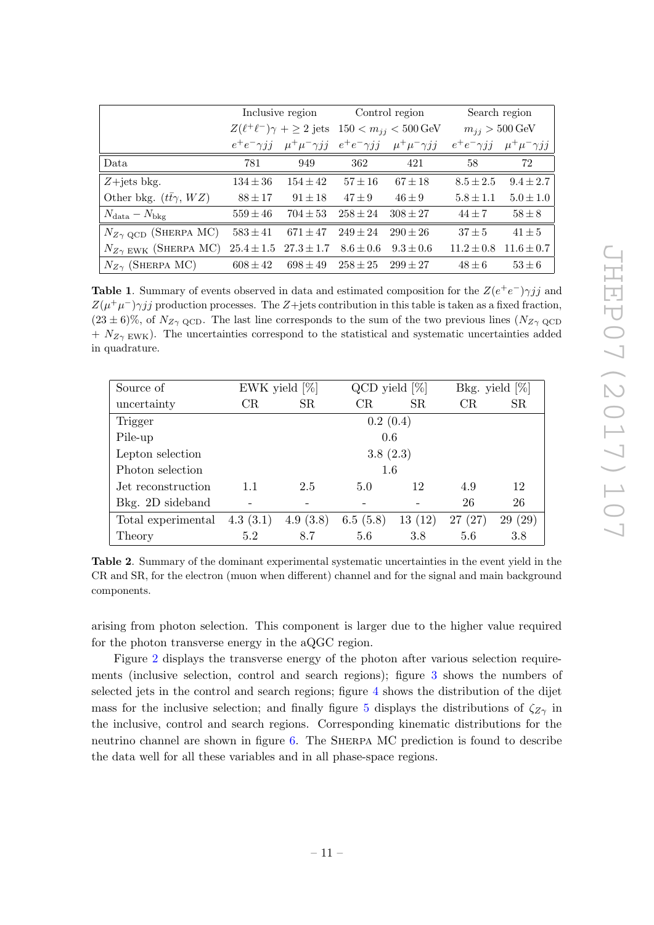|                                       | Inclusive region  |                               | Control region                                                 |                                                               | Search region               |                       |
|---------------------------------------|-------------------|-------------------------------|----------------------------------------------------------------|---------------------------------------------------------------|-----------------------------|-----------------------|
|                                       |                   |                               | $Z(\ell^+\ell^-)\gamma + \geq 2$ jets $150 < m_{ij} < 500$ GeV |                                                               | $m_{ij} > 500 \,\text{GeV}$ |                       |
|                                       | $e^+e^-\gamma jj$ |                               |                                                                | $\mu^+\mu^-\gamma jj$ $e^+e^-\gamma jj$ $\mu^+\mu^-\gamma jj$ | $e^+e^-\gamma jj$           | $\mu^+\mu^-\gamma jj$ |
| Data.                                 | 781               | 949                           | 362                                                            | 421                                                           | 58                          | 72                    |
| $Z + jets$ bkg.                       | $134 \pm 36$      | $154 \pm 42$                  | $57 \pm 16$                                                    | $67 + 18$                                                     | $8.5 \pm 2.5$               | $9.4 \pm 2.7$         |
| Other bkg. $(t\bar{t}\gamma, WZ)$     | $88 \pm 17$       | $91 \pm 18$                   | $47 \pm 9$                                                     | $46 \pm 9$                                                    | $5.8 \pm 1.1$               | $5.0 \pm 1.0$         |
| $N_{\text{data}} - N_{\text{bkg}}$    | $559 \pm 46$      | $704 \pm 53$                  | $258 \pm 24$                                                   | $308 \pm 27$                                                  | $44 \pm 7$                  | $58\pm8$              |
| $N_{Z\gamma\text{ QCD}}$ (SHERPA MC)  | $583 \pm 41$      | $671 \pm 47$                  | $249 \pm 24$                                                   | $290 \pm 26$                                                  | $37 + 5$                    | $41 \pm 5$            |
| $N_{Z\gamma \text{ EWK}}$ (SHERPA MC) |                   | $25.4 \pm 1.5$ $27.3 \pm 1.7$ | $8.6 \pm 0.6$                                                  | $9.3 \pm 0.6$                                                 | $11.2 \pm 0.8$              | $11.6 \pm 0.7$        |
| $N_{Z\gamma}$ (SHERPA MC)             | $608 \pm 42$      | $698 \pm 49$                  | $258 \pm 25$                                                   | $299 \pm 27$                                                  | $48 \pm 6$                  | $53 \pm 6$            |

<span id="page-11-0"></span>**Table 1.** Summary of events observed in data and estimated composition for the  $Z(e^+e^-)\gamma jj$  and  $Z(\mu^+\mu^-)\gamma jj$  production processes. The Z+jets contribution in this table is taken as a fixed fraction,  $(23 \pm 6)\%$ , of  $N_{Z\gamma \text{ QCD}}$ . The last line corresponds to the sum of the two previous lines  $(N_{Z\gamma \text{ QCD}})$  $+ N_{Z\gamma \text{ EWK}}$ ). The uncertainties correspond to the statistical and systematic uncertainties added in quadrature.

| Source of          |             | EWK yield $[\%]$ |          | $QCD$ yield $[\%]$ |            | Bkg. yield $[\%]$ |
|--------------------|-------------|------------------|----------|--------------------|------------|-------------------|
| uncertainty        | $_{\rm CR}$ | <b>SR</b>        | CR       | <b>SR</b>          | CR         | <b>SR</b>         |
| Trigger            |             |                  | 0.2(0.4) |                    |            |                   |
| Pile-up            |             |                  | 0.6      |                    |            |                   |
| Lepton selection   |             |                  | 3.8(2.3) |                    |            |                   |
| Photon selection   |             |                  | 1.6      |                    |            |                   |
| Jet reconstruction | 1.1         | 2.5              | 5.0      | 12                 | 4.9        | 12                |
| Bkg. 2D sideband   |             |                  |          |                    | 26         | 26                |
| Total experimental | 4.3(3.1)    | 4.9(3.8)         | 6.5(5.8) | 13(12)             | (27)<br>27 | (29)<br>29        |
| Theory             | 5.2         | 8.7              | 5.6      | 3.8                | 5.6        | 3.8               |

<span id="page-11-1"></span>Table 2. Summary of the dominant experimental systematic uncertainties in the event yield in the CR and SR, for the electron (muon when different) channel and for the signal and main background components.

arising from photon selection. This component is larger due to the higher value required for the photon transverse energy in the aQGC region.

Figure [2](#page-13-0) displays the transverse energy of the photon after various selection requirements (inclusive selection, control and search regions); figure [3](#page-14-0) shows the numbers of selected jets in the control and search regions; figure [4](#page-14-1) shows the distribution of the dijet mass for the inclusive selection; and finally figure [5](#page-15-0) displays the distributions of  $\zeta_{Z\gamma}$  in the inclusive, control and search regions. Corresponding kinematic distributions for the neutrino channel are shown in figure [6.](#page-16-1) The Sherpa MC prediction is found to describe the data well for all these variables and in all phase-space regions.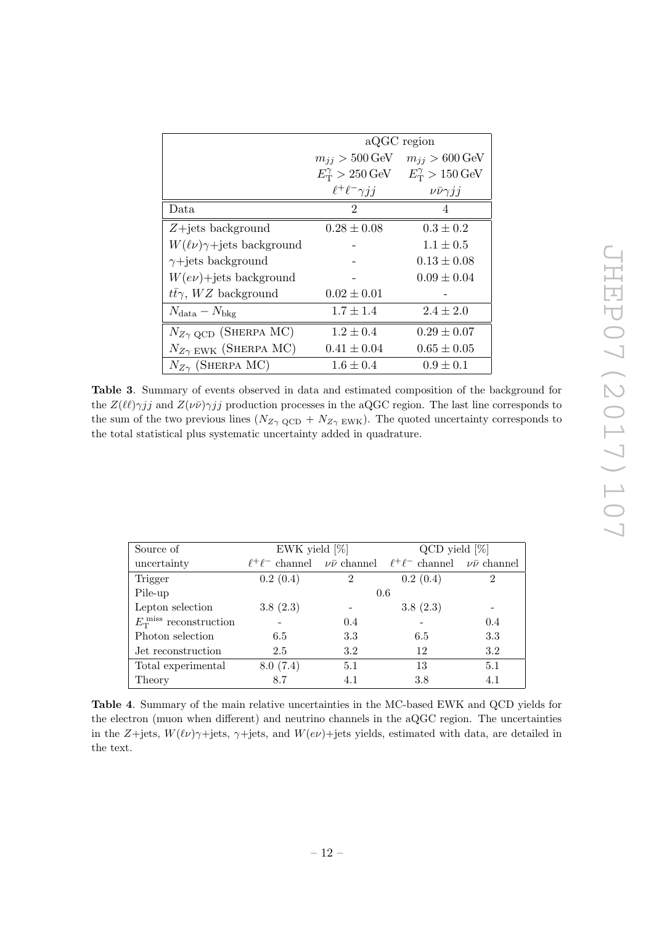|                                             | aQGC region                             |                                         |  |
|---------------------------------------------|-----------------------------------------|-----------------------------------------|--|
|                                             |                                         |                                         |  |
|                                             | $m_{ij} > 500 \,\text{GeV}$             | $m_{ij} > 600 \,\text{GeV}$             |  |
|                                             | $E_{\rm T}^{\gamma} > 250 \,\text{GeV}$ | $E_{\rm T}^{\gamma} > 150 \,\text{GeV}$ |  |
|                                             | $\ell^+\ell^-\gamma jj$                 | $\nu\bar{\nu}\gamma jj$                 |  |
| Data                                        | $\mathfrak{D}$                          | 4                                       |  |
| $Z + jets$ background                       | $0.28 \pm 0.08$                         | $0.3 \pm 0.2$                           |  |
| $W(\ell\nu)\gamma + \text{jets background}$ |                                         | $1.1 \pm 0.5$                           |  |
| $\gamma$ +jets background                   |                                         | $0.13 \pm 0.08$                         |  |
| $W(e\nu)$ +jets background                  |                                         | $0.09 \pm 0.04$                         |  |
| $t\bar{t}\gamma$ , WZ background            | $0.02 \pm 0.01$                         |                                         |  |
| $N_{\text{data}} - N_{\text{bkg}}$          | $1.7 \pm 1.4$                           | $2.4 \pm 2.0$                           |  |
| $N_{Z\gamma\text{ QCD}}$ (SHERPA MC)        | $1.2 \pm 0.4$                           | $0.29 \pm 0.07$                         |  |
| $N_{Z\gamma}$ EWK (SHERPA MC)               | $0.41 \pm 0.04$                         | $0.65 \pm 0.05$                         |  |
| $N_{Z\gamma}$ (SHERPA MC)                   | $1.6 \pm 0.4$                           | $0.9 \pm 0.1$                           |  |

<span id="page-12-0"></span>Table 3. Summary of events observed in data and estimated composition of the background for the  $Z(\ell\ell)\gamma jj$  and  $Z(\nu\bar{\nu})\gamma jj$  production processes in the aQGC region. The last line corresponds to the sum of the two previous lines  $(N_{Z\gamma \text{ QCD}} + N_{Z\gamma \text{ EWK}})$ . The quoted uncertainty corresponds to the total statistical plus systematic uncertainty added in quadrature.

| Source of                             | EWK yield $[\%]$                              |                | $QCD$ yield $[\%]$                            |     |  |
|---------------------------------------|-----------------------------------------------|----------------|-----------------------------------------------|-----|--|
| uncertainty                           | $\ell^+\ell^-$ channel $\nu\bar{\nu}$ channel |                | $\ell^+\ell^-$ channel $\nu\bar{\nu}$ channel |     |  |
| Trigger                               | 0.2(0.4)                                      | $\overline{2}$ | 0.2(0.4)                                      | 2   |  |
| Pile-up                               | 0.6                                           |                |                                               |     |  |
| Lepton selection                      | 3.8(2.3)                                      |                | 3.8(2.3)                                      |     |  |
| $E_{\rm T}^{\rm miss}$ reconstruction |                                               | 0.4            |                                               | 0.4 |  |
| Photon selection                      | 6.5                                           | 3.3            | 6.5                                           | 3.3 |  |
| Jet reconstruction                    | 2.5                                           | 3.2            | 12                                            | 3.2 |  |
| Total experimental                    | 8.0(7.4)                                      | 5.1            | 13                                            | 5.1 |  |
| Theory                                | 8.7                                           | 4.1            | 3.8                                           | 4.1 |  |

<span id="page-12-1"></span>Table 4. Summary of the main relative uncertainties in the MC-based EWK and QCD yields for the electron (muon when different) and neutrino channels in the aQGC region. The uncertainties in the Z+jets,  $W(\ell\nu)\gamma$ +jets,  $\gamma$ +jets, and  $W(e\nu)$ +jets yields, estimated with data, are detailed in the text.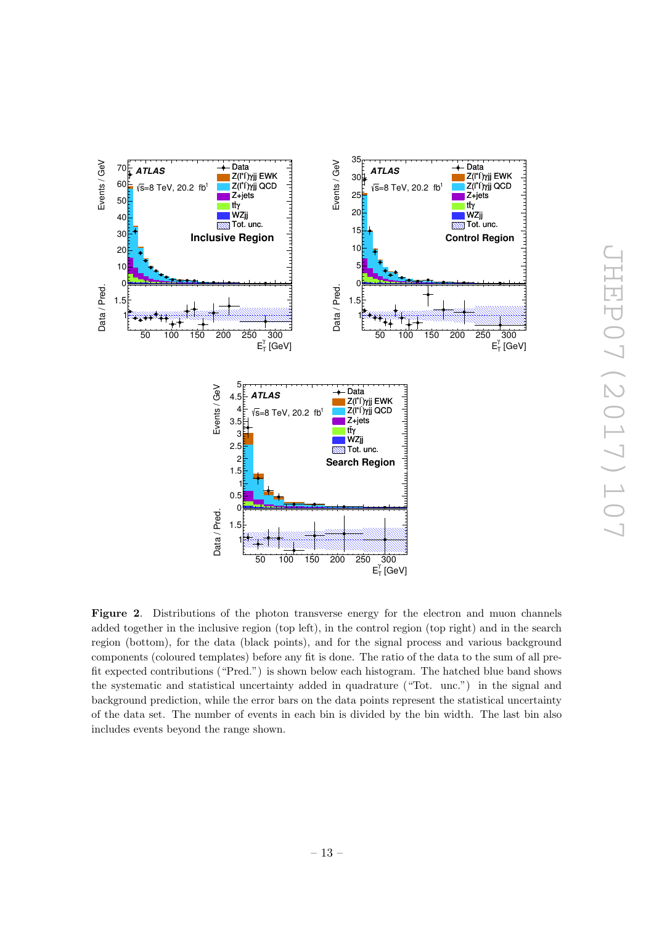

<span id="page-13-0"></span>Figure 2. Distributions of the photon transverse energy for the electron and muon channels added together in the inclusive region (top left), in the control region (top right) and in the search region (bottom), for the data (black points), and for the signal process and various background components (coloured templates) before any fit is done. The ratio of the data to the sum of all prefit expected contributions ("Pred.") is shown below each histogram. The hatched blue band shows the systematic and statistical uncertainty added in quadrature ("Tot. unc.") in the signal and background prediction, while the error bars on the data points represent the statistical uncertainty of the data set. The number of events in each bin is divided by the bin width. The last bin also includes events beyond the range shown.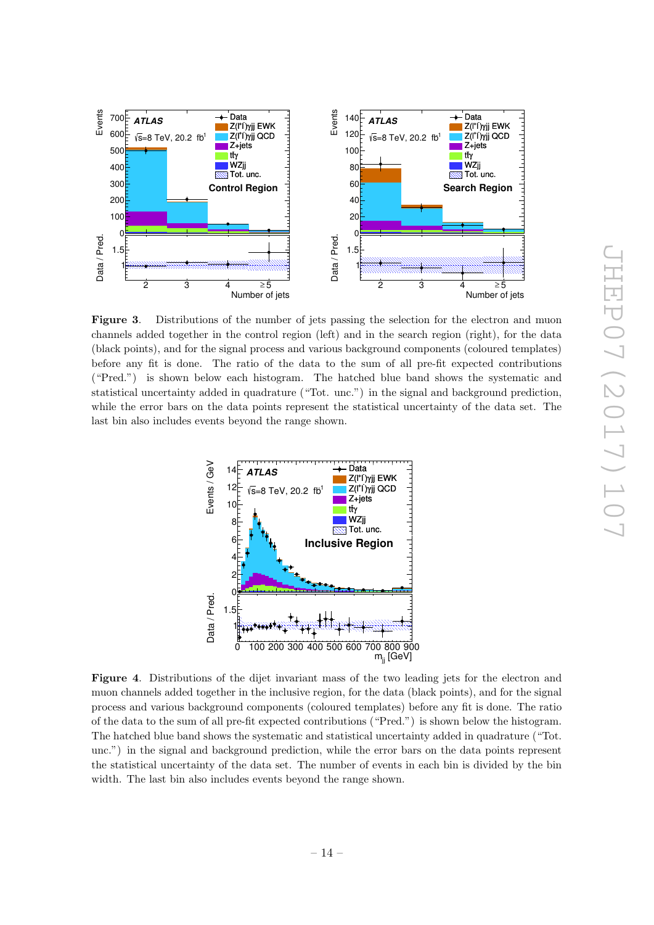

<span id="page-14-0"></span>Figure 3. Distributions of the number of jets passing the selection for the electron and muon channels added together in the control region (left) and in the search region (right), for the data (black points), and for the signal process and various background components (coloured templates) before any fit is done. The ratio of the data to the sum of all pre-fit expected contributions ("Pred.") is shown below each histogram. The hatched blue band shows the systematic and statistical uncertainty added in quadrature ("Tot. unc.") in the signal and background prediction, while the error bars on the data points represent the statistical uncertainty of the data set. The last bin also includes events beyond the range shown.



<span id="page-14-1"></span>Figure 4. Distributions of the dijet invariant mass of the two leading jets for the electron and muon channels added together in the inclusive region, for the data (black points), and for the signal process and various background components (coloured templates) before any fit is done. The ratio of the data to the sum of all pre-fit expected contributions ("Pred.") is shown below the histogram. The hatched blue band shows the systematic and statistical uncertainty added in quadrature ("Tot. unc.") in the signal and background prediction, while the error bars on the data points represent the statistical uncertainty of the data set. The number of events in each bin is divided by the bin width. The last bin also includes events beyond the range shown.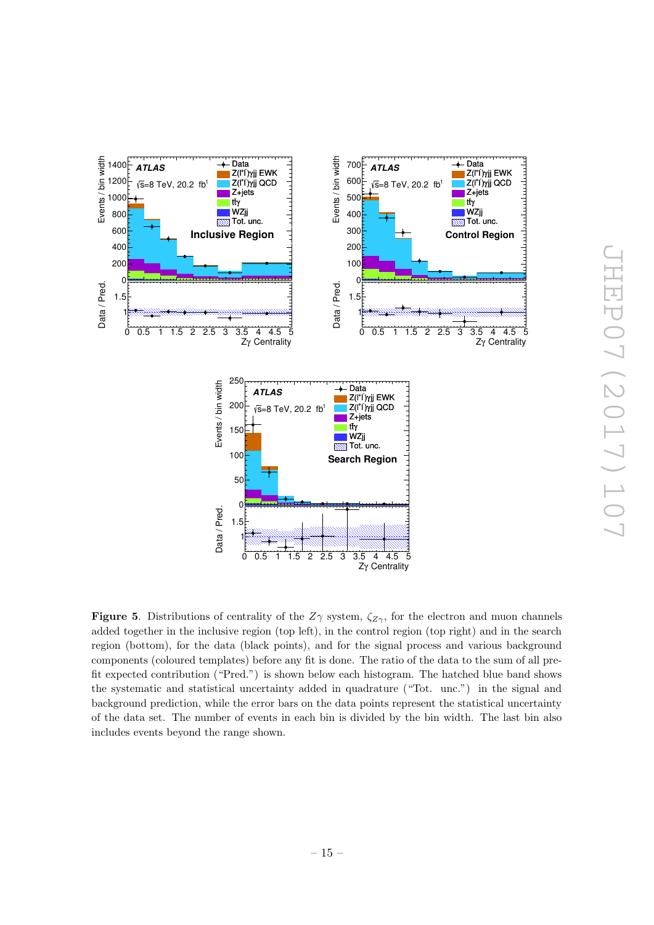

JHEP07 (2017) 107 JHEP07(2017)107

<span id="page-15-0"></span>**Figure 5.** Distributions of centrality of the  $Z\gamma$  system,  $\zeta_{Z\gamma}$ , for the electron and muon channels added together in the inclusive region (top left), in the control region (top right) and in the search region (bottom), for the data (black points), and for the signal process and various background components (coloured templates) before any fit is done. The ratio of the data to the sum of all prefit expected contribution ("Pred.") is shown below each histogram. The hatched blue band shows the systematic and statistical uncertainty added in quadrature ("Tot. unc.") in the signal and background prediction, while the error bars on the data points represent the statistical uncertainty of the data set. The number of events in each bin is divided by the bin width. The last bin also includes events beyond the range shown.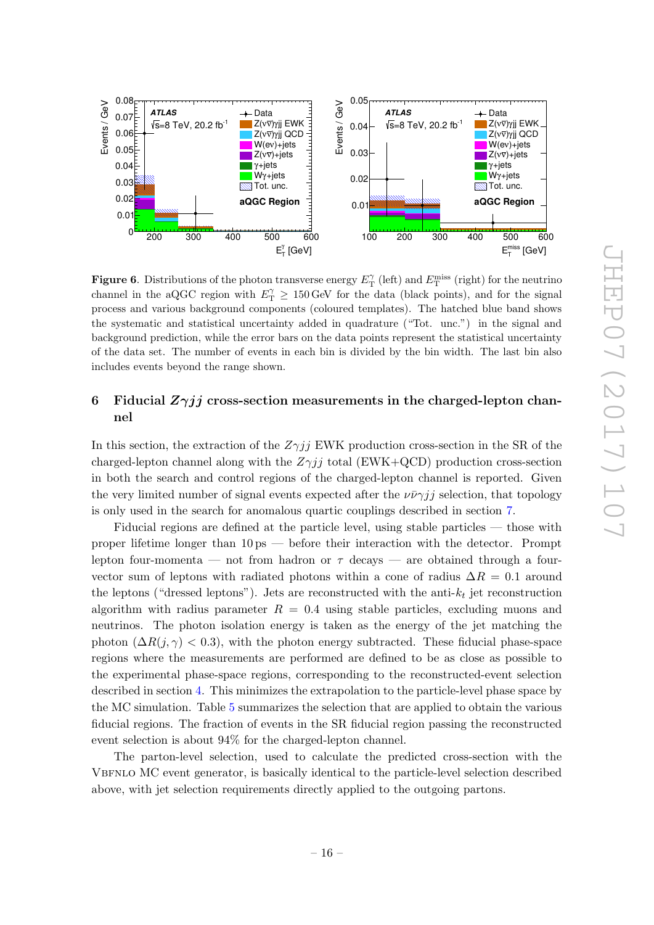

<span id="page-16-1"></span>Figure 6. Distributions of the photon transverse energy  $E_{\text{T}}^{\gamma}$  (left) and  $E_{\text{T}}^{\text{miss}}$  (right) for the neutrino channel in the aQGC region with  $E_{\text{T}}^{\gamma} \ge 150 \,\text{GeV}$  for the data (black points), and for the signal process and various background components (coloured templates). The hatched blue band shows the systematic and statistical uncertainty added in quadrature ("Tot. unc.") in the signal and background prediction, while the error bars on the data points represent the statistical uncertainty of the data set. The number of events in each bin is divided by the bin width. The last bin also includes events beyond the range shown.

## <span id="page-16-0"></span>6 Fiducial  $Z\gamma jj$  cross-section measurements in the charged-lepton channel

In this section, the extraction of the  $Z\gamma jj$  EWK production cross-section in the SR of the charged-lepton channel along with the  $Z\gamma jj$  total (EWK+QCD) production cross-section in both the search and control regions of the charged-lepton channel is reported. Given the very limited number of signal events expected after the  $\nu \bar{\nu} \gamma j j$  selection, that topology is only used in the search for anomalous quartic couplings described in section [7.](#page-20-0)

Fiducial regions are defined at the particle level, using stable particles — those with proper lifetime longer than 10 ps — before their interaction with the detector. Prompt lepton four-momenta — not from hadron or  $\tau$  decays — are obtained through a fourvector sum of leptons with radiated photons within a cone of radius  $\Delta R = 0.1$  around the leptons ("dressed leptons"). Jets are reconstructed with the anti- $k_t$  jet reconstruction algorithm with radius parameter  $R = 0.4$  using stable particles, excluding muons and neutrinos. The photon isolation energy is taken as the energy of the jet matching the photon  $(\Delta R(j, \gamma) < 0.3)$ , with the photon energy subtracted. These fiducial phase-space regions where the measurements are performed are defined to be as close as possible to the experimental phase-space regions, corresponding to the reconstructed-event selection described in section [4.](#page-6-0) This minimizes the extrapolation to the particle-level phase space by the MC simulation. Table [5](#page-17-1) summarizes the selection that are applied to obtain the various fiducial regions. The fraction of events in the SR fiducial region passing the reconstructed event selection is about 94% for the charged-lepton channel.

The parton-level selection, used to calculate the predicted cross-section with the Vbfnlo MC event generator, is basically identical to the particle-level selection described above, with jet selection requirements directly applied to the outgoing partons.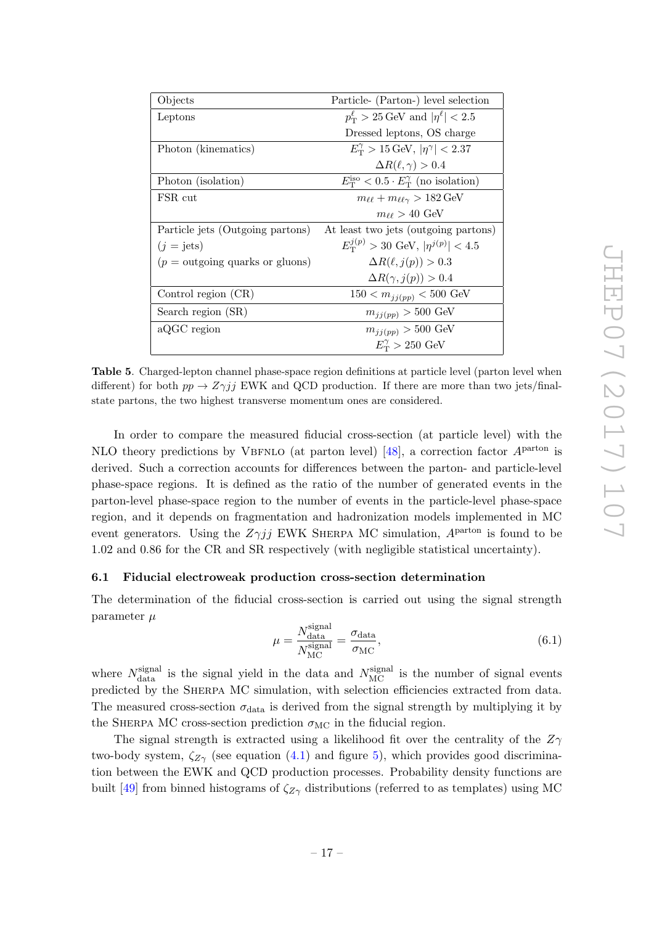| Objects                                  | Particle- (Parton-) level selection                                 |
|------------------------------------------|---------------------------------------------------------------------|
| Leptons                                  | $p_T^{\ell} > 25 \,\text{GeV}$ and $ \eta^{\ell}  < 2.5$            |
|                                          | Dressed leptons, OS charge                                          |
| Photon (kinematics)                      | $E_{\rm T}^{\gamma} > 15 \,\text{GeV},  \eta^{\gamma}  < 2.37$      |
|                                          | $\Delta R(\ell,\gamma) > 0.4$                                       |
| Photon (isolation)                       | $E_{\rm T}^{\rm iso} < 0.5 \cdot E_{\rm T}^{\gamma}$ (no isolation) |
| FSR cut                                  | $m_{\ell\ell} + m_{\ell\ell\gamma} > 182 \,\text{GeV}$              |
|                                          | $m_{\ell\ell} > 40~\text{GeV}$                                      |
| Particle jets (Outgoing partons)         | At least two jets (outgoing partons)                                |
| $(j = \text{jets})$                      | $E_{\rm T}^{j(p)} > 30$ GeV, $ \eta^{j(p)}  < 4.5$                  |
| $(p = \text{outgoing quarks or gluons})$ | $\Delta R(\ell, j(p)) > 0.3$                                        |
|                                          | $\Delta R(\gamma, j(p)) > 0.4$                                      |
| Control region (CR)                      | $150 < m_{jj(pp)} < 500$ GeV                                        |
| Search region (SR)                       | $m_{jj(pp)} > 500 \text{ GeV}$                                      |
| aQGC region                              | $m_{jj(pp)} > 500 \text{ GeV}$                                      |
|                                          | $E_{\rm T}^{\gamma} > 250$ GeV                                      |

<span id="page-17-1"></span>Table 5. Charged-lepton channel phase-space region definitions at particle level (parton level when different) for both  $pp \to Z\gamma jj$  EWK and QCD production. If there are more than two jets/finalstate partons, the two highest transverse momentum ones are considered.

In order to compare the measured fiducial cross-section (at particle level) with the NLO theory predictions by VBFNLO (at parton level) [\[48\]](#page-29-11), a correction factor  $A<sup>parton</sup>$  is derived. Such a correction accounts for differences between the parton- and particle-level phase-space regions. It is defined as the ratio of the number of generated events in the parton-level phase-space region to the number of events in the particle-level phase-space region, and it depends on fragmentation and hadronization models implemented in MC event generators. Using the  $Z\gamma jj$  EWK SHERPA MC simulation,  $A^{\text{parton}}$  is found to be 1.02 and 0.86 for the CR and SR respectively (with negligible statistical uncertainty).

### <span id="page-17-0"></span>6.1 Fiducial electroweak production cross-section determination

The determination of the fiducial cross-section is carried out using the signal strength parameter  $\mu$ 

$$
\mu = \frac{N_{\text{data}}^{\text{signal}}}{N_{\text{MC}}^{\text{signal}}} = \frac{\sigma_{\text{data}}}{\sigma_{\text{MC}}},\tag{6.1}
$$

where  $N_{\text{data}}^{\text{signal}}$  is the signal yield in the data and  $N_{\text{MC}}^{\text{signal}}$  is the number of signal events predicted by the SHERPA MC simulation, with selection efficiencies extracted from data. The measured cross-section  $\sigma_{data}$  is derived from the signal strength by multiplying it by the SHERPA MC cross-section prediction  $\sigma_{MC}$  in the fiducial region.

The signal strength is extracted using a likelihood fit over the centrality of the  $Z_{\gamma}$ two-body system,  $\zeta_{Z\gamma}$  (see equation [\(4.1\)](#page-8-1) and figure [5\)](#page-15-0), which provides good discrimination between the EWK and QCD production processes. Probability density functions are built [\[49\]](#page-29-12) from binned histograms of  $\zeta_{Z\gamma}$  distributions (referred to as templates) using MC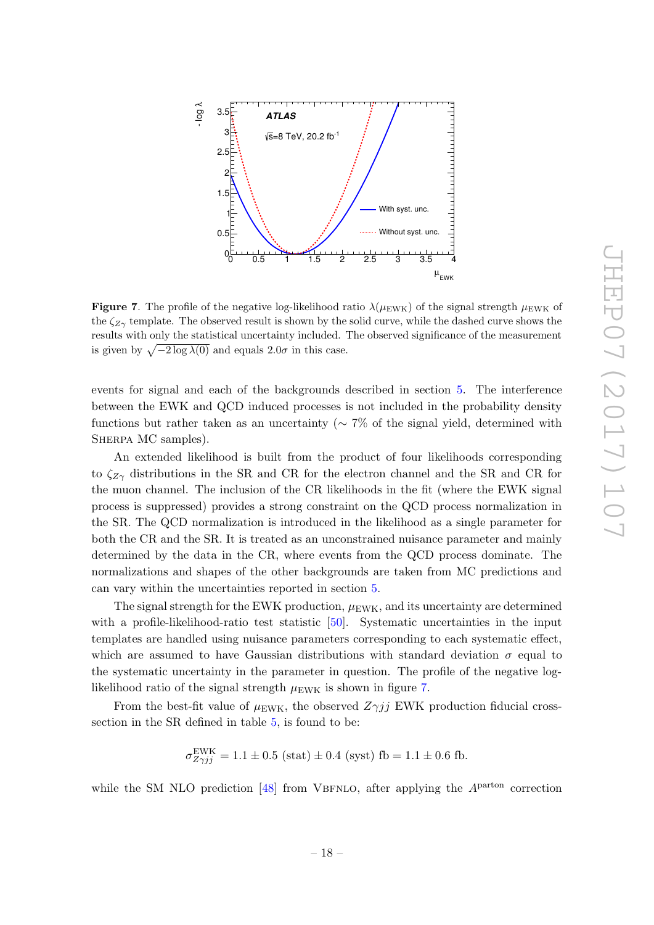

<span id="page-18-0"></span>**Figure 7.** The profile of the negative log-likelihood ratio  $\lambda(\mu_{\text{EWK}})$  of the signal strength  $\mu_{\text{EWK}}$  of the  $\zeta_{Z\gamma}$  template. The observed result is shown by the solid curve, while the dashed curve shows the results with only the statistical uncertainty included. The observed significance of the measurement is given by  $\sqrt{-2 \log \lambda(0)}$  and equals  $2.0\sigma$  in this case.

events for signal and each of the backgrounds described in section [5.](#page-9-0) The interference between the EWK and QCD induced processes is not included in the probability density functions but rather taken as an uncertainty ( $\sim 7\%$  of the signal yield, determined with SHERPA MC samples).

An extended likelihood is built from the product of four likelihoods corresponding to  $\zeta_{Z\gamma}$  distributions in the SR and CR for the electron channel and the SR and CR for the muon channel. The inclusion of the CR likelihoods in the fit (where the EWK signal process is suppressed) provides a strong constraint on the QCD process normalization in the SR. The QCD normalization is introduced in the likelihood as a single parameter for both the CR and the SR. It is treated as an unconstrained nuisance parameter and mainly determined by the data in the CR, where events from the QCD process dominate. The normalizations and shapes of the other backgrounds are taken from MC predictions and can vary within the uncertainties reported in section [5.](#page-9-0)

The signal strength for the EWK production,  $\mu_{\text{EWK}}$ , and its uncertainty are determined with a profile-likelihood-ratio test statistic [\[50\]](#page-29-13). Systematic uncertainties in the input templates are handled using nuisance parameters corresponding to each systematic effect, which are assumed to have Gaussian distributions with standard deviation  $\sigma$  equal to the systematic uncertainty in the parameter in question. The profile of the negative loglikelihood ratio of the signal strength  $\mu_{\text{EWK}}$  is shown in figure [7.](#page-18-0)

From the best-fit value of  $\mu_{\text{EWK}}$ , the observed  $Z\gamma jj$  EWK production fiducial crosssection in the SR defined in table [5,](#page-17-1) is found to be:

$$
\sigma_{Z\gamma jj}^{\text{EWK}} = 1.1 \pm 0.5
$$
 (stat)  $\pm 0.4$  (syst) fb = 1.1  $\pm$  0.6 fb.

while the SM NLO prediction [\[48\]](#page-29-11) from VBFNLO, after applying the  $A<sup>parton</sup>$  correction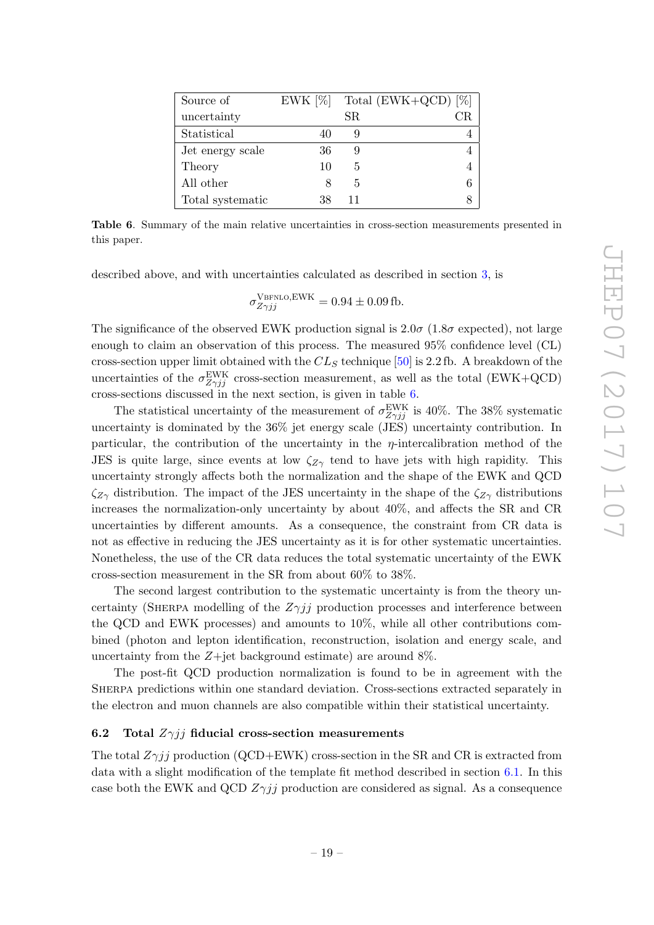| Source of        | EWK $[\%]$ |    | Total $(EWK+QCD)$ [%] |
|------------------|------------|----|-----------------------|
| uncertainty      |            | SR |                       |
| Statistical      |            |    |                       |
| Jet energy scale | 36         |    |                       |
| Theory           | 10         | 5  |                       |
| All other        |            | 5  |                       |
| Total systematic | 38         | 11 |                       |

<span id="page-19-1"></span>Table 6. Summary of the main relative uncertainties in cross-section measurements presented in this paper.

described above, and with uncertainties calculated as described in section [3,](#page-4-0) is

$$
\sigma_{Z\gamma jj}^{\text{VBFNLO,EWK}} = 0.94 \pm 0.09 \,\text{fb}.
$$

The significance of the observed EWK production signal is  $2.0\sigma$  (1.8 $\sigma$  expected), not large enough to claim an observation of this process. The measured 95% confidence level (CL) cross-section upper limit obtained with the  $CL_S$  technique [\[50\]](#page-29-13) is 2.2 fb. A breakdown of the uncertainties of the  $\sigma_{Z\gamma jj}^{\text{EWK}}$  cross-section measurement, as well as the total (EWK+QCD) cross-sections discussed in the next section, is given in table [6.](#page-19-1)

The statistical uncertainty of the measurement of  $\sigma_{Z\gamma jj}^{\text{EWK}}$  is 40%. The 38% systematic uncertainty is dominated by the 36% jet energy scale (JES) uncertainty contribution. In particular, the contribution of the uncertainty in the  $\eta$ -intercalibration method of the JES is quite large, since events at low  $\zeta_{Z\gamma}$  tend to have jets with high rapidity. This uncertainty strongly affects both the normalization and the shape of the EWK and QCD  $\zeta_{Z\gamma}$  distribution. The impact of the JES uncertainty in the shape of the  $\zeta_{Z\gamma}$  distributions increases the normalization-only uncertainty by about 40%, and affects the SR and CR uncertainties by different amounts. As a consequence, the constraint from CR data is not as effective in reducing the JES uncertainty as it is for other systematic uncertainties. Nonetheless, the use of the CR data reduces the total systematic uncertainty of the EWK cross-section measurement in the SR from about 60% to 38%.

The second largest contribution to the systematic uncertainty is from the theory uncertainty (SHERPA modelling of the  $Z\gamma jj$  production processes and interference between the QCD and EWK processes) and amounts to 10%, while all other contributions combined (photon and lepton identification, reconstruction, isolation and energy scale, and uncertainty from the  $Z+$ jet background estimate) are around  $8\%$ .

The post-fit QCD production normalization is found to be in agreement with the Sherpa predictions within one standard deviation. Cross-sections extracted separately in the electron and muon channels are also compatible within their statistical uncertainty.

## <span id="page-19-0"></span>6.2 Total  $Z\gamma jj$  fiducial cross-section measurements

The total  $Z\gamma jj$  production (QCD+EWK) cross-section in the SR and CR is extracted from data with a slight modification of the template fit method described in section [6.1.](#page-17-0) In this case both the EWK and QCD  $Z\gamma jj$  production are considered as signal. As a consequence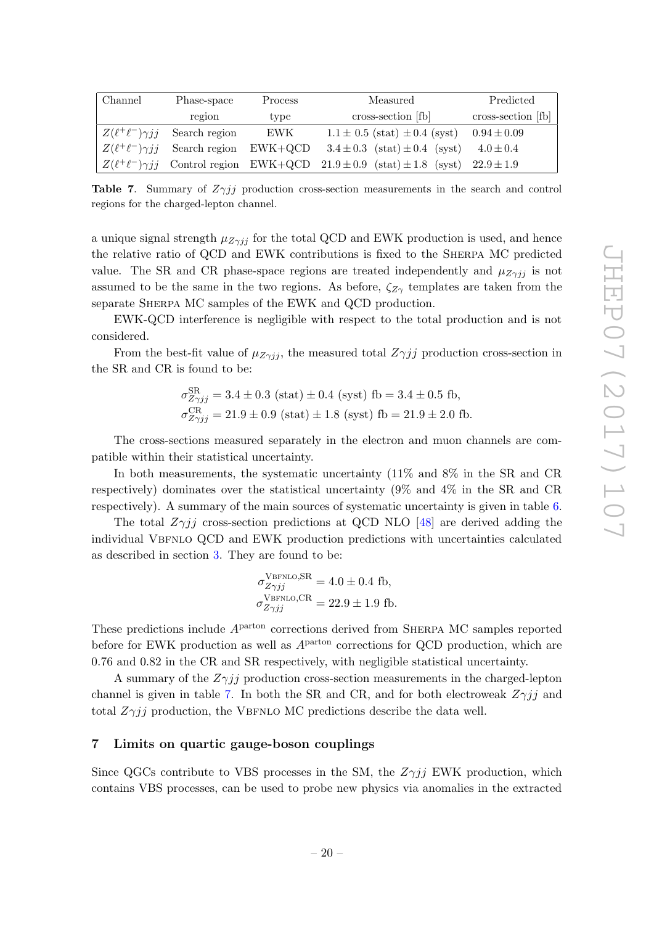| Channel                    | Phase-space   | Process   | Measured                                                                     | Predicted          |
|----------------------------|---------------|-----------|------------------------------------------------------------------------------|--------------------|
|                            | region        | type      | cross-section [fb]                                                           | cross-section [fb] |
| $Z(\ell^+\ell^-)\gamma jj$ | Search region | EWK       | $1.1 \pm 0.5$ (stat) $\pm 0.4$ (syst)                                        | $0.94 \pm 0.09$    |
| $Z(\ell^+\ell^-)\gamma jj$ | Search region | $EWK+QCD$ | $3.4 \pm 0.3$ (stat) $\pm 0.4$ (syst)                                        | $4.0 \pm 0.4$      |
| $Z(\ell^+\ell^-)\gamma jj$ |               |           | Control region EWK+QCD $21.9 \pm 0.9$ (stat) $\pm 1.8$ (syst) $22.9 \pm 1.9$ |                    |

<span id="page-20-1"></span>**Table 7.** Summary of  $Z\gamma jj$  production cross-section measurements in the search and control regions for the charged-lepton channel.

a unique signal strength  $\mu_{Z\gamma ij}$  for the total QCD and EWK production is used, and hence the relative ratio of QCD and EWK contributions is fixed to the Sherpa MC predicted value. The SR and CR phase-space regions are treated independently and  $\mu_{Z\gamma jj}$  is not assumed to be the same in the two regions. As before,  $\zeta_{Z\gamma}$  templates are taken from the separate SHERPA MC samples of the EWK and QCD production.

EWK-QCD interference is negligible with respect to the total production and is not considered.

From the best-fit value of  $\mu_{Z\gamma jj}$ , the measured total  $Z\gamma jj$  production cross-section in the SR and CR is found to be:

$$
\sigma_{Z\gamma jj}^{\text{SR}} = 3.4 \pm 0.3 \text{ (stat)} \pm 0.4 \text{ (syst) } \text{fb} = 3.4 \pm 0.5 \text{ fb},
$$
  

$$
\sigma_{Z\gamma jj}^{\text{CR}} = 21.9 \pm 0.9 \text{ (stat)} \pm 1.8 \text{ (syst) } \text{fb} = 21.9 \pm 2.0 \text{ fb}.
$$

The cross-sections measured separately in the electron and muon channels are compatible within their statistical uncertainty.

In both measurements, the systematic uncertainty (11% and 8% in the SR and CR respectively) dominates over the statistical uncertainty (9% and 4% in the SR and CR respectively). A summary of the main sources of systematic uncertainty is given in table [6.](#page-19-1)

The total  $Z\gamma ij$  cross-section predictions at QCD NLO [\[48\]](#page-29-11) are derived adding the individual VBFNLO QCD and EWK production predictions with uncertainties calculated as described in section [3.](#page-4-0) They are found to be:

$$
\sigma_{Z\gamma jj}^{\text{VBFNLO,SR}} = 4.0 \pm 0.4 \text{ fb},
$$
  

$$
\sigma_{Z\gamma jj}^{\text{VBFNLO,CR}} = 22.9 \pm 1.9 \text{ fb}.
$$

These predictions include  $A<sup>parton</sup>$  corrections derived from SHERPA MC samples reported before for EWK production as well as  $A<sup>parton</sup>$  corrections for QCD production, which are 0.76 and 0.82 in the CR and SR respectively, with negligible statistical uncertainty.

A summary of the  $Z\gamma jj$  production cross-section measurements in the charged-lepton channel is given in table [7.](#page-20-1) In both the SR and CR, and for both electroweak  $Z\gamma jj$  and total  $Z\gamma jj$  production, the VBFNLO MC predictions describe the data well.

## <span id="page-20-0"></span>7 Limits on quartic gauge-boson couplings

Since QGCs contribute to VBS processes in the SM, the  $Z\gamma jj$  EWK production, which contains VBS processes, can be used to probe new physics via anomalies in the extracted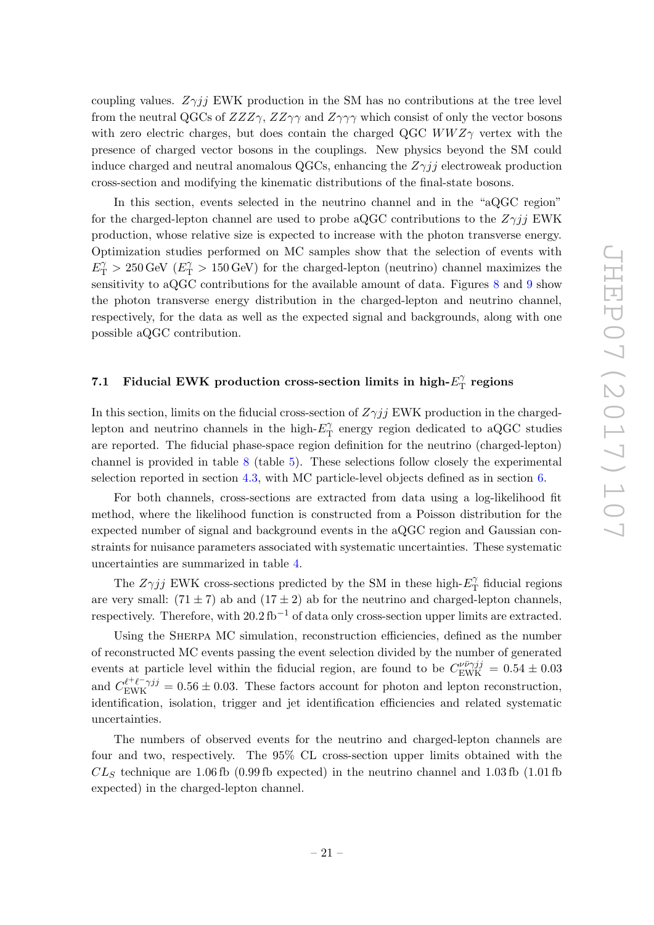coupling values.  $Z\gamma jj$  EWK production in the SM has no contributions at the tree level from the neutral QGCs of  $ZZZ\gamma$ ,  $ZZ\gamma\gamma$  and  $Z\gamma\gamma\gamma$  which consist of only the vector bosons with zero electric charges, but does contain the charged QGC  $WWZ\gamma$  vertex with the presence of charged vector bosons in the couplings. New physics beyond the SM could induce charged and neutral anomalous QGCs, enhancing the  $Z\gamma jj$  electroweak production cross-section and modifying the kinematic distributions of the final-state bosons.

In this section, events selected in the neutrino channel and in the "aQGC region" for the charged-lepton channel are used to probe aQGC contributions to the  $Z\gamma jj$  EWK production, whose relative size is expected to increase with the photon transverse energy. Optimization studies performed on MC samples show that the selection of events with  $E_{\rm T}^{\gamma} > 250 \,\text{GeV}$  ( $E_{\rm T}^{\gamma} > 150 \,\text{GeV}$ ) for the charged-lepton (neutrino) channel maximizes the sensitivity to aQGC contributions for the available amount of data. Figures [8](#page-22-0) and [9](#page-22-1) show the photon transverse energy distribution in the charged-lepton and neutrino channel, respectively, for the data as well as the expected signal and backgrounds, along with one possible aQGC contribution.

#### <span id="page-21-0"></span>7.1 Fiducial EWK production cross-section limits in high- $E_T^{\gamma}$  $T_{\rm T}^{\gamma}$  regions

In this section, limits on the fiducial cross-section of  $Z\gamma jj$  EWK production in the chargedlepton and neutrino channels in the high- $E_{\rm T}^{\gamma}$  $T_{\text{T}}^{\gamma}$  energy region dedicated to aQGC studies are reported. The fiducial phase-space region definition for the neutrino (charged-lepton) channel is provided in table [8](#page-23-1) (table [5\)](#page-17-1). These selections follow closely the experimental selection reported in section [4.3,](#page-8-0) with MC particle-level objects defined as in section [6.](#page-16-0)

For both channels, cross-sections are extracted from data using a log-likelihood fit method, where the likelihood function is constructed from a Poisson distribution for the expected number of signal and background events in the aQGC region and Gaussian constraints for nuisance parameters associated with systematic uncertainties. These systematic uncertainties are summarized in table [4.](#page-12-1)

The  $Z\gamma jj$  EWK cross-sections predicted by the SM in these high- $E_{\rm T}^{\gamma}$  $T_{\text{T}}^{\gamma}$  fiducial regions are very small:  $(71 \pm 7)$  ab and  $(17 \pm 2)$  ab for the neutrino and charged-lepton channels, respectively. Therefore, with  $20.2 \text{ fb}^{-1}$  of data only cross-section upper limits are extracted.

Using the SHERPA MC simulation, reconstruction efficiencies, defined as the number of reconstructed MC events passing the event selection divided by the number of generated events at particle level within the fiducial region, are found to be  $C_{\text{EWK}}^{\nu \bar{\nu} \gamma j j} = 0.54 \pm 0.03$ and  $C_{\text{EWK}}^{\ell^+\ell^-\gamma jj} = 0.56 \pm 0.03$ . These factors account for photon and lepton reconstruction, identification, isolation, trigger and jet identification efficiencies and related systematic uncertainties.

The numbers of observed events for the neutrino and charged-lepton channels are four and two, respectively. The 95% CL cross-section upper limits obtained with the  $CL<sub>S</sub>$  technique are 1.06 fb (0.99 fb expected) in the neutrino channel and 1.03 fb (1.01 fb expected) in the charged-lepton channel.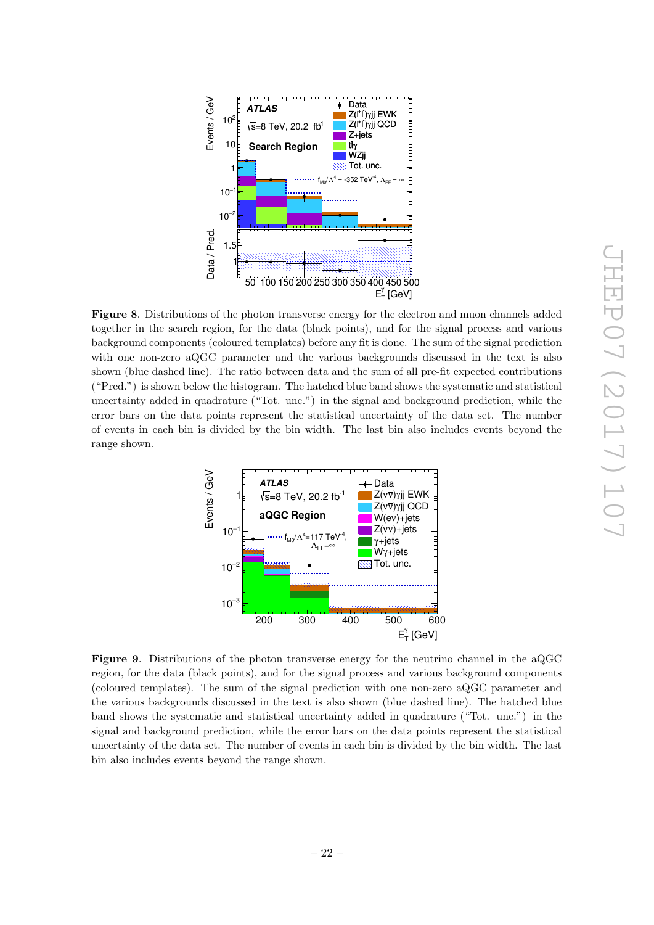

<span id="page-22-0"></span>Figure 8. Distributions of the photon transverse energy for the electron and muon channels added together in the search region, for the data (black points), and for the signal process and various background components (coloured templates) before any fit is done. The sum of the signal prediction with one non-zero aQGC parameter and the various backgrounds discussed in the text is also shown (blue dashed line). The ratio between data and the sum of all pre-fit expected contributions ("Pred.") is shown below the histogram. The hatched blue band shows the systematic and statistical uncertainty added in quadrature ("Tot. unc.") in the signal and background prediction, while the error bars on the data points represent the statistical uncertainty of the data set. The number of events in each bin is divided by the bin width. The last bin also includes events beyond the range shown.



<span id="page-22-1"></span>Figure 9. Distributions of the photon transverse energy for the neutrino channel in the aQGC region, for the data (black points), and for the signal process and various background components (coloured templates). The sum of the signal prediction with one non-zero aQGC parameter and the various backgrounds discussed in the text is also shown (blue dashed line). The hatched blue band shows the systematic and statistical uncertainty added in quadrature ("Tot. unc.") in the signal and background prediction, while the error bars on the data points represent the statistical uncertainty of the data set. The number of events in each bin is divided by the bin width. The last bin also includes events beyond the range shown.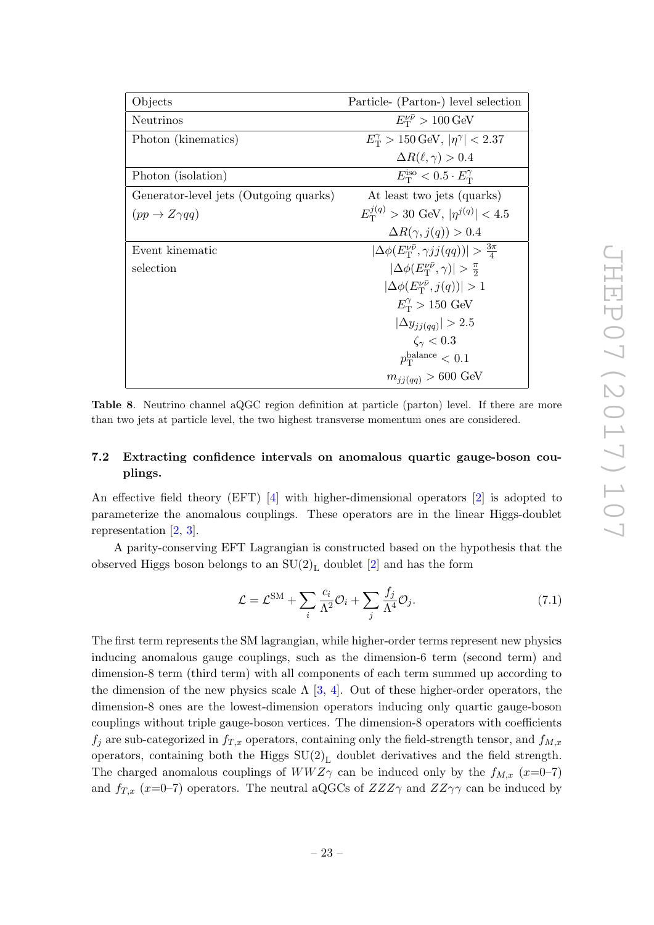| Objects                                | Particle- (Parton-) level selection                                 |
|----------------------------------------|---------------------------------------------------------------------|
| <b>Neutrinos</b>                       | $E_{\rm T}^{\nu\bar\nu} > 100\,\text{GeV}$                          |
| Photon (kinematics)                    | $E_{\rm T}^{\gamma} > 150 \,\text{GeV},  \eta^{\gamma}  < 2.37$     |
|                                        | $\Delta R(\ell,\gamma) > 0.4$                                       |
| Photon (isolation)                     | $E_{\rm T}^{\rm iso} < 0.5 \cdot E_{\rm T}^{\gamma}$                |
| Generator-level jets (Outgoing quarks) | At least two jets (quarks)                                          |
| $(pp \to Z \gamma qq)$                 | $E_{\rm T}^{j(q)} > 30$ GeV, $ \eta^{j(q)}  < 4.5$                  |
|                                        | $\Delta R(\gamma, j(q)) > 0.4$                                      |
| Event kinematic                        | $ \Delta\phi(E_T^{\nu\bar{\nu}}, \gamma j j(qq))  > \frac{3\pi}{4}$ |
| selection                              | $ \Delta\phi(E_{\rm T}^{\nu\bar{\nu}},\gamma) >\frac{\pi}{2}$       |
|                                        | $ \Delta \phi(E_{\rm T}^{\nu \bar{\nu}}, j(q))  > 1$                |
|                                        | $E_{\rm T}^{\gamma} > 150$ GeV                                      |
|                                        | $ \Delta y_{ij(qq)}  > 2.5$                                         |
|                                        | $\zeta_{\gamma} < 0.3$                                              |
|                                        | $p_{\rm T}^{\rm balance} < 0.1$                                     |
|                                        | $m_{jj(qq)} > 600 \text{ GeV}$                                      |

<span id="page-23-1"></span>Table 8. Neutrino channel aQGC region definition at particle (parton) level. If there are more than two jets at particle level, the two highest transverse momentum ones are considered.

## <span id="page-23-0"></span>7.2 Extracting confidence intervals on anomalous quartic gauge-boson couplings.

An effective field theory (EFT) [\[4\]](#page-27-1) with higher-dimensional operators [\[2\]](#page-27-10) is adopted to parameterize the anomalous couplings. These operators are in the linear Higgs-doublet representation [\[2,](#page-27-10) [3\]](#page-27-11).

A parity-conserving EFT Lagrangian is constructed based on the hypothesis that the observed Higgs boson belongs to an  $SU(2)_L$  doublet  $[2]$  and has the form

$$
\mathcal{L} = \mathcal{L}^{\text{SM}} + \sum_{i} \frac{c_i}{\Lambda^2} \mathcal{O}_i + \sum_{j} \frac{f_j}{\Lambda^4} \mathcal{O}_j. \tag{7.1}
$$

The first term represents the SM lagrangian, while higher-order terms represent new physics inducing anomalous gauge couplings, such as the dimension-6 term (second term) and dimension-8 term (third term) with all components of each term summed up according to the dimension of the new physics scale  $\Lambda$  [\[3,](#page-27-11) [4\]](#page-27-1). Out of these higher-order operators, the dimension-8 ones are the lowest-dimension operators inducing only quartic gauge-boson couplings without triple gauge-boson vertices. The dimension-8 operators with coefficients  $f_i$  are sub-categorized in  $f_{T,x}$  operators, containing only the field-strength tensor, and  $f_{M,x}$ operators, containing both the Higgs  $SU(2)_L$  doublet derivatives and the field strength. The charged anomalous couplings of  $WWZ\gamma$  can be induced only by the  $f_{M,x}$  (x=0–7) and  $f_{T,x}$  (x=0–7) operators. The neutral aQGCs of  $ZZZ\gamma$  and  $ZZ\gamma\gamma$  can be induced by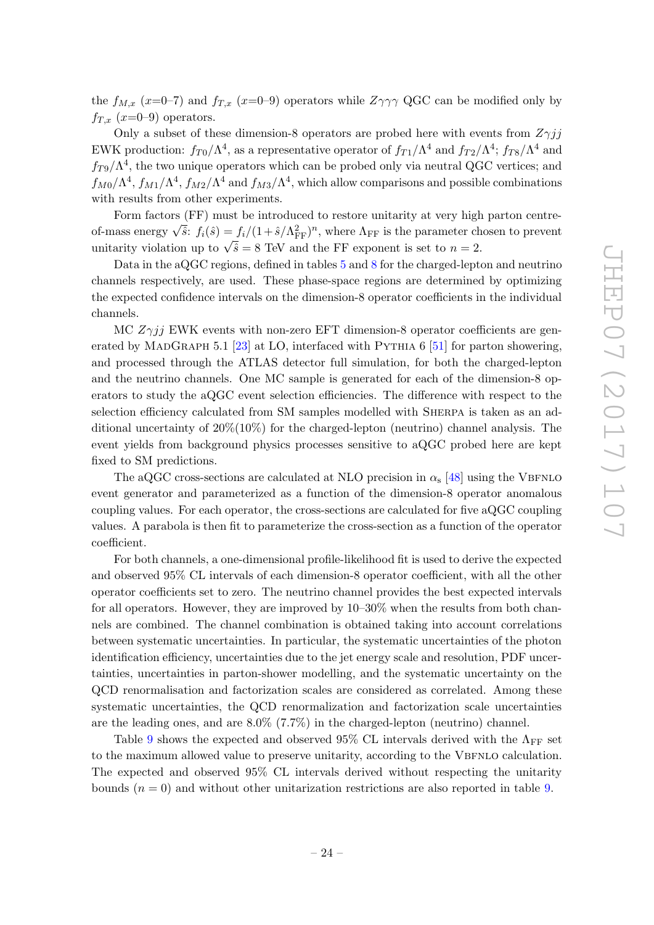the  $f_{M,x}$  (x=0–7) and  $f_{T,x}$  (x=0–9) operators while  $Z\gamma\gamma\gamma$  QGC can be modified only by  $f_{T,x}$  (x=0–9) operators.

Only a subset of these dimension-8 operators are probed here with events from  $Z\gamma jj$ EWK production:  $f_{T0}/\Lambda^4$ , as a representative operator of  $f_{T1}/\Lambda^4$  and  $f_{T2}/\Lambda^4$ ;  $f_{T8}/\Lambda^4$  and  $f_{T9}/\Lambda^4$ , the two unique operators which can be probed only via neutral QGC vertices; and  $f_{M0}/\Lambda^4$ ,  $f_{M1}/\Lambda^4$ ,  $f_{M2}/\Lambda^4$  and  $f_{M3}/\Lambda^4$ , which allow comparisons and possible combinations with results from other experiments.

Form factors (FF) must be introduced to restore unitarity at very high parton centre-Form factors (FF) must be introduced to restore unitarity at very high parton centre-<br>of-mass energy  $\sqrt{\hat{s}}$ :  $f_i(\hat{s}) = f_i/(1 + \hat{s}/\Lambda_{FF}^2)^n$ , where  $\Lambda_{FF}$  is the parameter chosen to prevent of-mass energy vs.  $f_i(s) = f_i/(1+s) \Lambda_{\text{FF}}$ , where  $\Lambda_{\text{FF}}$  is the parameter on unitarity violation up to  $\sqrt{\hat{s}} = 8$  TeV and the FF exponent is set to  $n = 2$ .

Data in the aQGC regions, defined in tables [5](#page-17-1) and [8](#page-23-1) for the charged-lepton and neutrino channels respectively, are used. These phase-space regions are determined by optimizing the expected confidence intervals on the dimension-8 operator coefficients in the individual channels.

MC  $Z\gamma jj$  EWK events with non-zero EFT dimension-8 operator coefficients are gen-erated by MADGRAPH 5.1 [\[23\]](#page-28-6) at LO, interfaced with PYTHIA  $6$  [\[51\]](#page-29-14) for parton showering, and processed through the ATLAS detector full simulation, for both the charged-lepton and the neutrino channels. One MC sample is generated for each of the dimension-8 operators to study the aQGC event selection efficiencies. The difference with respect to the selection efficiency calculated from SM samples modelled with Sherpa is taken as an additional uncertainty of  $20\% (10\%)$  for the charged-lepton (neutrino) channel analysis. The event yields from background physics processes sensitive to aQGC probed here are kept fixed to SM predictions.

The aQGC cross-sections are calculated at NLO precision in  $\alpha_s$  [\[48\]](#page-29-11) using the VBFNLO event generator and parameterized as a function of the dimension-8 operator anomalous coupling values. For each operator, the cross-sections are calculated for five aQGC coupling values. A parabola is then fit to parameterize the cross-section as a function of the operator coefficient.

For both channels, a one-dimensional profile-likelihood fit is used to derive the expected and observed 95% CL intervals of each dimension-8 operator coefficient, with all the other operator coefficients set to zero. The neutrino channel provides the best expected intervals for all operators. However, they are improved by 10–30% when the results from both channels are combined. The channel combination is obtained taking into account correlations between systematic uncertainties. In particular, the systematic uncertainties of the photon identification efficiency, uncertainties due to the jet energy scale and resolution, PDF uncertainties, uncertainties in parton-shower modelling, and the systematic uncertainty on the QCD renormalisation and factorization scales are considered as correlated. Among these systematic uncertainties, the QCD renormalization and factorization scale uncertainties are the leading ones, and are 8.0% (7.7%) in the charged-lepton (neutrino) channel.

Table [9](#page-25-1) shows the expected and observed 95% CL intervals derived with the  $\Lambda_{\text{FF}}$  set to the maximum allowed value to preserve unitarity, according to the VBFNLO calculation. The expected and observed 95% CL intervals derived without respecting the unitarity bounds  $(n = 0)$  and without other unitarization restrictions are also reported in table [9.](#page-25-1)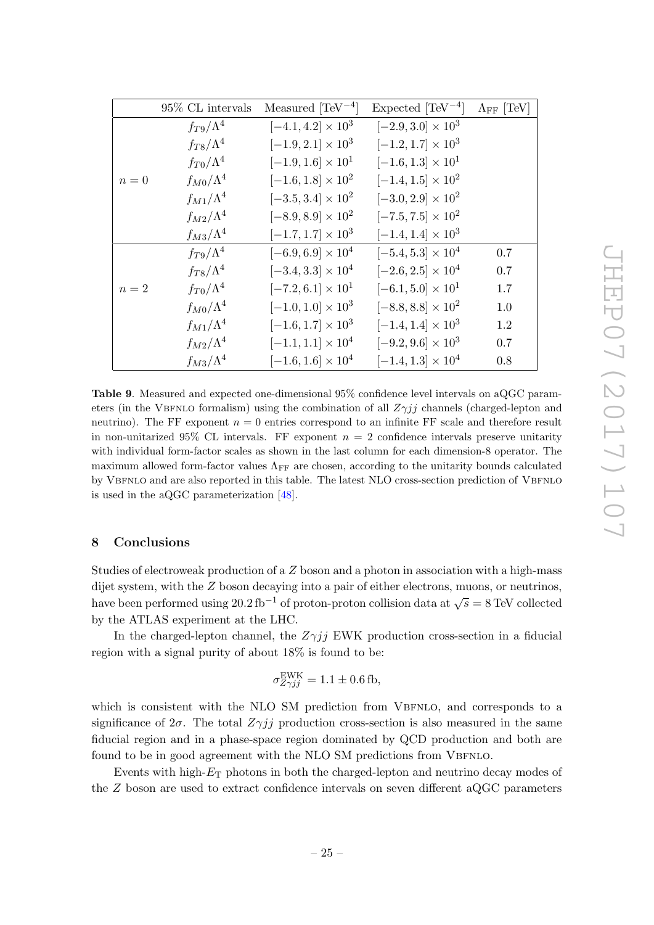|                                 | 95% CL intervals   | Measured $[TeV^{-4}]$       | Expected $[TeV^{-4}]$       | $\Lambda_{\text{FF}}$ [TeV] |
|---------------------------------|--------------------|-----------------------------|-----------------------------|-----------------------------|
|                                 | $f_{T9}/\Lambda^4$ | $[-4.1, 4.2] \times 10^3$   | $[-2.9, 3.0] \times 10^3$   |                             |
|                                 | $f_{T8}/\Lambda^4$ | $[-1.9, 2.1] \times 10^3$   | $[-1.2, 1.7] \times 10^3$   |                             |
|                                 | $f_{T0}/\Lambda^4$ | $[-1.9, 1.6] \times 10^{1}$ | $[-1.6, 1.3] \times 10^{1}$ |                             |
| $\boldsymbol{n}=\boldsymbol{0}$ | $f_{M0}/\Lambda^4$ | $[-1.6, 1.8] \times 10^2$   | $[-1.4, 1.5] \times 10^2$   |                             |
|                                 | $f_{M1}/\Lambda^4$ | $[-3.5, 3.4] \times 10^2$   | $[-3.0, 2.9] \times 10^2$   |                             |
|                                 | $f_{M2}/\Lambda^4$ | $[-8.9, 8.9] \times 10^2$   | $[-7.5, 7.5] \times 10^2$   |                             |
|                                 | $f_{M3}/\Lambda^4$ | $[-1.7, 1.7] \times 10^3$   | $[-1.4, 1.4] \times 10^3$   |                             |
|                                 | $f_{T9}/\Lambda^4$ | $[-6.9, 6.9] \times 10^4$   | $[-5.4, 5.3] \times 10^4$   | 0.7                         |
|                                 | $f_{T8}/\Lambda^4$ | $[-3.4, 3.3] \times 10^4$   | $[-2.6, 2.5] \times 10^4$   | 0.7                         |
| $n=2$                           | $f_{T0}/\Lambda^4$ | $[-7.2, 6.1] \times 10^{1}$ | $[-6.1, 5.0] \times 10^{1}$ | 1.7                         |
|                                 | $f_{M0}/\Lambda^4$ | $[-1.0, 1.0] \times 10^3$   | $[-8.8, 8.8] \times 10^2$   | 1.0                         |
|                                 | $f_{M1}/\Lambda^4$ | $[-1.6, 1.7] \times 10^3$   | $[-1.4, 1.4] \times 10^3$   | 1.2                         |
|                                 | $f_{M2}/\Lambda^4$ | $[-1.1, 1.1] \times 10^4$   | $[-9.2, 9.6] \times 10^3$   | 0.7                         |
|                                 | $f_{M3}/\Lambda^4$ | $[-1.6, 1.6] \times 10^4$   | $[-1.4, 1.3] \times 10^4$   | 0.8                         |

<span id="page-25-1"></span>Table 9. Measured and expected one-dimensional 95% confidence level intervals on aQGC parameters (in the VBFNLO formalism) using the combination of all  $Z\gamma jj$  channels (charged-lepton and neutrino). The FF exponent  $n = 0$  entries correspond to an infinite FF scale and therefore result in non-unitarized 95% CL intervals. FF exponent  $n = 2$  confidence intervals preserve unitarity with individual form-factor scales as shown in the last column for each dimension-8 operator. The maximum allowed form-factor values  $\Lambda_{\text{FF}}$  are chosen, according to the unitarity bounds calculated by VBFNLO and are also reported in this table. The latest NLO cross-section prediction of VBFNLO is used in the aQGC parameterization [\[48\]](#page-29-11).

### <span id="page-25-0"></span>8 Conclusions

Studies of electroweak production of a Z boson and a photon in association with a high-mass dijet system, with the Z boson decaying into a pair of either electrons, muons, or neutrinos, have been performed using 20.2 fb<sup>-1</sup> of proton-proton collision data at  $\sqrt{s} = 8$  TeV collected by the ATLAS experiment at the LHC.

In the charged-lepton channel, the  $Z\gamma jj$  EWK production cross-section in a fiducial region with a signal purity of about 18% is found to be:

$$
\sigma_{Z\gamma jj}^{\text{EWK}} = 1.1 \pm 0.6 \,\text{fb},
$$

which is consistent with the NLO SM prediction from VBFNLO, and corresponds to a significance of  $2\sigma$ . The total  $Z\gamma jj$  production cross-section is also measured in the same fiducial region and in a phase-space region dominated by QCD production and both are found to be in good agreement with the NLO SM predictions from VBFNLO.

Events with high- $E<sub>T</sub>$  photons in both the charged-lepton and neutrino decay modes of the Z boson are used to extract confidence intervals on seven different aQGC parameters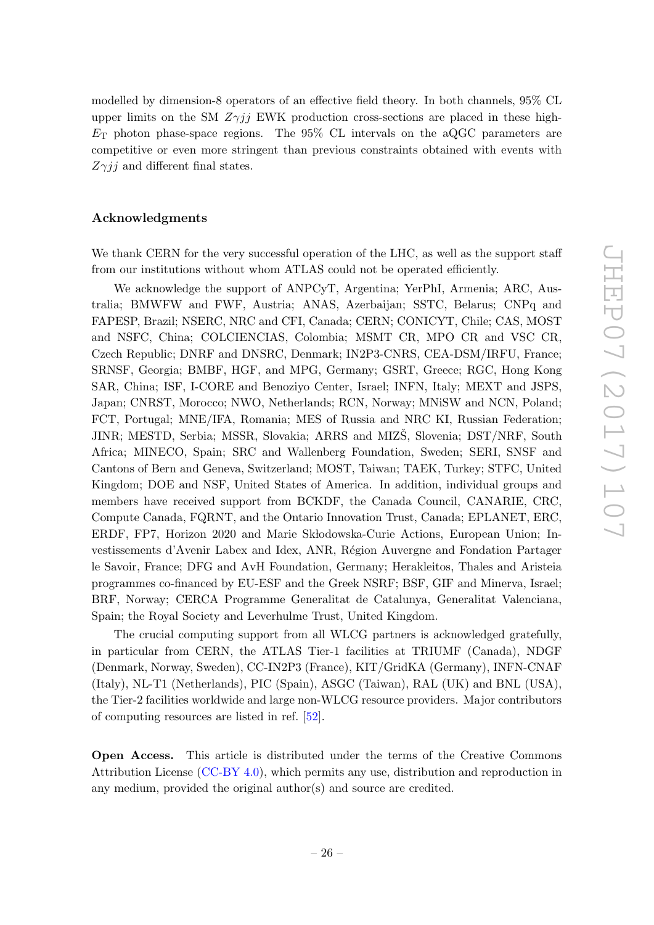modelled by dimension-8 operators of an effective field theory. In both channels, 95% CL upper limits on the SM  $Z\gamma i\bar{j}$  EWK production cross-sections are placed in these high- $E<sub>T</sub>$  photon phase-space regions. The 95% CL intervals on the aQGC parameters are competitive or even more stringent than previous constraints obtained with events with  $Z\gamma ij$  and different final states.

#### Acknowledgments

We thank CERN for the very successful operation of the LHC, as well as the support staff from our institutions without whom ATLAS could not be operated efficiently.

We acknowledge the support of ANPCyT, Argentina; YerPhI, Armenia; ARC, Australia; BMWFW and FWF, Austria; ANAS, Azerbaijan; SSTC, Belarus; CNPq and FAPESP, Brazil; NSERC, NRC and CFI, Canada; CERN; CONICYT, Chile; CAS, MOST and NSFC, China; COLCIENCIAS, Colombia; MSMT CR, MPO CR and VSC CR, Czech Republic; DNRF and DNSRC, Denmark; IN2P3-CNRS, CEA-DSM/IRFU, France; SRNSF, Georgia; BMBF, HGF, and MPG, Germany; GSRT, Greece; RGC, Hong Kong SAR, China; ISF, I-CORE and Benoziyo Center, Israel; INFN, Italy; MEXT and JSPS, Japan; CNRST, Morocco; NWO, Netherlands; RCN, Norway; MNiSW and NCN, Poland; FCT, Portugal; MNE/IFA, Romania; MES of Russia and NRC KI, Russian Federation; JINR; MESTD, Serbia; MSSR, Slovakia; ARRS and MIZS, Slovenia; DST/NRF, South Africa; MINECO, Spain; SRC and Wallenberg Foundation, Sweden; SERI, SNSF and Cantons of Bern and Geneva, Switzerland; MOST, Taiwan; TAEK, Turkey; STFC, United Kingdom; DOE and NSF, United States of America. In addition, individual groups and members have received support from BCKDF, the Canada Council, CANARIE, CRC, Compute Canada, FQRNT, and the Ontario Innovation Trust, Canada; EPLANET, ERC, ERDF, FP7, Horizon 2020 and Marie Skłodowska-Curie Actions, European Union; Investissements d'Avenir Labex and Idex, ANR, R´egion Auvergne and Fondation Partager le Savoir, France; DFG and AvH Foundation, Germany; Herakleitos, Thales and Aristeia programmes co-financed by EU-ESF and the Greek NSRF; BSF, GIF and Minerva, Israel; BRF, Norway; CERCA Programme Generalitat de Catalunya, Generalitat Valenciana, Spain; the Royal Society and Leverhulme Trust, United Kingdom.

The crucial computing support from all WLCG partners is acknowledged gratefully, in particular from CERN, the ATLAS Tier-1 facilities at TRIUMF (Canada), NDGF (Denmark, Norway, Sweden), CC-IN2P3 (France), KIT/GridKA (Germany), INFN-CNAF (Italy), NL-T1 (Netherlands), PIC (Spain), ASGC (Taiwan), RAL (UK) and BNL (USA), the Tier-2 facilities worldwide and large non-WLCG resource providers. Major contributors of computing resources are listed in ref. [\[52\]](#page-29-15).

Open Access. This article is distributed under the terms of the Creative Commons Attribution License [\(CC-BY 4.0\)](https://creativecommons.org/licenses/by/4.0/), which permits any use, distribution and reproduction in any medium, provided the original author(s) and source are credited.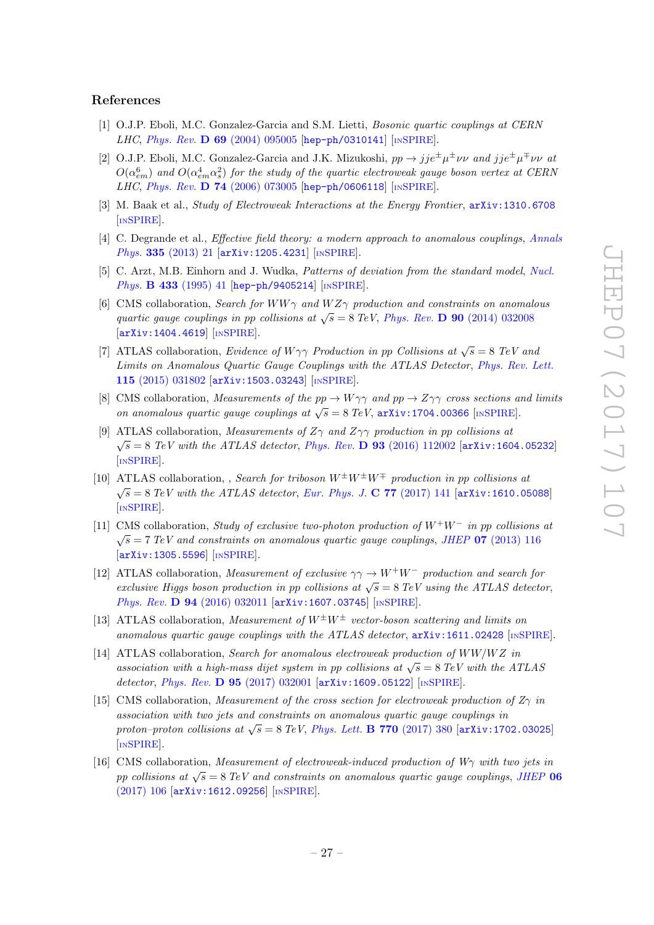#### References

- <span id="page-27-0"></span>[1] O.J.P. Eboli, M.C. Gonzalez-Garcia and S.M. Lietti, Bosonic quartic couplings at CERN LHC, Phys. Rev. D 69 [\(2004\) 095005](https://doi.org/10.1103/PhysRevD.69.095005) [[hep-ph/0310141](https://arxiv.org/abs/hep-ph/0310141)] [IN[SPIRE](https://inspirehep.net/search?p=find+EPRINT+hep-ph/0310141)].
- <span id="page-27-10"></span>[2] O.J.P. Eboli, M.C. Gonzalez-Garcia and J.K. Mizukoshi,  $pp \to jje^{\pm}\mu^{\pm}\nu\nu$  and  $jje^{\pm}\mu^{\mp}\nu\nu$  at  $O(\alpha_{em}^6)$  and  $O(\alpha_{em}^4 \alpha_s^2)$  for the study of the quartic electroweak gauge boson vertex at CERN LHC, Phys. Rev. D 74 [\(2006\) 073005](https://doi.org/10.1103/PhysRevD.74.073005) [[hep-ph/0606118](https://arxiv.org/abs/hep-ph/0606118)] [IN[SPIRE](https://inspirehep.net/search?p=find+EPRINT+hep-ph/0606118)].
- <span id="page-27-11"></span>[3] M. Baak et al., Study of Electroweak Interactions at the Energy Frontier, [arXiv:1310.6708](https://arxiv.org/abs/1310.6708) [IN[SPIRE](https://inspirehep.net/search?p=find+EPRINT+arXiv:1310.6708)].
- <span id="page-27-1"></span>[4] C. Degrande et al., *Effective field theory: a modern approach to anomalous couplings*, *[Annals](https://doi.org/10.1016/j.aop.2013.04.016)* Phys. 335 [\(2013\) 21](https://doi.org/10.1016/j.aop.2013.04.016) [[arXiv:1205.4231](https://arxiv.org/abs/1205.4231)] [IN[SPIRE](https://inspirehep.net/search?p=find+EPRINT+arXiv:1205.4231)].
- <span id="page-27-2"></span>[5] C. Arzt, M.B. Einhorn and J. Wudka, *Patterns of deviation from the standard model*, *[Nucl.](https://doi.org/10.1016/0550-3213(94)00336-D)* Phys. **B 433** [\(1995\) 41](https://doi.org/10.1016/0550-3213(94)00336-D) [[hep-ph/9405214](https://arxiv.org/abs/hep-ph/9405214)] [IN[SPIRE](https://inspirehep.net/search?p=find+EPRINT+hep-ph/9405214)].
- <span id="page-27-3"></span>[6] CMS collaboration, Search for WW $\gamma$  and WZ $\gamma$  production and constraints on anomalous quartic gauge couplings in pp collisions at  $\sqrt{s} = 8 \text{ TeV}$ , Phys. Rev. **D** 90 [\(2014\) 032008](https://doi.org/10.1103/PhysRevD.90.032008) [[arXiv:1404.4619](https://arxiv.org/abs/1404.4619)] [IN[SPIRE](https://inspirehep.net/search?p=find+EPRINT+arXiv:1404.4619)].
- [7] ATLAS collaboration, Evidence of  $W\gamma\gamma$  Production in pp Collisions at  $\sqrt{s} = 8$  TeV and Limits on Anomalous Quartic Gauge Couplings with the ATLAS Detector, [Phys. Rev. Lett.](https://doi.org/10.1103/PhysRevLett.115.031802) 115 [\(2015\) 031802](https://doi.org/10.1103/PhysRevLett.115.031802) [[arXiv:1503.03243](https://arxiv.org/abs/1503.03243)] [IN[SPIRE](https://inspirehep.net/search?p=find+EPRINT+arXiv1503.03243:)].
- [8] CMS collaboration, Measurements of the  $pp \to W\gamma\gamma$  and  $pp \to Z\gamma\gamma$  cross sections and limits on anomalous quartic gauge couplings at  $\sqrt{s} = 8 \text{ TeV}$ ,  $\frac{\text{arXiv:1704.00366}}{\text{[NSPIRE]}}$  $\frac{\text{arXiv:1704.00366}}{\text{[NSPIRE]}}$  $\frac{\text{arXiv:1704.00366}}{\text{[NSPIRE]}}$  $\frac{\text{arXiv:1704.00366}}{\text{[NSPIRE]}}$  $\frac{\text{arXiv:1704.00366}}{\text{[NSPIRE]}}$ .
- <span id="page-27-9"></span>[9] ATLAS collaboration, Measurements of  $Z\gamma$  and  $Z\gamma\gamma$  production in pp collisions at  $\sqrt{s} = 8$  TeV with the ATLAS detector, Phys. Rev. **D** 93 [\(2016\) 112002](https://doi.org/10.1103/PhysRevD.93.112002) [[arXiv:1604.05232](https://arxiv.org/abs/1604.05232)] [IN[SPIRE](https://inspirehep.net/search?p=find+EPRINT+arXiv:1604.05232)].
- <span id="page-27-4"></span>[10] ATLAS collaboration, , Search for triboson  $W^{\pm}W^{\pm}W^{\mp}$  production in pp collisions at  $\sqrt{s} = 8 \text{ TeV}$  with the ATLAS detector, [Eur. Phys. J.](https://doi.org/10.1140/epjc/s10052-017-4692-1) C 77 (2017) 141 [[arXiv:1610.05088](https://arxiv.org/abs/1610.05088)] [IN[SPIRE](https://inspirehep.net/search?p=find+EPRINT+arXiv:1610.05088)].
- <span id="page-27-5"></span>[11] CMS collaboration, Study of exclusive two-photon production of  $W^+W^-$  in pp collisions at  $\sqrt{s}$  = 7 TeV and constraints on anomalous quartic gauge couplings, JHEP 07 [\(2013\) 116](https://doi.org/10.1007/JHEP07(2013)116) [[arXiv:1305.5596](https://arxiv.org/abs/1305.5596)] [IN[SPIRE](https://inspirehep.net/search?p=find+EPRINT+arXiv:1305.5596)].
- [12] ATLAS collaboration, Measurement of exclusive  $\gamma \gamma \rightarrow W^+W^-$  production and search for exclusive Higgs boson production in pp collisions at  $\sqrt{s} = 8 \text{ TeV}$  using the ATLAS detector, Phys. Rev. D 94 [\(2016\) 032011](https://doi.org/10.1103/PhysRevD.94.032011) [[arXiv:1607.03745](https://arxiv.org/abs/1607.03745)] [IN[SPIRE](https://inspirehep.net/search?p=find+EPRINT+arXiv:1607.03745)].
- [13] ATLAS collaboration, Measurement of  $W^{\pm}W^{\pm}$  vector-boson scattering and limits on anomalous quartic gauge couplings with the ATLAS detector, [arXiv:1611.02428](https://arxiv.org/abs/1611.02428) [IN[SPIRE](https://inspirehep.net/search?p=find+EPRINT+arXiv:1611.02428)].
- <span id="page-27-6"></span>[14] ATLAS collaboration, Search for anomalous electroweak production of  $WW/WZ$  in AT EXIS CORRECTED, SCREEN FOR anomalous electronical production of  $W W/W Z$  in<br>association with a high-mass dijet system in pp collisions at  $\sqrt{s} = 8 \text{ TeV}$  with the ATLAS detector, Phys. Rev. D 95 [\(2017\) 032001](https://doi.org/10.1103/PhysRevD.95.032001) [[arXiv:1609.05122](https://arxiv.org/abs/1609.05122)] [IN[SPIRE](https://inspirehep.net/search?p=find+EPRINT+arXiv:1609.05122)].
- <span id="page-27-7"></span>[15] CMS collaboration, *Measurement of the cross section for electroweak production of*  $Z_{\gamma}$  in association with two jets and constraints on anomalous quartic gauge couplings in  $\mu$  proton–proton collisions at  $\sqrt{s} = 8 \text{ TeV}$ , [Phys. Lett.](https://doi.org/10.1016/j.physletb.2017.04.071) **B 770** (2017) 380 [[arXiv:1702.03025](https://arxiv.org/abs/1702.03025)] [IN[SPIRE](https://inspirehep.net/search?p=find+EPRINT+arXiv:1702.03025)].
- <span id="page-27-8"></span>[16] CMS collaboration, *Measurement of electroweak-induced production of W* $\gamma$  with two jets in pp collisions at  $\sqrt{s} = 8$  TeV and constraints on anomalous quartic gauge couplings, [JHEP](https://doi.org/10.1007/JHEP06(2017)106) 06 [\(2017\) 106](https://doi.org/10.1007/JHEP06(2017)106) [[arXiv:1612.09256](https://arxiv.org/abs/1612.09256)] [IN[SPIRE](https://inspirehep.net/search?p=find+EPRINT+arXiv:1612.09256)].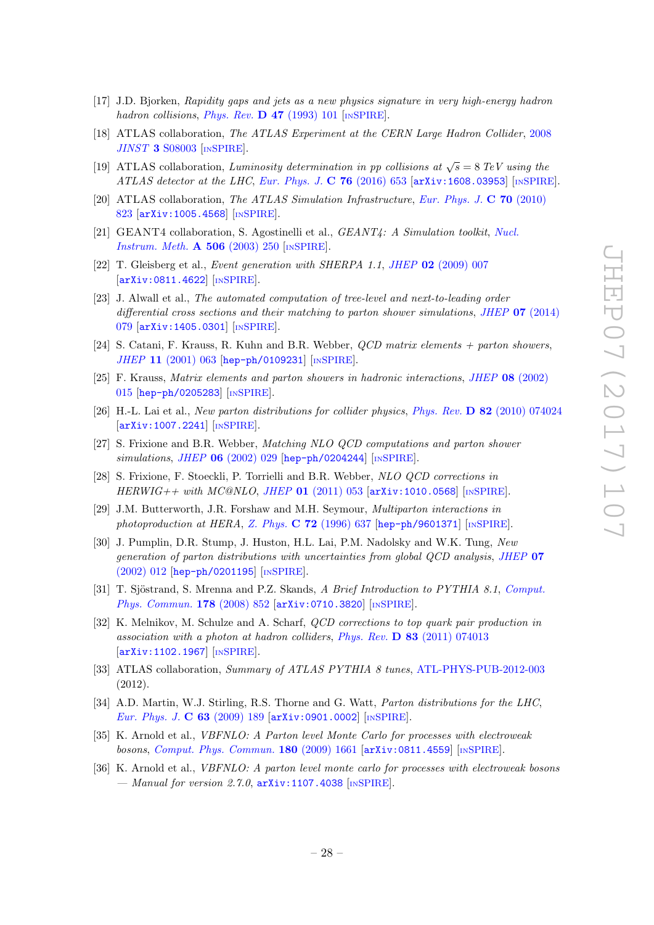- <span id="page-28-0"></span>[17] J.D. Bjorken, Rapidity gaps and jets as a new physics signature in very high-energy hadron hadron collisions, [Phys. Rev.](https://doi.org/10.1103/PhysRevD.47.101) **D 47** (1993) 101 [IN[SPIRE](https://inspirehep.net/search?p=find+J+%22Phys.Rev.,D47,101%22)].
- <span id="page-28-1"></span>[18] ATLAS collaboration, The ATLAS Experiment at the CERN Large Hadron Collider, [2008](https://doi.org/10.1088/1748-0221/3/08/S08003)  $JINST$  3 [S08003](https://doi.org/10.1088/1748-0221/3/08/S08003) [IN[SPIRE](https://inspirehep.net/search?p=find+J+%22JINST,3,S08003%22)].
- <span id="page-28-2"></span>[19] ATLAS collaboration, Luminosity determination in pp collisions at  $\sqrt{s} = 8$  TeV using the ATLAS detector at the LHC, [Eur. Phys. J.](https://doi.org/10.1140/epjc/s10052-016-4466-1)  $C$  76 (2016) 653 [[arXiv:1608.03953](https://arxiv.org/abs/1608.03953)] [IN[SPIRE](https://inspirehep.net/search?p=find+EPRINT+arXiv:1608.03953)].
- <span id="page-28-3"></span>[20] ATLAS collaboration, The ATLAS Simulation Infrastructure, [Eur. Phys. J.](https://doi.org/10.1140/epjc/s10052-010-1429-9) C 70 (2010) [823](https://doi.org/10.1140/epjc/s10052-010-1429-9) [[arXiv:1005.4568](https://arxiv.org/abs/1005.4568)] [IN[SPIRE](https://inspirehep.net/search?p=find+EPRINT+arXiv:1005.4568)].
- <span id="page-28-4"></span>[21] GEANT4 collaboration, S. Agostinelli et al., GEANT4: A Simulation toolkit, [Nucl.](https://doi.org/10.1016/S0168-9002(03)01368-8) [Instrum. Meth.](https://doi.org/10.1016/S0168-9002(03)01368-8) A 506 (2003) 250 [IN[SPIRE](https://inspirehep.net/search?p=find+J+%22Nucl.Instrum.Meth.,A506,250%22)].
- <span id="page-28-5"></span>[22] T. Gleisberg et al., Event generation with SHERPA 1.1, JHEP 02 [\(2009\) 007](https://doi.org/10.1088/1126-6708/2009/02/007) [[arXiv:0811.4622](https://arxiv.org/abs/0811.4622)] [IN[SPIRE](https://inspirehep.net/search?p=find+EPRINT+arXiv:0811.4622)].
- <span id="page-28-6"></span>[23] J. Alwall et al., The automated computation of tree-level and next-to-leading order differential cross sections and their matching to parton shower simulations, JHEP **07** [\(2014\)](https://doi.org/10.1007/JHEP07(2014)079) [079](https://doi.org/10.1007/JHEP07(2014)079) [[arXiv:1405.0301](https://arxiv.org/abs/1405.0301)] [IN[SPIRE](https://inspirehep.net/search?p=find+EPRINT+arXiv:1405.0301)].
- <span id="page-28-7"></span>[24] S. Catani, F. Krauss, R. Kuhn and B.R. Webber, QCD matrix elements + parton showers, JHEP 11 [\(2001\) 063](https://doi.org/10.1088/1126-6708/2001/11/063) [[hep-ph/0109231](https://arxiv.org/abs/hep-ph/0109231)] [IN[SPIRE](https://inspirehep.net/search?p=find+EPRINT+hep-ph/0109231)].
- <span id="page-28-8"></span>[25] F. Krauss, Matrix elements and parton showers in hadronic interactions, JHEP 08 [\(2002\)](https://doi.org/10.1088/1126-6708/2002/08/015) [015](https://doi.org/10.1088/1126-6708/2002/08/015) [[hep-ph/0205283](https://arxiv.org/abs/hep-ph/0205283)] [IN[SPIRE](https://inspirehep.net/search?p=find+EPRINT+hep-ph/0205283)].
- <span id="page-28-9"></span>[26] H.-L. Lai et al., New parton distributions for collider physics, Phys. Rev. D 82 [\(2010\) 074024](https://doi.org/10.1103/PhysRevD.82.074024) [[arXiv:1007.2241](https://arxiv.org/abs/1007.2241)] [IN[SPIRE](https://inspirehep.net/search?p=find+EPRINT+arXiv:1007.2241)].
- <span id="page-28-10"></span>[27] S. Frixione and B.R. Webber, Matching NLO QCD computations and parton shower  $simulations, JHEP$  06 [\(2002\) 029](https://doi.org/10.1088/1126-6708/2002/06/029) [[hep-ph/0204244](https://arxiv.org/abs/hep-ph/0204244)] [IN[SPIRE](https://inspirehep.net/search?p=find+EPRINT+hep-ph/0204244)].
- <span id="page-28-11"></span>[28] S. Frixione, F. Stoeckli, P. Torrielli and B.R. Webber, NLO QCD corrections in  $HERWIG++$  with  $MCOMLO$ , JHEP 01 [\(2011\) 053](https://doi.org/10.1007/JHEP01(2011)053) [[arXiv:1010.0568](https://arxiv.org/abs/1010.0568)] [IN[SPIRE](https://inspirehep.net/search?p=find+EPRINT+arXiv:1010.0568)].
- <span id="page-28-12"></span>[29] J.M. Butterworth, J.R. Forshaw and M.H. Seymour, Multiparton interactions in photoproduction at HERA, Z. Phys.  $C$  72 [\(1996\) 637](https://doi.org/10.1007/BF02909195) [[hep-ph/9601371](https://arxiv.org/abs/hep-ph/9601371)] [IN[SPIRE](https://inspirehep.net/search?p=find+EPRINT+hep-ph/9601371)].
- <span id="page-28-13"></span>[30] J. Pumplin, D.R. Stump, J. Huston, H.L. Lai, P.M. Nadolsky and W.K. Tung, New generation of parton distributions with uncertainties from global QCD analysis, [JHEP](https://doi.org/10.1088/1126-6708/2002/07/012) 07 [\(2002\) 012](https://doi.org/10.1088/1126-6708/2002/07/012) [[hep-ph/0201195](https://arxiv.org/abs/hep-ph/0201195)] [IN[SPIRE](https://inspirehep.net/search?p=find+EPRINT+hep-ph/0201195)].
- <span id="page-28-14"></span>[31] T. Sjöstrand, S. Mrenna and P.Z. Skands, A Brief Introduction to PYTHIA 8.1, [Comput.](https://doi.org/10.1016/j.cpc.2008.01.036) [Phys. Commun.](https://doi.org/10.1016/j.cpc.2008.01.036) 178 (2008) 852 [arXiv: 0710.3820] [IN[SPIRE](https://inspirehep.net/search?p=find+EPRINT+arXiv:0710.3820)].
- <span id="page-28-15"></span>[32] K. Melnikov, M. Schulze and A. Scharf, QCD corrections to top quark pair production in association with a photon at hadron colliders, Phys. Rev.  $\bf{D}$  83 [\(2011\) 074013](https://doi.org/10.1103/PhysRevD.83.074013) [[arXiv:1102.1967](https://arxiv.org/abs/1102.1967)] [IN[SPIRE](https://inspirehep.net/search?p=find+EPRINT+arXiv:1102.1967)].
- <span id="page-28-16"></span>[33] ATLAS collaboration, Summary of ATLAS PYTHIA 8 tunes, [ATL-PHYS-PUB-2012-003](http://cds.cern.ch/record/1474107) (2012).
- <span id="page-28-17"></span>[34] A.D. Martin, W.J. Stirling, R.S. Thorne and G. Watt, *Parton distributions for the LHC*, [Eur. Phys. J.](https://doi.org/10.1140/epjc/s10052-009-1072-5) C 63 (2009) 189  $\left[$ [arXiv:0901.0002](https://arxiv.org/abs/0901.0002) $\right]$   $\left[$ IN[SPIRE](https://inspirehep.net/search?p=find+EPRINT+arXiv:0901.0002) $\right]$ .
- <span id="page-28-18"></span>[35] K. Arnold et al., VBFNLO: A Parton level Monte Carlo for processes with electroweak bosons, [Comput. Phys. Commun.](https://doi.org/10.1016/j.cpc.2009.03.006) 180 (2009) 1661 [[arXiv:0811.4559](https://arxiv.org/abs/0811.4559)] [IN[SPIRE](https://inspirehep.net/search?p=find+EPRINT+arXiv:0811.4559)].
- [36] K. Arnold et al., VBFNLO: A parton level monte carlo for processes with electroweak bosons — Manual for version  $2.7.0$ ,  $arXiv:1107.4038$  [IN[SPIRE](https://inspirehep.net/search?p=find+EPRINT+arXiv:1107.4038)].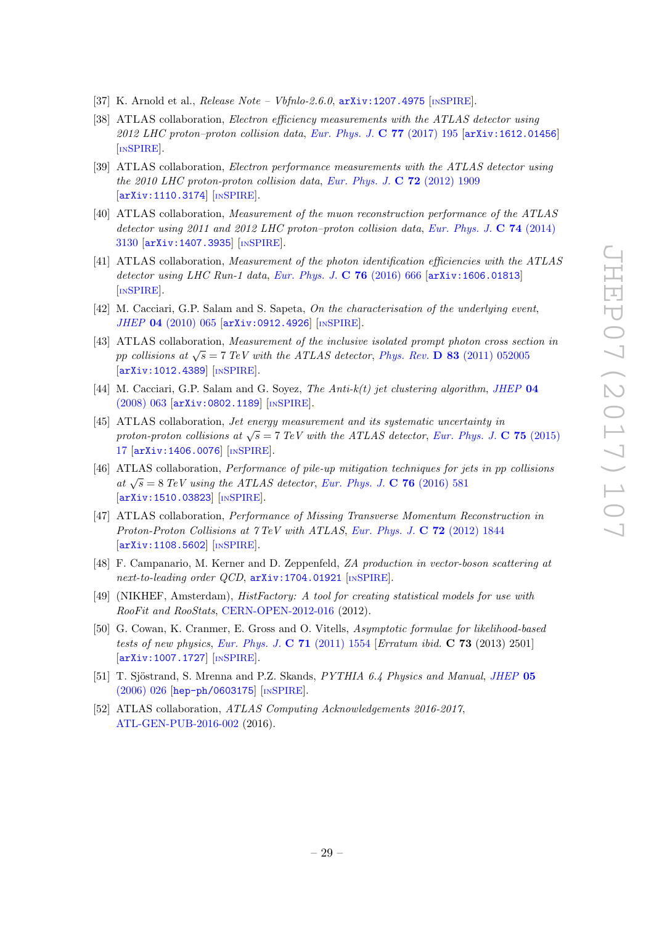- <span id="page-29-0"></span>[37] K. Arnold et al., *Release Note – Vbfnlo-2.6.0*,  $arXiv:1207.4975$  [IN[SPIRE](https://inspirehep.net/search?p=find+EPRINT+arXiv:1207.4975)].
- <span id="page-29-1"></span>[38] ATLAS collaboration, *Electron efficiency measurements with the ATLAS detector using* 2012 LHC proton–proton collision data, [Eur. Phys. J.](https://doi.org/10.1140/epjc/s10052-017-4756-2) C  $77$  (2017) 195  $\left[$ [arXiv:1612.01456](https://arxiv.org/abs/1612.01456) $\right]$ [IN[SPIRE](https://inspirehep.net/search?p=find+EPRINT+arXiv:1612.01456)].
- <span id="page-29-2"></span>[39] ATLAS collaboration, Electron performance measurements with the ATLAS detector using the 2010 LHC proton-proton collision data, [Eur. Phys. J.](https://doi.org/10.1140/epjc/s10052-012-1909-1)  $\bf{C}$  72 (2012) 1909 [[arXiv:1110.3174](https://arxiv.org/abs/1110.3174)] [IN[SPIRE](https://inspirehep.net/search?p=find+EPRINT+arXiv:1110.3174)].
- <span id="page-29-3"></span>[40] ATLAS collaboration, Measurement of the muon reconstruction performance of the ATLAS detector using 2011 and 2012 LHC proton–proton collision data, [Eur. Phys. J.](https://doi.org/10.1140/epjc/s10052-014-3130-x) C 74 (2014) [3130](https://doi.org/10.1140/epjc/s10052-014-3130-x) [[arXiv:1407.3935](https://arxiv.org/abs/1407.3935)] [IN[SPIRE](https://inspirehep.net/search?p=find+EPRINT+arXiv:1407.3935)].
- <span id="page-29-4"></span>[41] ATLAS collaboration, Measurement of the photon identification efficiencies with the ATLAS detector using LHC Run-1 data, [Eur. Phys. J.](https://doi.org/10.1140/epjc/s10052-016-4507-9) C 76 (2016) 666 [[arXiv:1606.01813](https://arxiv.org/abs/1606.01813)] [IN[SPIRE](https://inspirehep.net/search?p=find+EPRINT+arXiv:1606.01813)].
- <span id="page-29-5"></span>[42] M. Cacciari, G.P. Salam and S. Sapeta, On the characterisation of the underlying event, JHEP 04 [\(2010\) 065](https://doi.org/10.1007/JHEP04(2010)065) [[arXiv:0912.4926](https://arxiv.org/abs/0912.4926)] [IN[SPIRE](https://inspirehep.net/search?p=find+EPRINT+arXiv:0912.4926)].
- <span id="page-29-6"></span>[43] ATLAS collaboration, Measurement of the inclusive isolated prompt photon cross section in pp collisions at  $\sqrt{s} = 7$  TeV with the ATLAS detector, Phys. Rev. **D 83** [\(2011\) 052005](https://doi.org/10.1103/PhysRevD.83.052005) [[arXiv:1012.4389](https://arxiv.org/abs/1012.4389)] [IN[SPIRE](https://inspirehep.net/search?p=find+EPRINT+arXiv:1012.4389)].
- <span id="page-29-7"></span>[44] M. Cacciari, G.P. Salam and G. Soyez, The Anti- $k(t)$  jet clustering algorithm, [JHEP](https://doi.org/10.1088/1126-6708/2008/04/063) 04 [\(2008\) 063](https://doi.org/10.1088/1126-6708/2008/04/063) [[arXiv:0802.1189](https://arxiv.org/abs/0802.1189)] [IN[SPIRE](https://inspirehep.net/search?p=find+EPRINT+arXiv:0802.1189)].
- <span id="page-29-8"></span>[45] ATLAS collaboration, Jet energy measurement and its systematic uncertainty in proton-proton collisions at  $\sqrt{s} = 7$  TeV with the ATLAS detector, [Eur. Phys. J.](https://doi.org/10.1140/epjc/s10052-014-3190-y) C 75 (2015) [17](https://doi.org/10.1140/epjc/s10052-014-3190-y) [[arXiv:1406.0076](https://arxiv.org/abs/1406.0076)] [IN[SPIRE](https://inspirehep.net/search?p=find+EPRINT+arXiv:1406.0076)].
- <span id="page-29-9"></span>[46] ATLAS collaboration, Performance of pile-up mitigation techniques for jets in pp collisions at  $\sqrt{s} = 8 \text{ TeV}$  using the ATLAS detector, [Eur. Phys. J.](https://doi.org/10.1140/epjc/s10052-016-4395-z) C 76 (2016) 581 [[arXiv:1510.03823](https://arxiv.org/abs/1510.03823)] [IN[SPIRE](https://inspirehep.net/search?p=find+EPRINT+arXiv:1510.03823)].
- <span id="page-29-10"></span>[47] ATLAS collaboration, Performance of Missing Transverse Momentum Reconstruction in Proton-Proton Collisions at 7 TeV with ATLAS, [Eur. Phys. J.](https://doi.org/10.1140/epjc/s10052-011-1844-6) C 72 (2012) 1844 [[arXiv:1108.5602](https://arxiv.org/abs/1108.5602)] [IN[SPIRE](https://inspirehep.net/search?p=find+EPRINT+arXiv:1108.5602)].
- <span id="page-29-11"></span>[48] F. Campanario, M. Kerner and D. Zeppenfeld, ZA production in vector-boson scattering at next-to-leading order QCD,  $arXiv:1704.01921$  [IN[SPIRE](https://inspirehep.net/search?p=find+EPRINT+arXiv:1704.01921)].
- <span id="page-29-12"></span>[49] (NIKHEF, Amsterdam), HistFactory: A tool for creating statistical models for use with RooFit and RooStats, [CERN-OPEN-2012-016](http://cds.cern.ch/record/1456844) (2012).
- <span id="page-29-13"></span>[50] G. Cowan, K. Cranmer, E. Gross and O. Vitells, Asymptotic formulae for likelihood-based tests of new physics, [Eur. Phys. J.](https://doi.org/10.1140/epjc/s10052-011-1554-0) C  $71$  (2011) 1554 [Erratum ibid. C  $73$  (2013) 2501] [[arXiv:1007.1727](https://arxiv.org/abs/1007.1727)] [IN[SPIRE](https://inspirehep.net/search?p=find+EPRINT+arXiv:1007.1727)].
- <span id="page-29-14"></span>[51] T. Sjöstrand, S. Mrenna and P.Z. Skands, PYTHIA 6.4 Physics and Manual, [JHEP](https://doi.org/10.1088/1126-6708/2006/05/026) 05 [\(2006\) 026](https://doi.org/10.1088/1126-6708/2006/05/026) [[hep-ph/0603175](https://arxiv.org/abs/hep-ph/0603175)] [IN[SPIRE](https://inspirehep.net/search?p=find+EPRINT+hep-ph/0603175)].
- <span id="page-29-15"></span>[52] ATLAS collaboration, ATLAS Computing Acknowledgements 2016-2017, [ATL-GEN-PUB-2016-002](http://cds.cern.ch/record/2202407) (2016).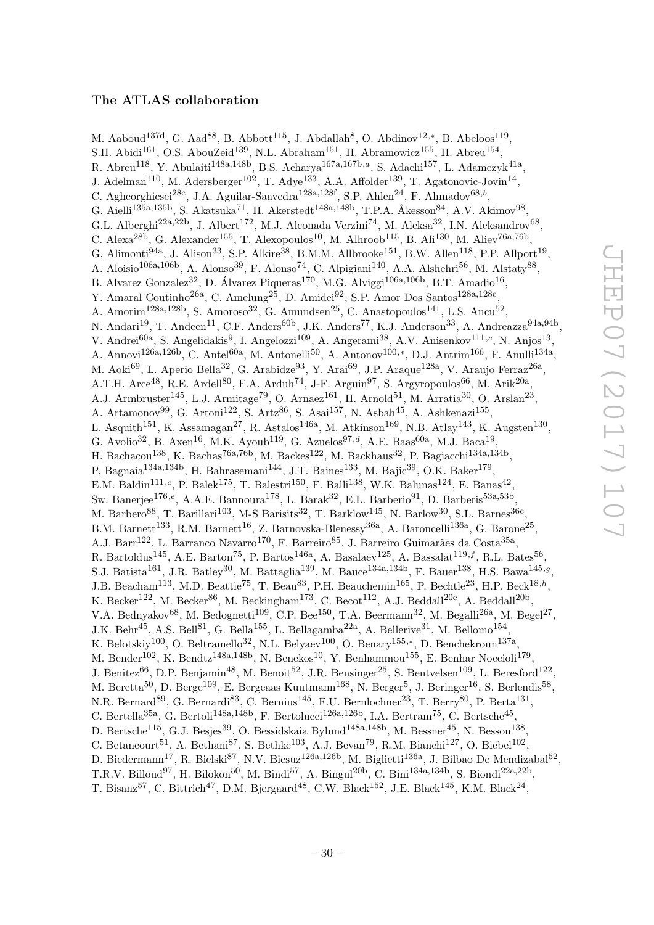## The ATLAS collaboration

<span id="page-30-0"></span>M. Aaboud<sup>137d</sup>, G. Aad<sup>88</sup>, B. Abbott<sup>115</sup>, J. Abdallah<sup>8</sup>, O. Abdinov<sup>12,\*</sup>, B. Abeloos<sup>119</sup>, S.H. Abidi $^{161}$ , O.S. AbouZeid $^{139}$ , N.L. Abraham $^{151}$ , H. Abramowicz $^{155}$ , H. Abreu $^{154}$ , R. Abreu<sup>118</sup>, Y. Abulaiti<sup>148a,148b</sup>, B.S. Acharya<sup>167a,167b,a</sup>, S. Adachi<sup>157</sup>, L. Adamczyk<sup>41a</sup>, J. Adelman<sup>110</sup>, M. Adersberger<sup>102</sup>, T. Adye<sup>133</sup>, A.A. Affolder<sup>139</sup>, T. Agatonovic-Jovin<sup>14</sup>, C. Agheorghiesei<sup>28c</sup>, J.A. Aguilar-Saavedra<sup>128a,128f</sup>, S.P. Ahlen<sup>24</sup>, F. Ahmadov<sup>68,b</sup>, G. Aielli<sup>135a,135b</sup>, S. Akatsuka<sup>71</sup>, H. Akerstedt<sup>148a,148b</sup>, T.P.A. Åkesson<sup>84</sup>, A.V. Akimov<sup>98</sup>, G.L. Alberghi<sup>22a,22b</sup>, J. Albert<sup>172</sup>, M.J. Alconada Verzini<sup>74</sup>, M. Aleksa<sup>32</sup>, I.N. Aleksandrov<sup>68</sup>, C. Alexa<sup>28b</sup>, G. Alexander<sup>155</sup>, T. Alexopoulos<sup>10</sup>, M. Alhroob<sup>115</sup>, B. Ali<sup>130</sup>, M. Aliev<sup>76a,76b</sup>, G. Alimonti<sup>94a</sup>, J. Alison<sup>33</sup>, S.P. Alkire<sup>38</sup>, B.M.M. Allbrooke<sup>151</sup>, B.W. Allen<sup>118</sup>, P.P. Allport<sup>19</sup>, A. Aloisio<sup>106a,106b</sup>, A. Alonso<sup>39</sup>, F. Alonso<sup>74</sup>, C. Alpigiani<sup>140</sup>, A.A. Alshehri<sup>56</sup>, M. Alstaty<sup>88</sup>, B. Alvarez Gonzalez<sup>32</sup>, D. Álvarez Piqueras<sup>170</sup>, M.G. Alviggi<sup>106a,106b</sup>, B.T. Amadio<sup>16</sup>, Y. Amaral Coutinho<sup>26a</sup>, C. Amelung<sup>25</sup>, D. Amidei<sup>92</sup>, S.P. Amor Dos Santos<sup>128a,128c</sup>, A. Amorim<sup>128a,128b</sup>, S. Amoroso<sup>32</sup>, G. Amundsen<sup>25</sup>, C. Anastopoulos<sup>141</sup>, L.S. Ancu<sup>52</sup>, N. Andari<sup>19</sup>, T. Andeen<sup>11</sup>, C.F. Anders<sup>60b</sup>, J.K. Anders<sup>77</sup>, K.J. Anderson<sup>33</sup>, A. Andreazza<sup>94a,94b</sup>, V. Andrei<sup>60a</sup>, S. Angelidakis<sup>9</sup>, I. Angelozzi<sup>109</sup>, A. Angerami<sup>38</sup>, A.V. Anisenkov<sup>111,c</sup>, N. Anjos<sup>13</sup>, A. Annovi<sup>126a,126b</sup>, C. Antel<sup>60a</sup>, M. Antonelli<sup>50</sup>, A. Antonov<sup>100,\*</sup>, D.J. Antrim<sup>166</sup>, F. Anulli<sup>134a</sup>, M. Aoki<sup>69</sup>, L. Aperio Bella<sup>32</sup>, G. Arabidze<sup>93</sup>, Y. Arai<sup>69</sup>, J.P. Araque<sup>128a</sup>, V. Araujo Ferraz<sup>26a</sup>, A.T.H. Arce<sup>48</sup>, R.E. Ardell<sup>80</sup>, F.A. Arduh<sup>74</sup>, J-F. Arguin<sup>97</sup>, S. Argyropoulos<sup>66</sup>, M. Arik<sup>20a</sup>, A.J. Armbruster<sup>145</sup>, L.J. Armitage<sup>79</sup>, O. Arnaez<sup>161</sup>, H. Arnold<sup>51</sup>, M. Arratia<sup>30</sup>, O. Arslan<sup>23</sup>, A. Artamonov<sup>99</sup>, G. Artoni<sup>122</sup>, S. Artz<sup>86</sup>, S. Asai<sup>157</sup>, N. Asbah<sup>45</sup>, A. Ashkenazi<sup>155</sup>, L. Asquith<sup>151</sup>, K. Assamagan<sup>27</sup>, R. Astalos<sup>146a</sup>, M. Atkinson<sup>169</sup>, N.B. Atlay<sup>143</sup>, K. Augsten<sup>130</sup>, G. Avolio<sup>32</sup>, B. Axen<sup>16</sup>, M.K. Ayoub<sup>119</sup>, G. Azuelos<sup>97,d</sup>, A.E. Baas<sup>60a</sup>, M.J. Baca<sup>19</sup>, H. Bachacou<sup>138</sup>, K. Bachas<sup>76a,76b</sup>, M. Backes<sup>122</sup>, M. Backhaus<sup>32</sup>, P. Bagiacchi<sup>134a,134b</sup>, P. Bagnaia<sup>134a,134b</sup>, H. Bahrasemani<sup>144</sup>, J.T. Baines<sup>133</sup>, M. Bajic<sup>39</sup>, O.K. Baker<sup>179</sup>, E.M. Baldin<sup>111,c</sup>, P. Balek<sup>175</sup>, T. Balestri<sup>150</sup>, F. Balli<sup>138</sup>, W.K. Balunas<sup>124</sup>, E. Banas<sup>42</sup>, Sw. Banerjee<sup>176,e</sup>, A.A.E. Bannoura<sup>178</sup>, L. Barak<sup>32</sup>, E.L. Barberio<sup>91</sup>, D. Barberis<sup>53a,53b</sup>, M. Barbero<sup>88</sup>, T. Barillari<sup>103</sup>, M-S Barisits<sup>32</sup>, T. Barklow<sup>145</sup>, N. Barlow<sup>30</sup>, S.L. Barnes<sup>36c</sup>, B.M. Barnett<sup>133</sup>, R.M. Barnett<sup>16</sup>, Z. Barnovska-Blenessy<sup>36a</sup>, A. Baroncelli<sup>136a</sup>, G. Barone<sup>25</sup>, A.J. Barr<sup>122</sup>, L. Barranco Navarro<sup>170</sup>, F. Barreiro<sup>85</sup>, J. Barreiro Guimarães da Costa<sup>35a</sup>, R. Bartoldus<sup>145</sup>, A.E. Barton<sup>75</sup>, P. Bartos<sup>146a</sup>, A. Basalaev<sup>125</sup>, A. Bassalat<sup>119,f</sup>, R.L. Bates<sup>56</sup>, S.J. Batista<sup>161</sup>, J.R. Batley<sup>30</sup>, M. Battaglia<sup>139</sup>, M. Bauce<sup>134a,134b</sup>, F. Bauer<sup>138</sup>, H.S. Bawa<sup>145,9</sup>, J.B. Beacham<sup>113</sup>, M.D. Beattie<sup>75</sup>, T. Beau<sup>83</sup>, P.H. Beauchemin<sup>165</sup>, P. Bechtle<sup>23</sup>, H.P. Beck<sup>18,h</sup>, K. Becker<sup>122</sup>, M. Becker<sup>86</sup>, M. Beckingham<sup>173</sup>, C. Becot<sup>112</sup>, A.J. Beddall<sup>20e</sup>, A. Beddall<sup>20b</sup>, V.A. Bednyakov<sup>68</sup>, M. Bedognetti<sup>109</sup>, C.P. Bee<sup>150</sup>, T.A. Beermann<sup>32</sup>, M. Begalli<sup>26a</sup>, M. Begel<sup>27</sup>, J.K. Behr<sup>45</sup>, A.S. Bell<sup>81</sup>, G. Bella<sup>155</sup>, L. Bellagamba<sup>22a</sup>, A. Bellerive<sup>31</sup>, M. Bellomo<sup>154</sup>, K. Belotskiy<sup>100</sup>, O. Beltramello<sup>32</sup>, N.L. Belyaev<sup>100</sup>, O. Benary<sup>155,\*</sup>, D. Benchekroun<sup>137a</sup>, M. Bender<sup>102</sup>, K. Bendtz<sup>148a,148b</sup>, N. Benekos<sup>10</sup>, Y. Benhammou<sup>155</sup>, E. Benhar Noccioli<sup>179</sup>, J. Benitez<sup>66</sup>, D.P. Benjamin<sup>48</sup>, M. Benoit<sup>52</sup>, J.R. Bensinger<sup>25</sup>, S. Bentvelsen<sup>109</sup>, L. Beresford<sup>122</sup>, M. Beretta<sup>50</sup>, D. Berge<sup>109</sup>, E. Bergeaas Kuutmann<sup>168</sup>, N. Berger<sup>5</sup>, J. Beringer<sup>16</sup>, S. Berlendis<sup>58</sup>, N.R. Bernard<sup>89</sup>, G. Bernardi<sup>83</sup>, C. Bernius<sup>145</sup>, F.U. Bernlochner<sup>23</sup>, T. Berry<sup>80</sup>, P. Berta<sup>131</sup>, C. Bertella<sup>35a</sup>, G. Bertoli<sup>148a,148b</sup>, F. Bertolucci<sup>126a,126b</sup>, I.A. Bertram<sup>75</sup>, C. Bertsche<sup>45</sup>, D. Bertsche<sup>115</sup>, G.J. Besjes<sup>39</sup>, O. Bessidskaia Bylund<sup>148a,148b</sup>, M. Bessner<sup>45</sup>, N. Besson<sup>138</sup>, C. Betancourt<sup>51</sup>, A. Bethani<sup>87</sup>, S. Bethke<sup>103</sup>, A.J. Bevan<sup>79</sup>, R.M. Bianchi<sup>127</sup>, O. Biebel<sup>102</sup>, D. Biedermann<sup>17</sup>, R. Bielski<sup>87</sup>, N.V. Biesuz<sup>126a,126b</sup>, M. Biglietti<sup>136a</sup>, J. Bilbao De Mendizabal<sup>52</sup>, T.R.V. Billoud<sup>97</sup>, H. Bilokon<sup>50</sup>, M. Bindi<sup>57</sup>, A. Bingul<sup>20b</sup>, C. Bini<sup>134a,134b</sup>, S. Biondi<sup>22a,22b</sup>, T. Bisanz<sup>57</sup>, C. Bittrich<sup>47</sup>, D.M. Bjergaard<sup>48</sup>, C.W. Black<sup>152</sup>, J.E. Black<sup>145</sup>, K.M. Black<sup>24</sup>,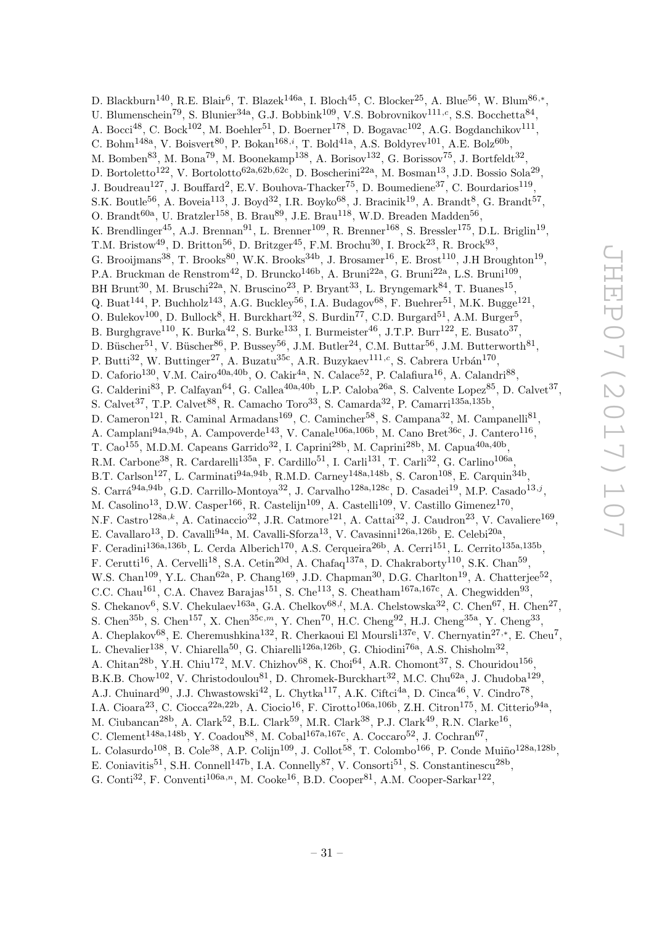D. Blackburn<sup>140</sup>, R.E. Blair<sup>6</sup>, T. Blazek<sup>146a</sup>, I. Bloch<sup>45</sup>, C. Blocker<sup>25</sup>, A. Blue<sup>56</sup>, W. Blum<sup>86,\*</sup>, U. Blumenschein<sup>79</sup>, S. Blunier<sup>34a</sup>, G.J. Bobbink<sup>109</sup>, V.S. Bobrovnikov<sup>111,c</sup>, S.S. Bocchetta<sup>84</sup>, A. Bocci<sup>48</sup>, C. Bock<sup>102</sup>, M. Boehler<sup>51</sup>, D. Boerner<sup>178</sup>, D. Bogavac<sup>102</sup>, A.G. Bogdanchikov<sup>111</sup>, C. Bohm<sup>148a</sup>, V. Boisvert<sup>80</sup>, P. Bokan<sup>168,i</sup>, T. Bold<sup>41a</sup>, A.S. Boldyrev<sup>101</sup>, A.E. Bolz<sup>60b</sup>, M. Bomben<sup>83</sup>, M. Bona<sup>79</sup>, M. Boonekamp<sup>138</sup>, A. Borisov<sup>132</sup>, G. Borissov<sup>75</sup>, J. Bortfeldt<sup>32</sup>, D. Bortoletto<sup>122</sup>, V. Bortolotto<sup>62a,62b,62c</sup>, D. Boscherini<sup>22a</sup>, M. Bosman<sup>13</sup>, J.D. Bossio Sola<sup>29</sup>, J. Boudreau<sup>127</sup>, J. Bouffard<sup>2</sup>, E.V. Bouhova-Thacker<sup>75</sup>, D. Boumediene<sup>37</sup>, C. Bourdarios<sup>119</sup>, S.K. Boutle<sup>56</sup>, A. Boveia<sup>113</sup>, J. Boyd<sup>32</sup>, I.R. Boyko<sup>68</sup>, J. Bracinik<sup>19</sup>, A. Brandt<sup>8</sup>, G. Brandt<sup>57</sup>, O. Brandt $^{60a}$ , U. Bratzler<sup>158</sup>, B. Brau<sup>89</sup>, J.E. Brau<sup>118</sup>, W.D. Breaden Madden<sup>56</sup>, K. Brendlinger<sup>45</sup>, A.J. Brennan<sup>91</sup>, L. Brenner<sup>109</sup>, R. Brenner<sup>168</sup>, S. Bressler<sup>175</sup>, D.L. Briglin<sup>19</sup>, T.M. Bristow<sup>49</sup>, D. Britton<sup>56</sup>, D. Britzger<sup>45</sup>, F.M. Brochu<sup>30</sup>, I. Brock<sup>23</sup>, R. Brock<sup>93</sup>, G. Brooijmans<sup>38</sup>, T. Brooks<sup>80</sup>, W.K. Brooks<sup>34b</sup>, J. Brosamer<sup>16</sup>, E. Brost<sup>110</sup>, J.H Broughton<sup>19</sup>, P.A. Bruckman de Renstrom<sup>42</sup>, D. Bruncko<sup>146b</sup>, A. Bruni<sup>22a</sup>, G. Bruni<sup>22a</sup>, L.S. Bruni<sup>109</sup>, BH Brunt<sup>30</sup>, M. Bruschi<sup>22a</sup>, N. Bruscino<sup>23</sup>, P. Bryant<sup>33</sup>, L. Bryngemark<sup>84</sup>, T. Buanes<sup>15</sup>, Q. Buat<sup>144</sup>, P. Buchholz<sup>143</sup>, A.G. Buckley<sup>56</sup>, I.A. Budagov<sup>68</sup>, F. Buehrer<sup>51</sup>, M.K. Bugge<sup>121</sup>, O. Bulekov<sup>100</sup>, D. Bullock<sup>8</sup>, H. Burckhart<sup>32</sup>, S. Burdin<sup>77</sup>, C.D. Burgard<sup>51</sup>, A.M. Burger<sup>5</sup>, B. Burghgrave<sup>110</sup>, K. Burka<sup>42</sup>, S. Burke<sup>133</sup>, I. Burmeister<sup>46</sup>, J.T.P. Burr<sup>122</sup>, E. Busato<sup>37</sup>, D. Büscher<sup>51</sup>, V. Büscher<sup>86</sup>, P. Bussey<sup>56</sup>, J.M. Butler<sup>24</sup>, C.M. Buttar<sup>56</sup>, J.M. Butterworth<sup>81</sup>, P. Butti<sup>32</sup>, W. Buttinger<sup>27</sup>, A. Buzatu<sup>35c</sup>, A.R. Buzykaev<sup>111,c</sup>, S. Cabrera Urbán<sup>170</sup>, D. Caforio<sup>130</sup>, V.M. Cairo<sup>40a,40b</sup>, O. Cakir<sup>4a</sup>, N. Calace<sup>52</sup>, P. Calafiura<sup>16</sup>, A. Calandri<sup>88</sup>, G. Calderini<sup>83</sup>, P. Calfayan<sup>64</sup>, G. Callea<sup>40a,40b</sup>, L.P. Caloba<sup>26a</sup>, S. Calvente Lopez<sup>85</sup>, D. Calvet<sup>37</sup>, S. Calvet<sup>37</sup>, T.P. Calvet<sup>88</sup>, R. Camacho Toro<sup>33</sup>, S. Camarda<sup>32</sup>, P. Camarri<sup>135a,135b</sup>, D. Cameron<sup>121</sup>, R. Caminal Armadans<sup>169</sup>, C. Camincher<sup>58</sup>, S. Campana<sup>32</sup>, M. Campanelli<sup>81</sup>, A. Camplani<sup>94a,94b</sup>, A. Campoverde<sup>143</sup>, V. Canale<sup>106a,106b</sup>, M. Cano Bret<sup>36c</sup>, J. Cantero<sup>116</sup>, T. Cao<sup>155</sup>, M.D.M. Capeans Garrido<sup>32</sup>, I. Caprini<sup>28b</sup>, M. Caprini<sup>28b</sup>, M. Capua<sup>40a,40b</sup>, R.M. Carbone<sup>38</sup>, R. Cardarelli<sup>135a</sup>, F. Cardillo<sup>51</sup>, I. Carli<sup>131</sup>, T. Carli<sup>32</sup>, G. Carlino<sup>106a</sup>, B.T. Carlson<sup>127</sup>, L. Carminati<sup>94a,94b</sup>, R.M.D. Carney<sup>148a,148b</sup>, S. Caron<sup>108</sup>, E. Carquin<sup>34b</sup>, S. Carrá<sup>94a,94b</sup>, G.D. Carrillo-Montoya<sup>32</sup>, J. Carvalho<sup>128a,128c</sup>, D. Casadei<sup>19</sup>, M.P. Casado<sup>13,j</sup>, M. Casolino<sup>13</sup>, D.W. Casper<sup>166</sup>, R. Castelijn<sup>109</sup>, A. Castelli<sup>109</sup>, V. Castillo Gimenez<sup>170</sup>, N.F. Castro<sup>128a,k</sup>, A. Catinaccio<sup>32</sup>, J.R. Catmore<sup>121</sup>, A. Cattai<sup>32</sup>, J. Caudron<sup>23</sup>, V. Cavaliere<sup>169</sup>, E. Cavallaro<sup>13</sup>, D. Cavalli<sup>94a</sup>, M. Cavalli-Sforza<sup>13</sup>, V. Cavasinni<sup>126a,126b</sup>, E. Celebi<sup>20a</sup>, F. Ceradini<sup>136a,136b</sup>, L. Cerda Alberich<sup>170</sup>, A.S. Cerqueira<sup>26b</sup>, A. Cerri<sup>151</sup>, L. Cerrito<sup>135a,135b</sup>, F. Cerutti<sup>16</sup>, A. Cervelli<sup>18</sup>, S.A. Cetin<sup>20d</sup>, A. Chafaq<sup>137a</sup>, D. Chakraborty<sup>110</sup>, S.K. Chan<sup>59</sup>, W.S. Chan<sup>109</sup>, Y.L. Chan<sup>62a</sup>, P. Chang<sup>169</sup>, J.D. Chapman<sup>30</sup>, D.G. Charlton<sup>19</sup>, A. Chatterjee<sup>52</sup>, C.C. Chau<sup>161</sup>, C.A. Chavez Barajas<sup>151</sup>, S. Che<sup>113</sup>, S. Cheatham<sup>167a,167c</sup>, A. Chegwidden<sup>93</sup>, S. Chekanov<sup>6</sup>, S.V. Chekulaev<sup>163a</sup>, G.A. Chelkov<sup>68,*l*</sup>, M.A. Chelstowska<sup>32</sup>, C. Chen<sup>67</sup>, H. Chen<sup>27</sup>, S. Chen<sup>35b</sup>, S. Chen<sup>157</sup>, X. Chen<sup>35c,m</sup>, Y. Chen<sup>70</sup>, H.C. Cheng<sup>92</sup>, H.J. Cheng<sup>35a</sup>, Y. Cheng<sup>33</sup>, A. Cheplakov<sup>68</sup>, E. Cheremushkina<sup>132</sup>, R. Cherkaoui El Moursli<sup>137e</sup>, V. Chernyatin<sup>27,\*</sup>, E. Cheu<sup>7</sup>, L. Chevalier<sup>138</sup>, V. Chiarella<sup>50</sup>, G. Chiarelli<sup>126a,126b</sup>, G. Chiodini<sup>76a</sup>, A.S. Chisholm<sup>32</sup>, A. Chitan<sup>28b</sup>, Y.H. Chiu<sup>172</sup>, M.V. Chizhov<sup>68</sup>, K. Choi<sup>64</sup>, A.R. Chomont<sup>37</sup>, S. Chouridou<sup>156</sup>, B.K.B. Chow<sup>102</sup>, V. Christodoulou<sup>81</sup>, D. Chromek-Burckhart<sup>32</sup>, M.C. Chu<sup>62a</sup>, J. Chudoba<sup>129</sup>, A.J. Chuinard<sup>90</sup>, J.J. Chwastowski<sup>42</sup>, L. Chytka<sup>117</sup>, A.K. Ciftci<sup>4a</sup>, D. Cinca<sup>46</sup>, V. Cindro<sup>78</sup>, I.A. Cioara<sup>23</sup>, C. Ciocca<sup>22a,22b</sup>, A. Ciocio<sup>16</sup>, F. Cirotto<sup>106a,106b</sup>, Z.H. Citron<sup>175</sup>, M. Citterio<sup>94a</sup>, M. Ciubancan<sup>28b</sup>, A. Clark<sup>52</sup>, B.L. Clark<sup>59</sup>, M.R. Clark<sup>38</sup>, P.J. Clark<sup>49</sup>, R.N. Clarke<sup>16</sup>, C. Clement<sup>148a,148b</sup>, Y. Coadou<sup>88</sup>, M. Cobal<sup>167a,167c</sup>, A. Coccaro<sup>52</sup>, J. Cochran<sup>67</sup>, L. Colasurdo<sup>108</sup>, B. Cole<sup>38</sup>, A.P. Colijn<sup>109</sup>, J. Collot<sup>58</sup>, T. Colombo<sup>166</sup>, P. Conde Muiño<sup>128a,128b</sup>,

E. Coniavitis<sup>51</sup>, S.H. Connell<sup>147b</sup>, I.A. Connelly<sup>87</sup>, V. Consorti<sup>51</sup>, S. Constantinescu<sup>28b</sup>,

G. Conti<sup>32</sup>, F. Conventi<sup>106a,n</sup>, M. Cooke<sup>16</sup>, B.D. Cooper<sup>81</sup>, A.M. Cooper-Sarkar<sup>122</sup>,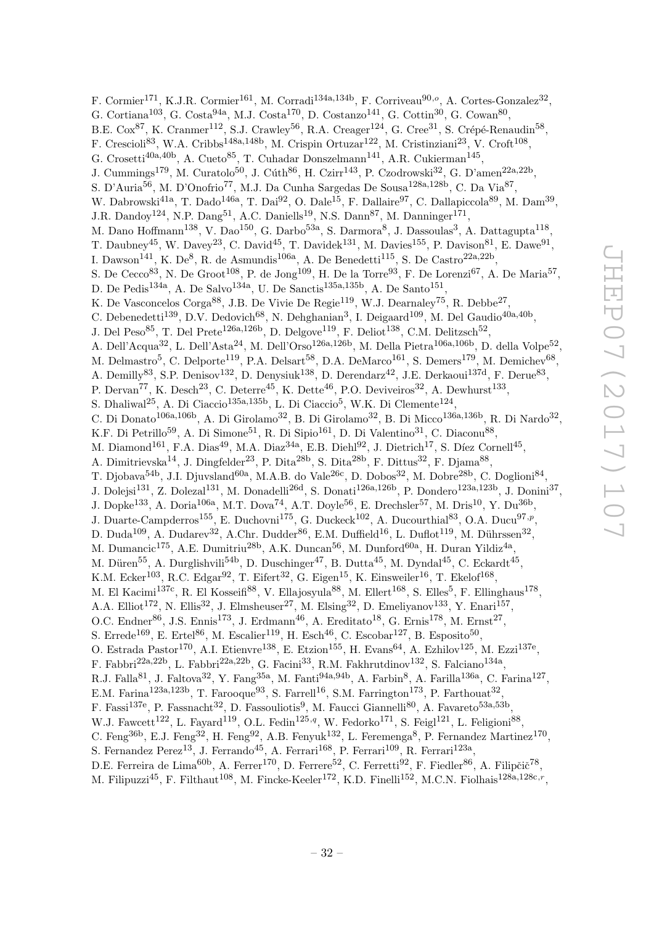F. Cormier<sup>171</sup>, K.J.R. Cormier<sup>161</sup>, M. Corradi<sup>134a,134b</sup>, F. Corriveau<sup>90,o</sup>, A. Cortes-Gonzalez<sup>32</sup>, G. Cortiana<sup>103</sup>, G. Costa<sup>94a</sup>, M.J. Costa<sup>170</sup>, D. Costanzo<sup>141</sup>, G. Cottin<sup>30</sup>, G. Cowan<sup>80</sup>, B.E. Cox<sup>87</sup>, K. Cranmer<sup>112</sup>, S.J. Crawley<sup>56</sup>, R.A. Creager<sup>124</sup>, G. Cree<sup>31</sup>, S. Crépé-Renaudin<sup>58</sup>, F. Crescioli<sup>83</sup>, W.A. Cribbs<sup>148a,148b</sup>, M. Crispin Ortuzar<sup>122</sup>, M. Cristinziani<sup>23</sup>, V. Croft<sup>108</sup>, G. Crosetti<sup>40a,40b</sup>, A. Cueto<sup>85</sup>, T. Cuhadar Donszelmann<sup>141</sup>, A.R. Cukierman<sup>145</sup>, J. Cummings<sup>179</sup>, M. Curatolo<sup>50</sup>, J. Cúth<sup>86</sup>, H. Czirr<sup>143</sup>, P. Czodrowski<sup>32</sup>, G. D'amen<sup>22a,22b</sup>, S. D'Auria<sup>56</sup>, M. D'Onofrio<sup>77</sup>, M.J. Da Cunha Sargedas De Sousa<sup>128a,128b</sup>, C. Da Via<sup>87</sup>, W. Dabrowski<sup>41a</sup>, T. Dado<sup>146a</sup>, T. Dai<sup>92</sup>, O. Dale<sup>15</sup>, F. Dallaire<sup>97</sup>, C. Dallapiccola<sup>89</sup>, M. Dam<sup>39</sup>, J.R. Dandoy<sup>124</sup>, N.P. Dang<sup>51</sup>, A.C. Daniells<sup>19</sup>, N.S. Dann<sup>87</sup>, M. Danninger<sup>171</sup>, M. Dano Hoffmann<sup>138</sup>, V. Dao<sup>150</sup>, G. Darbo<sup>53a</sup>, S. Darmora<sup>8</sup>, J. Dassoulas<sup>3</sup>, A. Dattagupta<sup>118</sup>, T. Daubney<sup>45</sup>, W. Davey<sup>23</sup>, C. David<sup>45</sup>, T. Davidek<sup>131</sup>, M. Davies<sup>155</sup>, P. Davison<sup>81</sup>, E. Dawe<sup>91</sup>, I. Dawson<sup>141</sup>, K. De<sup>8</sup>, R. de Asmundis<sup>106a</sup>, A. De Benedetti<sup>115</sup>, S. De Castro<sup>22a,22b</sup>, S. De Cecco<sup>83</sup>, N. De Groot<sup>108</sup>, P. de Jong<sup>109</sup>, H. De la Torre<sup>93</sup>, F. De Lorenzi<sup>67</sup>, A. De Maria<sup>57</sup>, D. De Pedis<sup>134a</sup>, A. De Salvo<sup>134a</sup>, U. De Sanctis<sup>135a,135b</sup>, A. De Santo<sup>151</sup>, K. De Vasconcelos Corga<sup>88</sup>, J.B. De Vivie De Regie<sup>119</sup>, W.J. Dearnaley<sup>75</sup>, R. Debbe<sup>27</sup>, C. Debenedetti<sup>139</sup>, D.V. Dedovich<sup>68</sup>, N. Dehghanian<sup>3</sup>, I. Deigaard<sup>109</sup>, M. Del Gaudio<sup>40a,40b</sup>, J. Del Peso<sup>85</sup>, T. Del Prete<sup>126a,126b</sup>, D. Delgove<sup>119</sup>, F. Deliot<sup>138</sup>, C.M. Delitzsch<sup>52</sup>, A. Dell'Acqua<sup>32</sup>, L. Dell'Asta<sup>24</sup>, M. Dell'Orso<sup>126a,126b</sup>, M. Della Pietra<sup>106a,106b</sup>, D. della Volpe<sup>52</sup>, M. Delmastro<sup>5</sup>, C. Delporte<sup>119</sup>, P.A. Delsart<sup>58</sup>, D.A. DeMarco<sup>161</sup>, S. Demers<sup>179</sup>, M. Demichev<sup>68</sup>, A. Demilly<sup>83</sup>, S.P. Denisov<sup>132</sup>, D. Denysiuk<sup>138</sup>, D. Derendarz<sup>42</sup>, J.E. Derkaoui<sup>137d</sup>, F. Derue<sup>83</sup>, P. Dervan<sup>77</sup>, K. Desch<sup>23</sup>, C. Deterre<sup>45</sup>, K. Dette<sup>46</sup>, P.O. Deviveiros<sup>32</sup>, A. Dewhurst<sup>133</sup>, S. Dhaliwal<sup>25</sup>, A. Di Ciaccio<sup>135a,135b</sup>, L. Di Ciaccio<sup>5</sup>, W.K. Di Clemente<sup>124</sup>, C. Di Donato<sup>106a,106b</sup>, A. Di Girolamo<sup>32</sup>, B. Di Girolamo<sup>32</sup>, B. Di Micco<sup>136a,136b</sup>, R. Di Nardo<sup>32</sup>, K.F. Di Petrillo<sup>59</sup>, A. Di Simone<sup>51</sup>, R. Di Sipio<sup>161</sup>, D. Di Valentino<sup>31</sup>, C. Diaconu<sup>88</sup>, M. Diamond<sup>161</sup>, F.A. Dias<sup>49</sup>, M.A. Diaz<sup>34a</sup>, E.B. Diehl<sup>92</sup>, J. Dietrich<sup>17</sup>, S. Díez Cornell<sup>45</sup>, A. Dimitrievska<sup>14</sup>, J. Dingfelder<sup>23</sup>, P. Dita<sup>28b</sup>, S. Dita<sup>28b</sup>, F. Dittus<sup>32</sup>, F. Djama<sup>88</sup>, T. Djobava<sup>54b</sup>, J.I. Djuvsland<sup>60a</sup>, M.A.B. do Vale<sup>26c</sup>, D. Dobos<sup>32</sup>, M. Dobre<sup>28b</sup>, C. Doglioni<sup>84</sup>, J. Dolejsi<sup>131</sup>, Z. Dolezal<sup>131</sup>, M. Donadelli<sup>26d</sup>, S. Donati<sup>126a,126b</sup>, P. Dondero<sup>123a,123b</sup>, J. Donini<sup>37</sup>, J. Dopke<sup>133</sup>, A. Doria<sup>106a</sup>, M.T. Dova<sup>74</sup>, A.T. Doyle<sup>56</sup>, E. Drechsler<sup>57</sup>, M. Dris<sup>10</sup>, Y. Du<sup>36b</sup>, J. Duarte-Campderros<sup>155</sup>, E. Duchovni<sup>175</sup>, G. Duckeck<sup>102</sup>, A. Ducourthial<sup>83</sup>, O.A. Ducu<sup>97,*p*</sup>, D. Duda<sup>109</sup>, A. Dudarev<sup>32</sup>, A.Chr. Dudder<sup>86</sup>, E.M. Duffield<sup>16</sup>, L. Duflot<sup>119</sup>, M. Dührssen<sup>32</sup>, M. Dumancic<sup>175</sup>, A.E. Dumitriu<sup>28b</sup>, A.K. Duncan<sup>56</sup>, M. Dunford<sup>60a</sup>, H. Duran Yildiz<sup>4a</sup>, M. Düren<sup>55</sup>, A. Durglishvili<sup>54b</sup>, D. Duschinger<sup>47</sup>, B. Dutta<sup>45</sup>, M. Dyndal<sup>45</sup>, C. Eckardt<sup>45</sup>, K.M. Ecker<sup>103</sup>, R.C. Edgar<sup>92</sup>, T. Eifert<sup>32</sup>, G. Eigen<sup>15</sup>, K. Einsweiler<sup>16</sup>, T. Ekelof<sup>168</sup>, M. El Kacimi<sup>137c</sup>, R. El Kosseifi<sup>88</sup>, V. Ellajosyula<sup>88</sup>, M. Ellert<sup>168</sup>, S. Elles<sup>5</sup>, F. Ellinghaus<sup>178</sup>, A.A. Elliot<sup>172</sup>, N. Ellis<sup>32</sup>, J. Elmsheuser<sup>27</sup>, M. Elsing<sup>32</sup>, D. Emeliyanov<sup>133</sup>, Y. Enari<sup>157</sup>, O.C. Endner<sup>86</sup>, J.S. Ennis<sup>173</sup>, J. Erdmann<sup>46</sup>, A. Ereditato<sup>18</sup>, G. Ernis<sup>178</sup>, M. Ernst<sup>27</sup>, S. Errede<sup>169</sup>, E. Ertel<sup>86</sup>, M. Escalier<sup>119</sup>, H. Esch<sup>46</sup>, C. Escobar<sup>127</sup>, B. Esposito<sup>50</sup>, O. Estrada Pastor<sup>170</sup>, A.I. Etienvre<sup>138</sup>, E. Etzion<sup>155</sup>, H. Evans<sup>64</sup>, A. Ezhilov<sup>125</sup>, M. Ezzi<sup>137e</sup>, F. Fabbri<sup>22a,22b</sup>, L. Fabbri<sup>22a,22b</sup>, G. Facini<sup>33</sup>, R.M. Fakhrutdinov<sup>132</sup>, S. Falciano<sup>134a</sup>, R.J. Falla<sup>81</sup>, J. Faltova<sup>32</sup>, Y. Fang<sup>35a</sup>, M. Fanti<sup>94a,94b</sup>, A. Farbin<sup>8</sup>, A. Farilla<sup>136a</sup>, C. Farina<sup>127</sup>, E.M. Farina<sup>123a,123b</sup>, T. Farooque<sup>93</sup>, S. Farrell<sup>16</sup>, S.M. Farrington<sup>173</sup>, P. Farthouat<sup>32</sup>, F. Fassi<sup>137e</sup>, P. Fassnacht<sup>32</sup>, D. Fassouliotis<sup>9</sup>, M. Faucci Giannelli<sup>80</sup>, A. Favareto<sup>53a,53b</sup>, W.J. Fawcett<sup>122</sup>, L. Fayard<sup>119</sup>, O.L. Fedin<sup>125,q</sup>, W. Fedorko<sup>171</sup>, S. Feigl<sup>121</sup>, L. Feligioni<sup>88</sup>, C. Feng<sup>36b</sup>, E.J. Feng<sup>32</sup>, H. Feng<sup>92</sup>, A.B. Fenyuk<sup>132</sup>, L. Feremenga<sup>8</sup>, P. Fernandez Martinez<sup>170</sup>, S. Fernandez Perez<sup>13</sup>, J. Ferrando<sup>45</sup>, A. Ferrari<sup>168</sup>, P. Ferrari<sup>109</sup>, R. Ferrari<sup>123a</sup>, D.E. Ferreira de Lima<sup>60b</sup>, A. Ferrer<sup>170</sup>, D. Ferrere<sup>52</sup>, C. Ferretti<sup>92</sup>, F. Fiedler<sup>86</sup>, A. Filipčič<sup>78</sup>,

M. Filipuzzi<sup>45</sup>, F. Filthaut<sup>108</sup>, M. Fincke-Keeler<sup>172</sup>, K.D. Finelli<sup>152</sup>, M.C.N. Fiolhais<sup>128a,128c,r</sup>,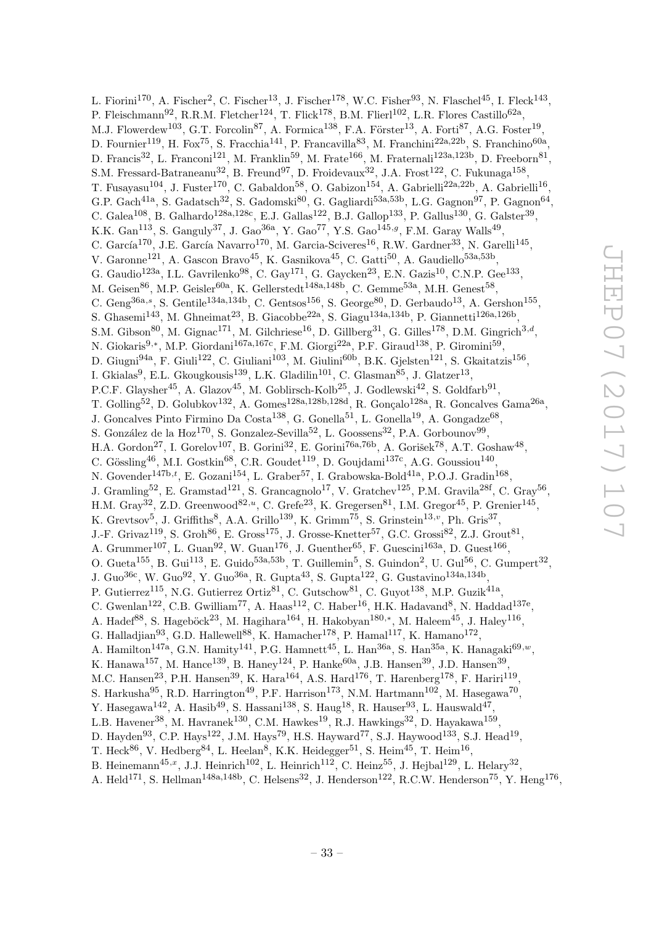L. Fiorini<sup>170</sup>, A. Fischer<sup>2</sup>, C. Fischer<sup>13</sup>, J. Fischer<sup>178</sup>, W.C. Fisher<sup>93</sup>, N. Flaschel<sup>45</sup>, I. Fleck<sup>143</sup>, P. Fleischmann<sup>92</sup>, R.R.M. Fletcher<sup>124</sup>, T. Flick<sup>178</sup>, B.M. Flierl<sup>102</sup>, L.R. Flores Castillo<sup>62a</sup>, M.J. Flowerdew<sup>103</sup>, G.T. Forcolin<sup>87</sup>, A. Formica<sup>138</sup>, F.A. Förster<sup>13</sup>, A. Forti<sup>87</sup>, A.G. Foster<sup>19</sup>, D. Fournier<sup>119</sup>, H. Fox<sup>75</sup>, S. Fracchia<sup>141</sup>, P. Francavilla<sup>83</sup>, M. Franchini<sup>22a,22b</sup>, S. Franchino<sup>60a</sup>, D. Francis<sup>32</sup>, L. Franconi<sup>121</sup>, M. Franklin<sup>59</sup>, M. Frate<sup>166</sup>, M. Fraternali<sup>123a,123b</sup>, D. Freeborn<sup>81</sup>, S.M. Fressard-Batraneanu<sup>32</sup>, B. Freund<sup>97</sup>, D. Froidevaux<sup>32</sup>, J.A. Frost<sup>122</sup>, C. Fukunaga<sup>158</sup>, T. Fusayasu<sup>104</sup>, J. Fuster<sup>170</sup>, C. Gabaldon<sup>58</sup>, O. Gabizon<sup>154</sup>, A. Gabrielli<sup>22a,22b</sup>, A. Gabrielli<sup>16</sup>, G.P. Gach<sup>41a</sup>, S. Gadatsch<sup>32</sup>, S. Gadomski<sup>80</sup>, G. Gagliardi<sup>53a,53b</sup>, L.G. Gagnon<sup>97</sup>, P. Gagnon<sup>64</sup>, C. Galea<sup>108</sup>, B. Galhardo<sup>128a,128c</sup>, E.J. Gallas<sup>122</sup>, B.J. Gallop<sup>133</sup>, P. Gallus<sup>130</sup>, G. Galster<sup>39</sup>, K.K. Gan<sup>113</sup>, S. Ganguly<sup>37</sup>, J. Gao<sup>36a</sup>, Y. Gao<sup>77</sup>, Y.S. Gao<sup>145,g</sup>, F.M. Garay Walls<sup>49</sup>, C. García<sup>170</sup>, J.E. García Navarro<sup>170</sup>, M. Garcia-Sciveres<sup>16</sup>, R.W. Gardner<sup>33</sup>, N. Garelli<sup>145</sup>, V. Garonne<sup>121</sup>, A. Gascon Bravo<sup>45</sup>, K. Gasnikova<sup>45</sup>, C. Gatti<sup>50</sup>, A. Gaudiello<sup>53a,53b</sup>, G. Gaudio<sup>123a</sup>, I.L. Gavrilenko<sup>98</sup>, C. Gay<sup>171</sup>, G. Gaycken<sup>23</sup>, E.N. Gazis<sup>10</sup>, C.N.P. Gee<sup>133</sup>, M. Geisen $^{86}$ , M.P. Geisler $^{60a}$ , K. Gellerstedt $^{148a,148b}$ , C. Gemme $^{53a}$ , M.H. Genest $^{58}$ , C. Geng<sup>36a,s</sup>, S. Gentile<sup>134a,134b</sup>, C. Gentsos<sup>156</sup>, S. George<sup>80</sup>, D. Gerbaudo<sup>13</sup>, A. Gershon<sup>155</sup>, S. Ghasemi<sup>143</sup>, M. Ghneimat<sup>23</sup>, B. Giacobbe<sup>22a</sup>, S. Giagu<sup>134a,134b</sup>, P. Giannetti<sup>126a,126b</sup>, S.M. Gibson<sup>80</sup>, M. Gignac<sup>171</sup>, M. Gilchriese<sup>16</sup>, D. Gillberg<sup>31</sup>, G. Gilles<sup>178</sup>, D.M. Gingrich<sup>3,d</sup>, N. Giokaris<sup>9,∗</sup>, M.P. Giordani<sup>167a,167c</sup>, F.M. Giorgi<sup>22a</sup>, P.F. Giraud<sup>138</sup>, P. Giromini<sup>59</sup>, D. Giugni<sup>94a</sup>, F. Giuli<sup>122</sup>, C. Giuliani<sup>103</sup>, M. Giulini<sup>60b</sup>, B.K. Gjelsten<sup>121</sup>, S. Gkaitatzis<sup>156</sup>, I. Gkialas<sup>9</sup>, E.L. Gkougkousis<sup>139</sup>, L.K. Gladilin<sup>101</sup>, C. Glasman<sup>85</sup>, J. Glatzer<sup>13</sup>, P.C.F. Glaysher<sup>45</sup>, A. Glazov<sup>45</sup>, M. Goblirsch-Kolb<sup>25</sup>, J. Godlewski<sup>42</sup>, S. Goldfarb<sup>91</sup>, T. Golling<sup>52</sup>, D. Golubkov<sup>132</sup>, A. Gomes<sup>128a,128b,128d</sup>, R. Gonçalo<sup>128a</sup>, R. Goncalves Gama<sup>26a</sup>, J. Goncalves Pinto Firmino Da Costa<sup>138</sup>, G. Gonella<sup>51</sup>, L. Gonella<sup>19</sup>, A. Gongadze<sup>68</sup>, S. González de la Hoz<sup>170</sup>, S. Gonzalez-Sevilla<sup>52</sup>, L. Goossens<sup>32</sup>, P.A. Gorbounov<sup>99</sup>, H.A. Gordon<sup>27</sup>, I. Gorelov<sup>107</sup>, B. Gorini<sup>32</sup>, E. Gorini<sup>76a,76b</sup>, A. Gorišek<sup>78</sup>, A.T. Goshaw<sup>48</sup>, C. Gössling<sup>46</sup>, M.I. Gostkin<sup>68</sup>, C.R. Goudet<sup>119</sup>, D. Goujdami<sup>137c</sup>, A.G. Goussiou<sup>140</sup>, N. Govender<sup>147b,t</sup>, E. Gozani<sup>154</sup>, L. Graber<sup>57</sup>, I. Grabowska-Bold<sup>41a</sup>, P.O.J. Gradin<sup>168</sup>, J. Gramling<sup>52</sup>, E. Gramstad<sup>121</sup>, S. Grancagnolo<sup>17</sup>, V. Gratchev<sup>125</sup>, P.M. Gravila<sup>28f</sup>, C. Gray<sup>56</sup>, H.M. Gray<sup>32</sup>, Z.D. Greenwood<sup>82,*u*</sup>, C. Grefe<sup>23</sup>, K. Gregersen<sup>81</sup>, I.M. Gregor<sup>45</sup>, P. Grenier<sup>145</sup>, K. Grevtsov<sup>5</sup>, J. Griffiths<sup>8</sup>, A.A. Grillo<sup>139</sup>, K. Grimm<sup>75</sup>, S. Grinstein<sup>13,</sup><sup>v</sup>, Ph. Gris<sup>37</sup>, J.-F. Grivaz<sup>119</sup>, S. Groh<sup>86</sup>, E. Gross<sup>175</sup>, J. Grosse-Knetter<sup>57</sup>, G.C. Grossi<sup>82</sup>, Z.J. Grout<sup>81</sup>, A. Grummer<sup>107</sup>, L. Guan<sup>92</sup>, W. Guan<sup>176</sup>, J. Guenther<sup>65</sup>, F. Guescini<sup>163a</sup>, D. Guest<sup>166</sup>, O. Gueta<sup>155</sup>, B. Gui<sup>113</sup>, E. Guido<sup>53a,53b</sup>, T. Guillemin<sup>5</sup>, S. Guindon<sup>2</sup>, U. Gul<sup>56</sup>, C. Gumpert<sup>32</sup>, J. Guo<sup>36c</sup>, W. Guo<sup>92</sup>, Y. Guo<sup>36a</sup>, R. Gupta<sup>43</sup>, S. Gupta<sup>122</sup>, G. Gustavino<sup>134a,134b</sup>, P. Gutierrez<sup>115</sup>, N.G. Gutierrez Ortiz<sup>81</sup>, C. Gutschow<sup>81</sup>, C. Guyot<sup>138</sup>, M.P. Guzik<sup>41a</sup>, C. Gwenlan<sup>122</sup>, C.B. Gwilliam<sup>77</sup>, A. Haas<sup>112</sup>, C. Haber<sup>16</sup>, H.K. Hadavand<sup>8</sup>, N. Haddad<sup>137e</sup>, A. Hadef<sup>88</sup>, S. Hageböck<sup>23</sup>, M. Hagihara<sup>164</sup>, H. Hakobyan<sup>180,\*</sup>, M. Haleem<sup>45</sup>, J. Haley<sup>116</sup>, G. Halladjian<sup>93</sup>, G.D. Hallewell<sup>88</sup>, K. Hamacher<sup>178</sup>, P. Hamal<sup>117</sup>, K. Hamano<sup>172</sup>, A. Hamilton<sup>147a</sup>, G.N. Hamity<sup>141</sup>, P.G. Hamnett<sup>45</sup>, L. Han<sup>36a</sup>, S. Han<sup>35a</sup>, K. Hanagaki<sup>69,w</sup>, K. Hanawa<sup>157</sup>, M. Hance<sup>139</sup>, B. Haney<sup>124</sup>, P. Hanke<sup>60a</sup>, J.B. Hansen<sup>39</sup>, J.D. Hansen<sup>39</sup>, M.C. Hansen<sup>23</sup>, P.H. Hansen<sup>39</sup>, K. Hara<sup>164</sup>, A.S. Hard<sup>176</sup>, T. Harenberg<sup>178</sup>, F. Hariri<sup>119</sup>, S. Harkusha<sup>95</sup>, R.D. Harrington<sup>49</sup>, P.F. Harrison<sup>173</sup>, N.M. Hartmann<sup>102</sup>, M. Hasegawa<sup>70</sup>, Y. Hasegawa<sup>142</sup>, A. Hasib<sup>49</sup>, S. Hassani<sup>138</sup>, S. Haug<sup>18</sup>, R. Hauser<sup>93</sup>, L. Hauswald<sup>47</sup>, L.B. Havener<sup>38</sup>, M. Havranek<sup>130</sup>, C.M. Hawkes<sup>19</sup>, R.J. Hawkings<sup>32</sup>, D. Hayakawa<sup>159</sup>, D. Hayden<sup>93</sup>, C.P. Hays<sup>122</sup>, J.M. Hays<sup>79</sup>, H.S. Hayward<sup>77</sup>, S.J. Haywood<sup>133</sup>, S.J. Head<sup>19</sup>, T. Heck<sup>86</sup>, V. Hedberg<sup>84</sup>, L. Heelan<sup>8</sup>, K.K. Heidegger<sup>51</sup>, S. Heim<sup>45</sup>, T. Heim<sup>16</sup>, B. Heinemann<sup>45,x</sup>, J.J. Heinrich<sup>102</sup>, L. Heinrich<sup>112</sup>, C. Heinz<sup>55</sup>, J. Hejbal<sup>129</sup>, L. Helary<sup>32</sup>,

A. Held<sup>171</sup>, S. Hellman<sup>148a,148b</sup>, C. Helsens<sup>32</sup>, J. Henderson<sup>122</sup>, R.C.W. Henderson<sup>75</sup>, Y. Heng<sup>176</sup>,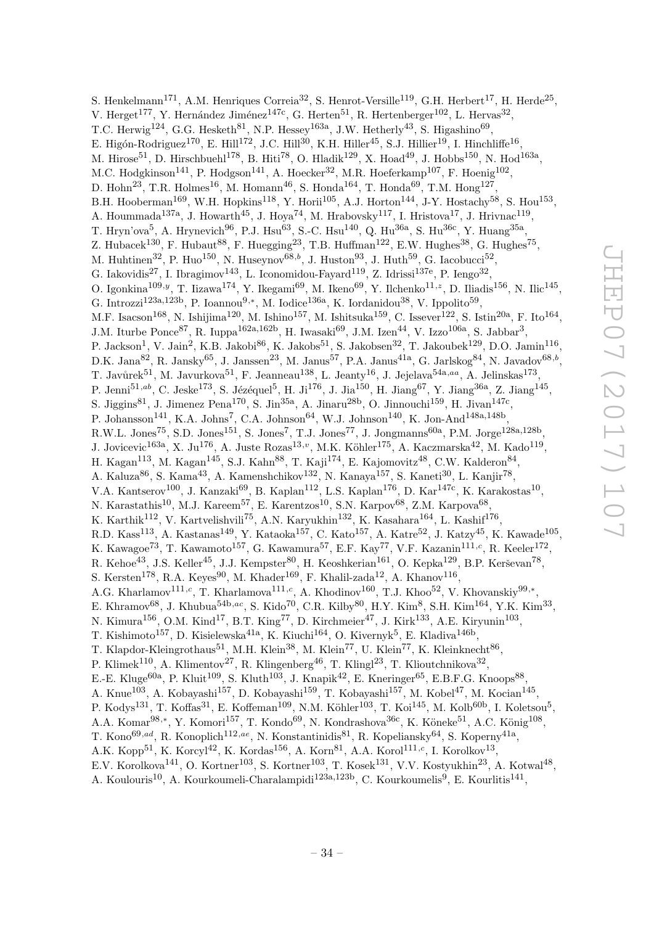S. Henkelmann<sup>171</sup>, A.M. Henriques Correia<sup>32</sup>, S. Henrot-Versille<sup>119</sup>, G.H. Herbert<sup>17</sup>, H. Herde<sup>25</sup>, V. Herget<sup>177</sup>, Y. Hernández Jiménez<sup>147c</sup>, G. Herten<sup>51</sup>, R. Hertenberger<sup>102</sup>, L. Hervas<sup>32</sup>, T.C. Herwig<sup>124</sup>, G.G. Hesketh<sup>81</sup>, N.P. Hessey<sup>163a</sup>, J.W. Hetherly<sup>43</sup>, S. Higashino<sup>69</sup>, E. Higón-Rodriguez $^{170}$ , E. Hill $^{172}$ , J.C. Hill $^{30}$ , K.H. Hiller $^{45}$ , S.J. Hillier $^{19}$ , I. Hinchliffe $^{16}$ , M. Hirose<sup>51</sup>, D. Hirschbuehl<sup>178</sup>, B. Hiti<sup>78</sup>, O. Hladik<sup>129</sup>, X. Hoad<sup>49</sup>, J. Hobbs<sup>150</sup>, N. Hod<sup>163a</sup>, M.C. Hodgkinson<sup>141</sup>, P. Hodgson<sup>141</sup>, A. Hoecker<sup>32</sup>, M.R. Hoeferkamp<sup>107</sup>, F. Hoenig<sup>102</sup>, D. Hohn<sup>23</sup>, T.R. Holmes<sup>16</sup>, M. Homann<sup>46</sup>, S. Honda<sup>164</sup>, T. Honda<sup>69</sup>, T.M. Hong<sup>127</sup>, B.H. Hooberman<sup>169</sup>, W.H. Hopkins<sup>118</sup>, Y. Horii<sup>105</sup>, A.J. Horton<sup>144</sup>, J-Y. Hostachy<sup>58</sup>, S. Hou<sup>153</sup>, A. Hoummada<sup>137a</sup>, J. Howarth<sup>45</sup>, J. Hoya<sup>74</sup>, M. Hrabovsky<sup>117</sup>, I. Hristova<sup>17</sup>, J. Hrivnac<sup>119</sup>, T. Hryn'ova<sup>5</sup>, A. Hrynevich<sup>96</sup>, P.J. Hsu<sup>63</sup>, S.-C. Hsu<sup>140</sup>, Q. Hu<sup>36a</sup>, S. Hu<sup>36c</sup>, Y. Huang<sup>35a</sup>, Z. Hubacek<sup>130</sup>, F. Hubaut<sup>88</sup>, F. Huegging<sup>23</sup>, T.B. Huffman<sup>122</sup>, E.W. Hughes<sup>38</sup>, G. Hughes<sup>75</sup>, M. Huhtinen<sup>32</sup>, P. Huo<sup>150</sup>, N. Huseynov<sup>68,b</sup>, J. Huston<sup>93</sup>, J. Huth<sup>59</sup>, G. Iacobucci<sup>52</sup>, G. Iakovidis<sup>27</sup>, I. Ibragimov<sup>143</sup>, L. Iconomidou-Fayard<sup>119</sup>, Z. Idrissi<sup>137e</sup>, P. Iengo<sup>32</sup>, O. Igonkina<sup>109,y</sup>, T. Iizawa<sup>174</sup>, Y. Ikegami<sup>69</sup>, M. Ikeno<sup>69</sup>, Y. Ilchenko<sup>11,z</sup>, D. Iliadis<sup>156</sup>, N. Ilic<sup>145</sup>, G. Introzzi<sup>123a,123b</sup>, P. Ioannou<sup>9,\*</sup>, M. Iodice<sup>136a</sup>, K. Iordanidou<sup>38</sup>, V. Ippolito<sup>59</sup>, M.F. Isacson<sup>168</sup>, N. Ishijima<sup>120</sup>, M. Ishino<sup>157</sup>, M. Ishitsuka<sup>159</sup>, C. Issever<sup>122</sup>, S. Istin<sup>20a</sup>, F. Ito<sup>164</sup>, J.M. Iturbe Ponce<sup>87</sup>, R. Iuppa<sup>162a,162b</sup>, H. Iwasaki<sup>69</sup>, J.M. Izen<sup>44</sup>, V. Izzo<sup>106a</sup>, S. Jabbar<sup>3</sup>, P. Jackson<sup>1</sup>, V. Jain<sup>2</sup>, K.B. Jakobi<sup>86</sup>, K. Jakobs<sup>51</sup>, S. Jakobsen<sup>32</sup>, T. Jakoubek<sup>129</sup>, D.O. Jamin<sup>116</sup>, D.K. Jana $^{82}$ , R. Jansky $^{65}$ , J. Janssen $^{23}$ , M. Janus $^{57}$ , P.A. Janus $^{41a}$ , G. Jarlskog $^{84}$ , N. Javadov $^{68,b}$ , T. Javůrek $^{51}$ , M. Javurkova $^{51}$ , F. Jeanneau $^{138}$ , L. Jeanty $^{16}$ , J. Jejelava $^{54a,aa}$ , A. Jelinskas $^{173}$ , P. Jenni<sup>51,ab</sup>, C. Jeske<sup>173</sup>, S. Jézéquel<sup>5</sup>, H. Ji<sup>176</sup>, J. Jia<sup>150</sup>, H. Jiang<sup>67</sup>, Y. Jiang<sup>36a</sup>, Z. Jiang<sup>145</sup>, S. Jiggins<sup>81</sup>, J. Jimenez Pena<sup>170</sup>, S. Jin<sup>35a</sup>, A. Jinaru<sup>28b</sup>, O. Jinnouchi<sup>159</sup>, H. Jivan<sup>147c</sup>, P. Johansson<sup>141</sup>, K.A. Johns<sup>7</sup>, C.A. Johnson<sup>64</sup>, W.J. Johnson<sup>140</sup>, K. Jon-And<sup>148a,148b</sup>, R.W.L. Jones<sup>75</sup>, S.D. Jones<sup>151</sup>, S. Jones<sup>7</sup>, T.J. Jones<sup>77</sup>, J. Jongmanns<sup>60a</sup>, P.M. Jorge<sup>128a,128b</sup>, J. Jovicevic<sup>163a</sup>, X. Ju<sup>176</sup>, A. Juste Rozas<sup>13,</sup><sup>v</sup>, M.K. Köhler<sup>175</sup>, A. Kaczmarska<sup>42</sup>, M. Kado<sup>119</sup>, H. Kagan $^{113}$ , M. Kagan $^{145}$ , S.J. Kahn $^{88}$ , T. Kaji $^{174}$ , E. Kajomovitz $^{48}$ , C.W. Kalderon $^{84}$ , A. Kaluza<sup>86</sup>, S. Kama<sup>43</sup>, A. Kamenshchikov<sup>132</sup>, N. Kanaya<sup>157</sup>, S. Kaneti<sup>30</sup>, L. Kanjir<sup>78</sup>, V.A. Kantserov<sup>100</sup>, J. Kanzaki<sup>69</sup>, B. Kaplan<sup>112</sup>, L.S. Kaplan<sup>176</sup>, D. Kar<sup>147c</sup>, K. Karakostas<sup>10</sup>, N. Karastathis<sup>10</sup>, M.J. Kareem<sup>57</sup>, E. Karentzos<sup>10</sup>, S.N. Karpov<sup>68</sup>, Z.M. Karpova<sup>68</sup>, K. Karthik<sup>112</sup>, V. Kartvelishvili<sup>75</sup>, A.N. Karyukhin<sup>132</sup>, K. Kasahara<sup>164</sup>, L. Kashif<sup>176</sup>, R.D. Kass<sup>113</sup>, A. Kastanas<sup>149</sup>, Y. Kataoka<sup>157</sup>, C. Kato<sup>157</sup>, A. Katre<sup>52</sup>, J. Katzy<sup>45</sup>, K. Kawade<sup>105</sup>, K. Kawagoe<sup>73</sup>, T. Kawamoto<sup>157</sup>, G. Kawamura<sup>57</sup>, E.F. Kay<sup>77</sup>, V.F. Kazanin<sup>111,c</sup>, R. Keeler<sup>172</sup>, R. Kehoe<sup>43</sup>, J.S. Keller<sup>45</sup>, J.J. Kempster<sup>80</sup>, H. Keoshkerian<sup>161</sup>, O. Kepka<sup>129</sup>, B.P. Kerševan<sup>78</sup>, S. Kersten<sup>178</sup>, R.A. Keyes<sup>90</sup>, M. Khader<sup>169</sup>, F. Khalil-zada<sup>12</sup>, A. Khanov<sup>116</sup>, A.G. Kharlamov<sup>111,c</sup>, T. Kharlamova<sup>111,c</sup>, A. Khodinov<sup>160</sup>, T.J. Khoo<sup>52</sup>, V. Khovanskiy<sup>99,\*</sup>, E. Khramov $^{68}$ , J. Khubua $^{54b,ac}$ , S. Kido<sup>70</sup>, C.R. Kilby $^{80}$ , H.Y. Kim $^8$ , S.H. Kim $^{164}$ , Y.K. Kim $^{33}$ , N. Kimura<sup>156</sup>, O.M. Kind<sup>17</sup>, B.T. King<sup>77</sup>, D. Kirchmeier<sup>47</sup>, J. Kirk<sup>133</sup>, A.E. Kiryunin<sup>103</sup>, T. Kishimoto<sup>157</sup>, D. Kisielewska<sup>41a</sup>, K. Kiuchi<sup>164</sup>, O. Kivernyk<sup>5</sup>, E. Kladiva<sup>146b</sup>, T. Klapdor-Kleingrothaus<sup>51</sup>, M.H. Klein<sup>38</sup>, M. Klein<sup>77</sup>, U. Klein<sup>77</sup>, K. Kleinknecht<sup>86</sup>, P. Klimek<sup>110</sup>, A. Klimentov<sup>27</sup>, R. Klingenberg<sup>46</sup>, T. Klingl<sup>23</sup>, T. Klioutchnikova<sup>32</sup>, E.-E. Kluge<sup>60a</sup>, P. Kluit<sup>109</sup>, S. Kluth<sup>103</sup>, J. Knapik<sup>42</sup>, E. Kneringer<sup>65</sup>, E.B.F.G. Knoops<sup>88</sup>, A. Knue<sup>103</sup>, A. Kobayashi<sup>157</sup>, D. Kobayashi<sup>159</sup>, T. Kobayashi<sup>157</sup>, M. Kobel<sup>47</sup>, M. Kocian<sup>145</sup>, P. Kodys<sup>131</sup>, T. Koffas<sup>31</sup>, E. Koffeman<sup>109</sup>, N.M. Köhler<sup>103</sup>, T. Koi<sup>145</sup>, M. Kolb<sup>60b</sup>, I. Koletsou<sup>5</sup>, A.A. Komar<sup>98,\*</sup>, Y. Komori<sup>157</sup>, T. Kondo<sup>69</sup>, N. Kondrashova<sup>36c</sup>, K. Köneke<sup>51</sup>, A.C. König<sup>108</sup>, T. Kono<sup>69,ad</sup>, R. Konoplich<sup>112,ae</sup>, N. Konstantinidis<sup>81</sup>, R. Kopeliansky<sup>64</sup>, S. Koperny<sup>41a</sup>, A.K. Kopp<sup>51</sup>, K. Korcyl<sup>42</sup>, K. Kordas<sup>156</sup>, A. Korn<sup>81</sup>, A.A. Korol<sup>111,c</sup>, I. Korolkov<sup>13</sup>, E.V. Korolkova<sup>141</sup>, O. Kortner<sup>103</sup>, S. Kortner<sup>103</sup>, T. Kosek<sup>131</sup>, V.V. Kostyukhin<sup>23</sup>, A. Kotwal<sup>48</sup>,

A. Koulouris<sup>10</sup>, A. Kourkoumeli-Charalampidi<sup>123a,123b</sup>, C. Kourkoumelis<sup>9</sup>, E. Kourlitis<sup>141</sup>,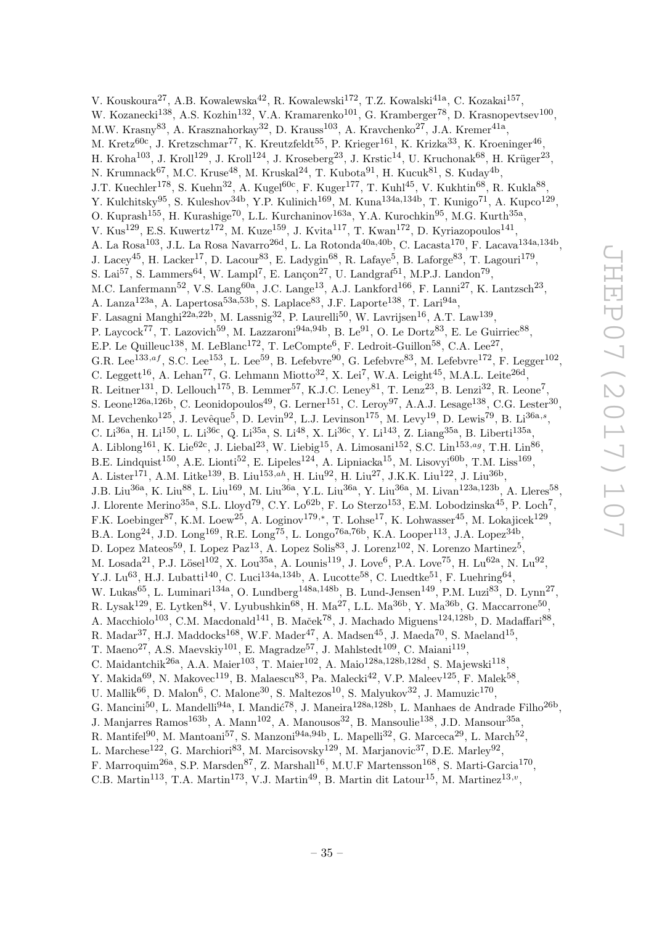V. Kouskoura<sup>27</sup>, A.B. Kowalewska<sup>42</sup>, R. Kowalewski<sup>172</sup>, T.Z. Kowalski<sup>41a</sup>, C. Kozakai<sup>157</sup>, W. Kozanecki<sup>138</sup>, A.S. Kozhin<sup>132</sup>, V.A. Kramarenko<sup>101</sup>, G. Kramberger<sup>78</sup>, D. Krasnopevtsev<sup>100</sup>, M.W. Krasny $^{83}$ , A. Krasznahorkay $^{32}$ , D. Krauss $^{103}$ , A. Kravchenko $^{27}$ , J.A. Kremer $^{41a}$ , M. Kretz<sup>60c</sup>, J. Kretzschmar<sup>77</sup>, K. Kreutzfeldt<sup>55</sup>, P. Krieger<sup>161</sup>, K. Krizka<sup>33</sup>, K. Kroeninger<sup>46</sup>, H. Kroha $^{103}$ , J. Kroll $^{129}$ , J. Kroll $^{124}$ , J. Kroseberg $^{23}$ , J. Krstic $^{14}$ , U. Kruchonak $^{68}$ , H. Krüger $^{23}$ , N. Krumnack $^{67}$ , M.C. Kruse $^{48}$ , M. Kruskal $^{24}$ , T. Kubota $^{91}$ , H. Kucuk $^{81}$ , S. Kuday $^{4b}$ , J.T. Kuechler<sup>178</sup>, S. Kuehn<sup>32</sup>, A. Kugel<sup>60c</sup>, F. Kuger<sup>177</sup>, T. Kuhl<sup>45</sup>, V. Kukhtin<sup>68</sup>, R. Kukla<sup>88</sup>, Y. Kulchitsky<sup>95</sup>, S. Kuleshov<sup>34b</sup>, Y.P. Kulinich<sup>169</sup>, M. Kuna<sup>134a,134b</sup>, T. Kunigo<sup>71</sup>, A. Kupco<sup>129</sup>, O. Kuprash<sup>155</sup>, H. Kurashige<sup>70</sup>, L.L. Kurchaninov<sup>163a</sup>, Y.A. Kurochkin<sup>95</sup>, M.G. Kurth<sup>35a</sup>, V. Kus<sup>129</sup>, E.S. Kuwertz<sup>172</sup>, M. Kuze<sup>159</sup>, J. Kvita<sup>117</sup>, T. Kwan<sup>172</sup>, D. Kyriazopoulos<sup>141</sup>, A. La Rosa<sup>103</sup>, J.L. La Rosa Navarro<sup>26d</sup>, L. La Rotonda<sup>40a,40b</sup>, C. Lacasta<sup>170</sup>, F. Lacava<sup>134a,134b</sup>, J. Lacey<sup>45</sup>, H. Lacker<sup>17</sup>, D. Lacour<sup>83</sup>, E. Ladygin<sup>68</sup>, R. Lafaye<sup>5</sup>, B. Laforge<sup>83</sup>, T. Lagouri<sup>179</sup>, S. Lai<sup>57</sup>, S. Lammers<sup>64</sup>, W. Lampl<sup>7</sup>, E. Lançon<sup>27</sup>, U. Landgraf<sup>51</sup>, M.P.J. Landon<sup>79</sup>, M.C. Lanfermann<sup>52</sup>, V.S. Lang<sup>60a</sup>, J.C. Lange<sup>13</sup>, A.J. Lankford<sup>166</sup>, F. Lanni<sup>27</sup>, K. Lantzsch<sup>23</sup>, A. Lanza<sup>123a</sup>, A. Lapertosa<sup>53a,53b</sup>, S. Laplace<sup>83</sup>, J.F. Laporte<sup>138</sup>, T. Lari<sup>94a</sup>, F. Lasagni Manghi<sup>22a,22b</sup>, M. Lassnig<sup>32</sup>, P. Laurelli<sup>50</sup>, W. Lavrijsen<sup>16</sup>, A.T. Law<sup>139</sup>, P. Laycock<sup>77</sup>, T. Lazovich<sup>59</sup>, M. Lazzaroni<sup>94a,94b</sup>, B. Le<sup>91</sup>, O. Le Dortz<sup>83</sup>, E. Le Guirriec<sup>88</sup>, E.P. Le Quilleuc<sup>138</sup>, M. LeBlanc<sup>172</sup>, T. LeCompte<sup>6</sup>, F. Ledroit-Guillon<sup>58</sup>, C.A. Lee<sup>27</sup>, G.R. Lee<sup>133,af</sup>, S.C. Lee<sup>153</sup>, L. Lee<sup>59</sup>, B. Lefebvre<sup>90</sup>, G. Lefebvre<sup>83</sup>, M. Lefebvre<sup>172</sup>, F. Legger<sup>102</sup>, C. Leggett<sup>16</sup>, A. Lehan<sup>77</sup>, G. Lehmann Miotto<sup>32</sup>, X. Lei<sup>7</sup>, W.A. Leight<sup>45</sup>, M.A.L. Leite<sup>26d</sup>, R. Leitner<sup>131</sup>, D. Lellouch<sup>175</sup>, B. Lemmer<sup>57</sup>, K.J.C. Leney<sup>81</sup>, T. Lenz<sup>23</sup>, B. Lenzi<sup>32</sup>, R. Leone<sup>7</sup>, S. Leone<sup>126a,126b</sup>, C. Leonidopoulos<sup>49</sup>, G. Lerner<sup>151</sup>, C. Leroy<sup>97</sup>, A.A.J. Lesage<sup>138</sup>, C.G. Lester<sup>30</sup>, M. Levchenko<sup>125</sup>, J. Levêque<sup>5</sup>, D. Levin<sup>92</sup>, L.J. Levinson<sup>175</sup>, M. Levy<sup>19</sup>, D. Lewis<sup>79</sup>, B. Li<sup>36a,s</sup>, C. Li<sup>36a</sup>, H. Li<sup>150</sup>, L. Li<sup>36c</sup>, Q. Li<sup>35a</sup>, S. Li<sup>48</sup>, X. Li<sup>36c</sup>, Y. Li<sup>143</sup>, Z. Liang<sup>35a</sup>, B. Liberti<sup>135a</sup>, A. Liblong<sup>161</sup>, K. Lie<sup>62c</sup>, J. Liebal<sup>23</sup>, W. Liebig<sup>15</sup>, A. Limosani<sup>152</sup>, S.C. Lin<sup>153,ag</sup>, T.H. Lin<sup>86</sup>, B.E. Lindquist<sup>150</sup>, A.E. Lionti<sup>52</sup>, E. Lipeles<sup>124</sup>, A. Lipniacka<sup>15</sup>, M. Lisovyi<sup>60b</sup>, T.M. Liss<sup>169</sup>, A. Lister<sup>171</sup>, A.M. Litke<sup>139</sup>, B. Liu<sup>153,ah</sup>, H. Liu<sup>92</sup>, H. Liu<sup>27</sup>, J.K.K. Liu<sup>122</sup>, J. Liu<sup>36b</sup>, J.B. Liu<sup>36a</sup>, K. Liu<sup>88</sup>, L. Liu<sup>169</sup>, M. Liu<sup>36a</sup>, Y.L. Liu<sup>36a</sup>, Y. Liu<sup>36a</sup>, M. Livan<sup>123a,123b</sup>, A. Lleres<sup>58</sup>, J. Llorente Merino<sup>35a</sup>, S.L. Lloyd<sup>79</sup>, C.Y. Lo<sup>62b</sup>, F. Lo Sterzo<sup>153</sup>, E.M. Lobodzinska<sup>45</sup>, P. Loch<sup>7</sup>, F.K. Loebinger<sup>87</sup>, K.M. Loew<sup>25</sup>, A. Loginov<sup>179,\*</sup>, T. Lohse<sup>17</sup>, K. Lohwasser<sup>45</sup>, M. Lokajicek<sup>129</sup>, B.A. Long<sup>24</sup>, J.D. Long<sup>169</sup>, R.E. Long<sup>75</sup>, L. Longo<sup>76a,76b</sup>, K.A. Looper<sup>113</sup>, J.A. Lopez<sup>34b</sup>, D. Lopez Mateos<sup>59</sup>, I. Lopez Paz<sup>13</sup>, A. Lopez Solis<sup>83</sup>, J. Lorenz<sup>102</sup>, N. Lorenzo Martinez<sup>5</sup>, M. Losada $^{21}$ , P.J. Lösel $^{102}$ , X. Lou $^{35a}$ , A. Lounis $^{119}$ , J. Love $^6$ , P.A. Love $^{75}$ , H. Lu $^{62a}$ , N. Lu $^{92}$ , Y.J. Lu<sup>63</sup>, H.J. Lubatti<sup>140</sup>, C. Luci<sup>134a,134b</sup>, A. Lucotte<sup>58</sup>, C. Luedtke<sup>51</sup>, F. Luehring<sup>64</sup>, W. Lukas<sup>65</sup>, L. Luminari<sup>134a</sup>, O. Lundberg<sup>148a,148b</sup>, B. Lund-Jensen<sup>149</sup>, P.M. Luzi<sup>83</sup>, D. Lynn<sup>27</sup>, R. Lysak<sup>129</sup>, E. Lytken<sup>84</sup>, V. Lyubushkin<sup>68</sup>, H. Ma<sup>27</sup>, L.L. Ma<sup>36b</sup>, Y. Ma<sup>36b</sup>, G. Maccarrone<sup>50</sup>, A. Macchiolo<sup>103</sup>, C.M. Macdonald<sup>141</sup>, B. Maček<sup>78</sup>, J. Machado Miguens<sup>124,128b</sup>, D. Madaffari<sup>88</sup>, R. Madar<sup>37</sup>, H.J. Maddocks<sup>168</sup>, W.F. Mader<sup>47</sup>, A. Madsen<sup>45</sup>, J. Maeda<sup>70</sup>, S. Maeland<sup>15</sup>, T. Maeno<sup>27</sup>, A.S. Maevskiy<sup>101</sup>, E. Magradze<sup>57</sup>, J. Mahlstedt<sup>109</sup>, C. Maiani<sup>119</sup>, C. Maidantchik<sup>26a</sup>, A.A. Maier<sup>103</sup>, T. Maier<sup>102</sup>, A. Maio<sup>128a,128b,128d</sup>, S. Majewski<sup>118</sup>, Y. Makida<sup>69</sup>, N. Makovec<sup>119</sup>, B. Malaescu<sup>83</sup>, Pa. Malecki<sup>42</sup>, V.P. Maleev<sup>125</sup>, F. Malek<sup>58</sup>, U. Mallik $^{66}$ , D. Malon $^6$ , C. Malone<sup>30</sup>, S. Maltezos<sup>10</sup>, S. Malyukov<sup>32</sup>, J. Mamuzic<sup>170</sup>, G. Mancini<sup>50</sup>, L. Mandelli<sup>94a</sup>, I. Mandić<sup>78</sup>, J. Maneira<sup>128a,128b</sup>, L. Manhaes de Andrade Filho<sup>26b</sup>, J. Manjarres Ramos<sup>163b</sup>, A. Mann<sup>102</sup>, A. Manousos<sup>32</sup>, B. Mansoulie<sup>138</sup>, J.D. Mansour<sup>35a</sup>, R. Mantifel<sup>90</sup>, M. Mantoani<sup>57</sup>, S. Manzoni<sup>94a,94b</sup>, L. Mapelli<sup>32</sup>, G. Marceca<sup>29</sup>, L. March<sup>52</sup>, L. Marchese<sup>122</sup>, G. Marchiori<sup>83</sup>, M. Marcisovsky<sup>129</sup>, M. Marjanovic<sup>37</sup>, D.E. Marley<sup>92</sup>, F. Marroquim<sup>26a</sup>, S.P. Marsden<sup>87</sup>, Z. Marshall<sup>16</sup>, M.U.F Martensson<sup>168</sup>, S. Marti-Garcia<sup>170</sup>,

C.B. Martin<sup>113</sup>, T.A. Martin<sup>173</sup>, V.J. Martin<sup>49</sup>, B. Martin dit Latour<sup>15</sup>, M. Martinez<sup>13,*v*</sup>,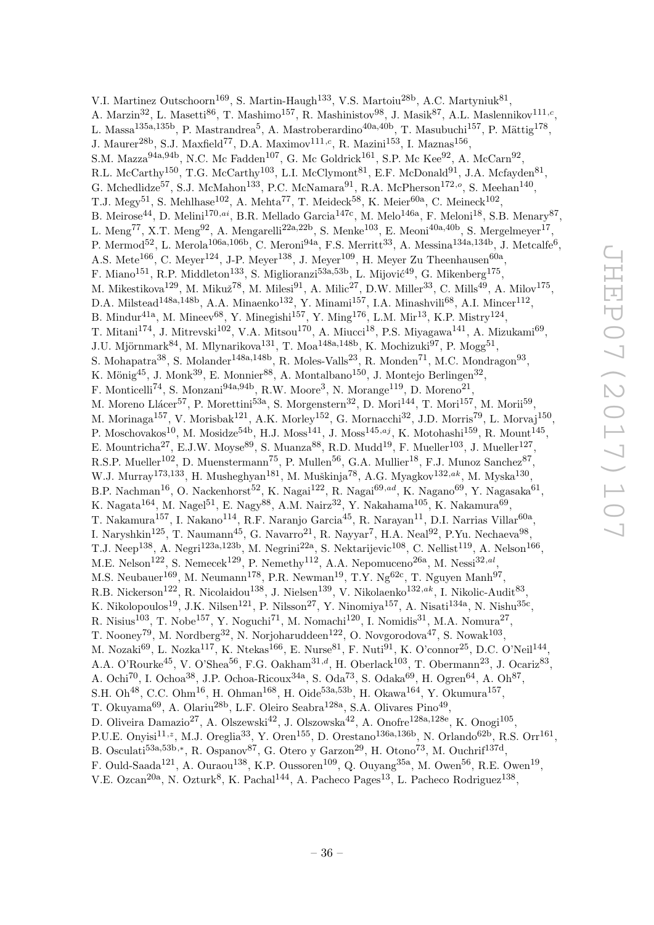V.I. Martinez Outschoorn<sup>169</sup>, S. Martin-Haugh<sup>133</sup>, V.S. Martoiu<sup>28b</sup>, A.C. Martyniuk<sup>81</sup>, A. Marzin<sup>32</sup>, L. Masetti<sup>86</sup>, T. Mashimo<sup>157</sup>, R. Mashinistov<sup>98</sup>, J. Masik<sup>87</sup>, A.L. Maslennikov<sup>111,c</sup>, L. Massa<sup>135a,135b</sup>, P. Mastrandrea<sup>5</sup>, A. Mastroberardino<sup>40a,40b</sup>, T. Masubuchi<sup>157</sup>, P. Mättig<sup>178</sup>, J. Maurer<sup>28b</sup>, S.J. Maxfield<sup>77</sup>, D.A. Maximov<sup>111,c</sup>, R. Mazini<sup>153</sup>, I. Maznas<sup>156</sup>, S.M. Mazza<sup>94a,94b</sup>, N.C. Mc Fadden<sup>107</sup>, G. Mc Goldrick<sup>161</sup>, S.P. Mc Kee<sup>92</sup>, A. McCarn<sup>92</sup>, R.L. McCarthy<sup>150</sup>, T.G. McCarthy<sup>103</sup>, L.I. McClymont<sup>81</sup>, E.F. McDonald<sup>91</sup>, J.A. Mcfayden<sup>81</sup>, G. Mchedlidze<sup>57</sup>, S.J. McMahon<sup>133</sup>, P.C. McNamara<sup>91</sup>, R.A. McPherson<sup>172,</sup><sup>o</sup>, S. Meehan<sup>140</sup>, T.J. Megy<sup>51</sup>, S. Mehlhase<sup>102</sup>, A. Mehta<sup>77</sup>, T. Meideck<sup>58</sup>, K. Meier<sup>60a</sup>, C. Meineck<sup>102</sup>, B. Meirose<sup>44</sup>, D. Melini<sup>170,ai</sup>, B.R. Mellado Garcia<sup>147c</sup>, M. Melo<sup>146a</sup>, F. Meloni<sup>18</sup>, S.B. Menary<sup>87</sup>, L. Meng<sup>77</sup>, X.T. Meng<sup>92</sup>, A. Mengarelli<sup>22a,22b</sup>, S. Menke<sup>103</sup>, E. Meoni<sup>40a,40b</sup>, S. Mergelmeyer<sup>17</sup>, P. Mermod<sup>52</sup>, L. Merola<sup>106a,106b</sup>, C. Meroni<sup>94a</sup>, F.S. Merritt<sup>33</sup>, A. Messina<sup>134a,134b</sup>, J. Metcalfe<sup>6</sup>, A.S. Mete<sup>166</sup>, C. Meyer<sup>124</sup>, J-P. Meyer<sup>138</sup>, J. Meyer<sup>109</sup>, H. Meyer Zu Theenhausen<sup>60a</sup>, F. Miano<sup>151</sup>, R.P. Middleton<sup>133</sup>, S. Miglioranzi<sup>53a,53b</sup>, L. Mijović<sup>49</sup>, G. Mikenberg<sup>175</sup>, M. Mikestikova<sup>129</sup>, M. Mikuž<sup>78</sup>, M. Milesi<sup>91</sup>, A. Milic<sup>27</sup>, D.W. Miller<sup>33</sup>, C. Mills<sup>49</sup>, A. Milov<sup>175</sup>, D.A. Milstead<sup>148a,148b</sup>, A.A. Minaenko<sup>132</sup>, Y. Minami<sup>157</sup>, I.A. Minashvili<sup>68</sup>, A.I. Mincer<sup>112</sup>, B. Mindur<sup>41a</sup>, M. Mineev<sup>68</sup>, Y. Minegishi<sup>157</sup>, Y. Ming<sup>176</sup>, L.M. Mir<sup>13</sup>, K.P. Mistry<sup>124</sup>, T. Mitani<sup>174</sup>, J. Mitrevski<sup>102</sup>, V.A. Mitsou<sup>170</sup>, A. Miucci<sup>18</sup>, P.S. Miyagawa<sup>141</sup>, A. Mizukami<sup>69</sup>, J.U. Mjörnmark $^{84}$ , M. Mlynarikova $^{131}$ , T. Moa $^{148a,148b}$ , K. Mochizuki $^{97}$ , P. Mogg $^{51}$ , S. Mohapatra<sup>38</sup>, S. Molander<sup>148a,148b</sup>, R. Moles-Valls<sup>23</sup>, R. Monden<sup>71</sup>, M.C. Mondragon<sup>93</sup>, K. Mönig<sup>45</sup>, J. Monk<sup>39</sup>, E. Monnier<sup>88</sup>, A. Montalbano<sup>150</sup>, J. Montejo Berlingen<sup>32</sup>, F. Monticelli<sup>74</sup>, S. Monzani<sup>94a,94b</sup>, R.W. Moore<sup>3</sup>, N. Morange<sup>119</sup>, D. Moreno<sup>21</sup>, M. Moreno Llácer<sup>57</sup>, P. Morettini<sup>53a</sup>, S. Morgenstern<sup>32</sup>, D. Mori<sup>144</sup>, T. Mori<sup>157</sup>, M. Morii<sup>59</sup>, M. Morinaga<sup>157</sup>, V. Morisbak<sup>121</sup>, A.K. Morley<sup>152</sup>, G. Mornacchi<sup>32</sup>, J.D. Morris<sup>79</sup>, L. Morvaj<sup>150</sup>, P. Moschovakos<sup>10</sup>, M. Mosidze<sup>54b</sup>, H.J. Moss<sup>141</sup>, J. Moss<sup>145,aj</sup>, K. Motohashi<sup>159</sup>, R. Mount<sup>145</sup>, E. Mountricha<sup>27</sup>, E.J.W. Moyse<sup>89</sup>, S. Muanza<sup>88</sup>, R.D. Mudd<sup>19</sup>, F. Mueller<sup>103</sup>, J. Mueller<sup>127</sup>, R.S.P. Mueller<sup>102</sup>, D. Muenstermann<sup>75</sup>, P. Mullen<sup>56</sup>, G.A. Mullier<sup>18</sup>, F.J. Munoz Sanchez<sup>87</sup>, W.J. Murray<sup>173,133</sup>, H. Musheghyan<sup>181</sup>, M. Muškinja<sup>78</sup>, A.G. Myagkov<sup>132,ak</sup>, M. Myska<sup>130</sup>, B.P. Nachman<sup>16</sup>, O. Nackenhorst<sup>52</sup>, K. Nagai<sup>122</sup>, R. Nagai<sup>69,ad</sup>, K. Nagano<sup>69</sup>, Y. Nagasaka<sup>61</sup>, K. Nagata $^{164}$ , M. Nagel $^{51}$ , E. Nagy $^{88}$ , A.M. Nairz $^{32}$ , Y. Nakahama $^{105}$ , K. Nakamura $^{69}$ , T. Nakamura $^{157}$ , I. Nakano $^{114}$ , R.F. Naranjo Garcia $^{45}$ , R. Narayan $^{11}$ , D.I. Narrias Villar $^{60\text{a}}$ , I. Naryshkin<sup>125</sup>, T. Naumann<sup>45</sup>, G. Navarro<sup>21</sup>, R. Nayyar<sup>7</sup>, H.A. Neal<sup>92</sup>, P.Yu. Nechaeva<sup>98</sup>, T.J. Neep<sup>138</sup>, A. Negri<sup>123a,123b</sup>, M. Negrini<sup>22a</sup>, S. Nektarijevic<sup>108</sup>, C. Nellist<sup>119</sup>, A. Nelson<sup>166</sup>, M.E. Nelson<sup>122</sup>, S. Nemecek<sup>129</sup>, P. Nemethy<sup>112</sup>, A.A. Nepomuceno<sup>26a</sup>, M. Nessi<sup>32,al</sup>, M.S. Neubauer<sup>169</sup>, M. Neumann<sup>178</sup>, P.R. Newman<sup>19</sup>, T.Y. Ng<sup>62c</sup>, T. Nguyen Manh<sup>97</sup>, R.B. Nickerson<sup>122</sup>, R. Nicolaidou<sup>138</sup>, J. Nielsen<sup>139</sup>, V. Nikolaenko<sup>132,ak</sup>, I. Nikolic-Audit<sup>83</sup>, K. Nikolopoulos<sup>19</sup>, J.K. Nilsen<sup>121</sup>, P. Nilsson<sup>27</sup>, Y. Ninomiya<sup>157</sup>, A. Nisati<sup>134a</sup>, N. Nishu<sup>35c</sup>, R. Nisius<sup>103</sup>, T. Nobe<sup>157</sup>, Y. Noguchi<sup>71</sup>, M. Nomachi<sup>120</sup>, I. Nomidis<sup>31</sup>, M.A. Nomura<sup>27</sup>, T. Nooney<sup>79</sup>, M. Nordberg<sup>32</sup>, N. Norjoharuddeen<sup>122</sup>, O. Novgorodova<sup>47</sup>, S. Nowak<sup>103</sup>, M. Nozaki $^{69}$ , L. Nozka $^{117}$ , K. Ntekas $^{166}$ , E. Nurse $^{81}$ , F. Nuti $^{91}$ , K. O'connor $^{25}$ , D.C. O'Neil $^{144}$ , A.A. O'Rourke<sup>45</sup>, V. O'Shea<sup>56</sup>, F.G. Oakham<sup>31,d</sup>, H. Oberlack<sup>103</sup>, T. Obermann<sup>23</sup>, J. Ocariz<sup>83</sup>, A. Ochi<sup>70</sup>, I. Ochoa<sup>38</sup>, J.P. Ochoa-Ricoux<sup>34a</sup>, S. Oda<sup>73</sup>, S. Odaka<sup>69</sup>, H. Ogren<sup>64</sup>, A. Oh<sup>87</sup>, S.H. Oh<sup>48</sup>, C.C. Ohm<sup>16</sup>, H. Ohman<sup>168</sup>, H. Oide<sup>53a,53b</sup>, H. Okawa<sup>164</sup>, Y. Okumura<sup>157</sup>, T. Okuyama<sup>69</sup>, A. Olariu<sup>28b</sup>, L.F. Oleiro Seabra<sup>128a</sup>, S.A. Olivares Pino<sup>49</sup>, D. Oliveira Damazio<sup>27</sup>, A. Olszewski<sup>42</sup>, J. Olszowska<sup>42</sup>, A. Onofre<sup>128a,128e</sup>, K. Onogi<sup>105</sup>, P.U.E. Onyisi<sup>11,z</sup>, M.J. Oreglia<sup>33</sup>, Y. Oren<sup>155</sup>, D. Orestano<sup>136a,136b</sup>, N. Orlando<sup>62b</sup>, R.S. Orr<sup>161</sup>, B. Osculati<sup>53a,53b,\*</sup>, R. Ospanov<sup>87</sup>, G. Otero y Garzon<sup>29</sup>, H. Otono<sup>73</sup>, M. Ouchrif<sup>137d</sup>, F. Ould-Saada<sup>121</sup>, A. Ouraou<sup>138</sup>, K.P. Oussoren<sup>109</sup>, Q. Ouyang<sup>35a</sup>, M. Owen<sup>56</sup>, R.E. Owen<sup>19</sup>,

V.E. Ozcan<sup>20a</sup>, N. Ozturk<sup>8</sup>, K. Pachal<sup>144</sup>, A. Pacheco Pages<sup>13</sup>, L. Pacheco Rodriguez<sup>138</sup>,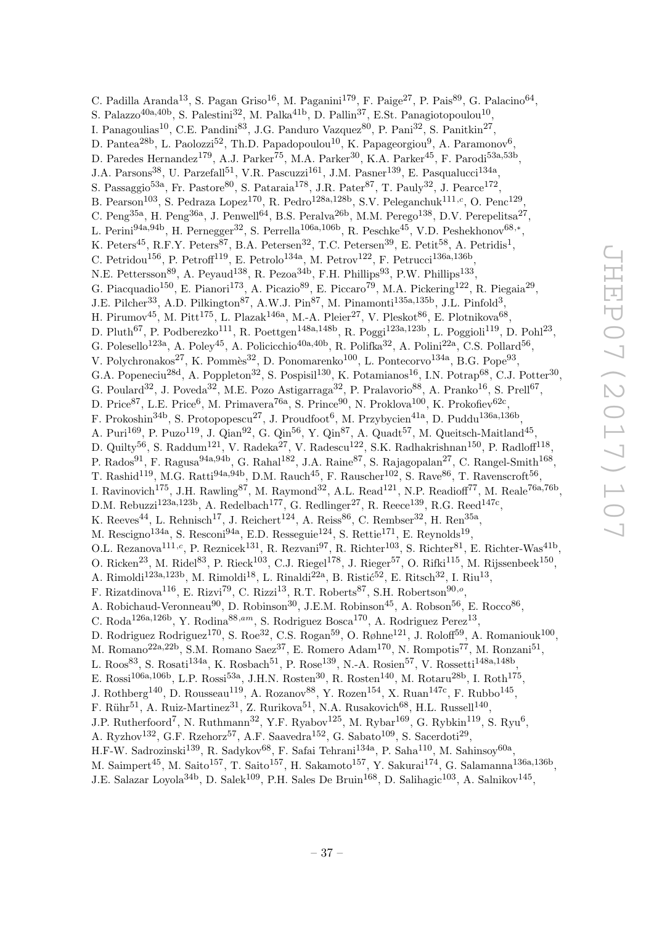C. Padilla Aranda<sup>13</sup>, S. Pagan Griso<sup>16</sup>, M. Paganini<sup>179</sup>, F. Paige<sup>27</sup>, P. Pais<sup>89</sup>, G. Palacino<sup>64</sup>, S. Palazzo<sup>40a, 40b</sup>, S. Palestini<sup>32</sup>, M. Palka<sup>41b</sup>, D. Pallin<sup>37</sup>, E.St. Panagiotopoulou<sup>10</sup>, I. Panagoulias<sup>10</sup>, C.E. Pandini<sup>83</sup>, J.G. Panduro Vazquez<sup>80</sup>, P. Pani<sup>32</sup>, S. Panitkin<sup>27</sup>, D. Pantea<sup>28b</sup>, L. Paolozzi<sup>52</sup>, Th.D. Papadopoulou<sup>10</sup>, K. Papageorgiou<sup>9</sup>, A. Paramonov<sup>6</sup>, D. Paredes Hernandez<sup>179</sup>, A.J. Parker<sup>75</sup>, M.A. Parker<sup>30</sup>, K.A. Parker<sup>45</sup>, F. Parodi<sup>53a,53b</sup>, J.A. Parsons<sup>38</sup>, U. Parzefall<sup>51</sup>, V.R. Pascuzzi<sup>161</sup>, J.M. Pasner<sup>139</sup>, E. Pasqualucci<sup>134a</sup>, S. Passaggio<sup>53a</sup>, Fr. Pastore<sup>80</sup>, S. Pataraia<sup>178</sup>, J.R. Pater<sup>87</sup>, T. Pauly<sup>32</sup>, J. Pearce<sup>172</sup>, B. Pearson<sup>103</sup>, S. Pedraza Lopez<sup>170</sup>, R. Pedro<sup>128a,128b</sup>, S.V. Peleganchuk<sup>111,c</sup>, O. Penc<sup>129</sup>, C. Peng<sup>35a</sup>, H. Peng<sup>36a</sup>, J. Penwell<sup>64</sup>, B.S. Peralva<sup>26b</sup>, M.M. Perego<sup>138</sup>, D.V. Perepelitsa<sup>27</sup>, L. Perini<sup>94a,94b</sup>, H. Pernegger<sup>32</sup>, S. Perrella<sup>106a,106b</sup>, R. Peschke<sup>45</sup>, V.D. Peshekhonov<sup>68,\*</sup>, K. Peters<sup>45</sup>, R.F.Y. Peters<sup>87</sup>, B.A. Petersen<sup>32</sup>, T.C. Petersen<sup>39</sup>, E. Petit<sup>58</sup>, A. Petridis<sup>1</sup>, C. Petridou<sup>156</sup>, P. Petroff<sup>119</sup>, E. Petrolo<sup>134a</sup>, M. Petrov<sup>122</sup>, F. Petrucci<sup>136a,136b</sup>, N.E. Pettersson<sup>89</sup>, A. Peyaud<sup>138</sup>, R. Pezoa<sup>34b</sup>, F.H. Phillips<sup>93</sup>, P.W. Phillips<sup>133</sup>, G. Piacquadio<sup>150</sup>, E. Pianori<sup>173</sup>, A. Picazio<sup>89</sup>, E. Piccaro<sup>79</sup>, M.A. Pickering<sup>122</sup>, R. Piegaia<sup>29</sup>, J.E. Pilcher<sup>33</sup>, A.D. Pilkington<sup>87</sup>, A.W.J. Pin<sup>87</sup>, M. Pinamonti<sup>135a,135b</sup>, J.L. Pinfold<sup>3</sup>, H. Pirumov<sup>45</sup>, M. Pitt<sup>175</sup>, L. Plazak<sup>146a</sup>, M.-A. Pleier<sup>27</sup>, V. Pleskot<sup>86</sup>, E. Plotnikova<sup>68</sup>, D. Pluth<sup>67</sup>, P. Podberezko<sup>111</sup>, R. Poettgen<sup>148a,148b</sup>, R. Poggi<sup>123a,123b</sup>, L. Poggioli<sup>119</sup>, D. Pohl<sup>23</sup>, G. Polesello<sup>123a</sup>, A. Poley<sup>45</sup>, A. Policicchio<sup>40a,40b</sup>, R. Polifka<sup>32</sup>, A. Polini<sup>22a</sup>, C.S. Pollard<sup>56</sup>, V. Polychronakos<sup>27</sup>, K. Pommès<sup>32</sup>, D. Ponomarenko<sup>100</sup>, L. Pontecorvo<sup>134a</sup>, B.G. Pope<sup>93</sup>, G.A. Popeneciu<sup>28d</sup>, A. Poppleton<sup>32</sup>, S. Pospisil<sup>130</sup>, K. Potamianos<sup>16</sup>, I.N. Potrap<sup>68</sup>, C.J. Potter<sup>30</sup>, G. Poulard<sup>32</sup>, J. Poveda<sup>32</sup>, M.E. Pozo Astigarraga<sup>32</sup>, P. Pralavorio<sup>88</sup>, A. Pranko<sup>16</sup>, S. Prell<sup>67</sup>, D. Price<sup>87</sup>, L.E. Price<sup>6</sup>, M. Primavera<sup>76a</sup>, S. Prince<sup>90</sup>, N. Proklova<sup>100</sup>, K. Prokofiev<sup>62c</sup>, F. Prokoshin<sup>34b</sup>, S. Protopopescu<sup>27</sup>, J. Proudfoot<sup>6</sup>, M. Przybycien<sup>41a</sup>, D. Puddu<sup>136a,136b</sup>, A. Puri<sup>169</sup>, P. Puzo<sup>119</sup>, J. Qian<sup>92</sup>, G. Qin<sup>56</sup>, Y. Qin<sup>87</sup>, A. Quadt<sup>57</sup>, M. Queitsch-Maitland<sup>45</sup>, D. Quilty<sup>56</sup>, S. Raddum<sup>121</sup>, V. Radeka<sup>27</sup>, V. Radescu<sup>122</sup>, S.K. Radhakrishnan<sup>150</sup>, P. Radloff<sup>118</sup>, P. Rados<sup>91</sup>, F. Ragusa<sup>94a,94b</sup>, G. Rahal<sup>182</sup>, J.A. Raine<sup>87</sup>, S. Rajagopalan<sup>27</sup>, C. Rangel-Smith<sup>168</sup>, T. Rashid<sup>119</sup>, M.G. Ratti<sup>94a,94b</sup>, D.M. Rauch<sup>45</sup>, F. Rauscher<sup>102</sup>, S. Rave<sup>86</sup>, T. Ravenscroft<sup>56</sup>, I. Ravinovich<sup>175</sup>, J.H. Rawling<sup>87</sup>, M. Raymond<sup>32</sup>, A.L. Read<sup>121</sup>, N.P. Readioff<sup>77</sup>, M. Reale<sup>76a,76b</sup>, D.M. Rebuzzi<sup>123a,123b</sup>, A. Redelbach<sup>177</sup>, G. Redlinger<sup>27</sup>, R. Reece<sup>139</sup>, R.G. Reed<sup>147c</sup>, K. Reeves<sup>44</sup>, L. Rehnisch<sup>17</sup>, J. Reichert<sup>124</sup>, A. Reiss<sup>86</sup>, C. Rembser<sup>32</sup>, H. Ren<sup>35a</sup>, M. Rescigno<sup>134a</sup>, S. Resconi<sup>94a</sup>, E.D. Resseguie<sup>124</sup>, S. Rettie<sup>171</sup>, E. Reynolds<sup>19</sup>, O.L. Rezanova<sup>111,c</sup>, P. Reznicek<sup>131</sup>, R. Rezvani<sup>97</sup>, R. Richter<sup>103</sup>, S. Richter<sup>81</sup>, E. Richter-Was<sup>41b</sup>, O. Ricken<sup>23</sup>, M. Ridel<sup>83</sup>, P. Rieck<sup>103</sup>, C.J. Riegel<sup>178</sup>, J. Rieger<sup>57</sup>, O. Rifki<sup>115</sup>, M. Rijssenbeek<sup>150</sup>, A. Rimoldi<sup>123a,123b</sup>, M. Rimoldi<sup>18</sup>, L. Rinaldi<sup>22a</sup>, B. Ristić<sup>52</sup>, E. Ritsch<sup>32</sup>, I. Riu<sup>13</sup>, F. Rizatdinova<sup>116</sup>, E. Rizvi<sup>79</sup>, C. Rizzi<sup>13</sup>, R.T. Roberts<sup>87</sup>, S.H. Robertson<sup>90,</sup><sup>o</sup>, A. Robichaud-Veronneau<sup>90</sup>, D. Robinson<sup>30</sup>, J.E.M. Robinson<sup>45</sup>, A. Robson<sup>56</sup>, E. Rocco<sup>86</sup>, C. Roda<sup>126a, 126b</sup>, Y. Rodina<sup>88, am</sup>, S. Rodriguez Bosca<sup>170</sup>, A. Rodriguez Perez<sup>13</sup>, D. Rodriguez Rodriguez<sup>170</sup>, S. Roe<sup>32</sup>, C.S. Rogan<sup>59</sup>, O. Røhne<sup>121</sup>, J. Roloff<sup>59</sup>, A. Romaniouk<sup>100</sup>, M. Romano<sup>22a,22b</sup>, S.M. Romano Saez<sup>37</sup>, E. Romero Adam<sup>170</sup>, N. Rompotis<sup>77</sup>, M. Ronzani<sup>51</sup>, L. Roos<sup>83</sup>, S. Rosati<sup>134a</sup>, K. Rosbach<sup>51</sup>, P. Rose<sup>139</sup>, N.-A. Rosien<sup>57</sup>, V. Rossetti<sup>148a,148b</sup>, E. Rossi<sup>106a,106b</sup>, L.P. Rossi<sup>53a</sup>, J.H.N. Rosten<sup>30</sup>, R. Rosten<sup>140</sup>, M. Rotaru<sup>28b</sup>, I. Roth<sup>175</sup>, J. Rothberg<sup>140</sup>, D. Rousseau<sup>119</sup>, A. Rozanov<sup>88</sup>, Y. Rozen<sup>154</sup>, X. Ruan<sup>147c</sup>, F. Rubbo<sup>145</sup>, F. Rühr $^{51}$ , A. Ruiz-Martinez $^{31}$ , Z. Rurikova $^{51}$ , N.A. Rusakovich $^{68}$ , H.L. Russell $^{140}$ , J.P. Rutherfoord<sup>7</sup>, N. Ruthmann<sup>32</sup>, Y.F. Ryabov<sup>125</sup>, M. Rybar<sup>169</sup>, G. Rybkin<sup>119</sup>, S. Ryu<sup>6</sup>, A. Ryzhov<sup>132</sup>, G.F. Rzehorz<sup>57</sup>, A.F. Saavedra<sup>152</sup>, G. Sabato<sup>109</sup>, S. Sacerdoti<sup>29</sup>, H.F-W. Sadrozinski $^{139}$ , R. Sadykov $^{68}$ , F. Safai Tehrani $^{134a}$ , P. Saha $^{110}$ , M. Sahinsoy $^{60a}$ , M. Saimpert<sup>45</sup>, M. Saito<sup>157</sup>, T. Saito<sup>157</sup>, H. Sakamoto<sup>157</sup>, Y. Sakurai<sup>174</sup>, G. Salamanna<sup>136a,136b</sup>,

J.E. Salazar Loyola<sup>34b</sup>, D. Salek<sup>109</sup>, P.H. Sales De Bruin<sup>168</sup>, D. Salihagic<sup>103</sup>, A. Salnikov<sup>145</sup>,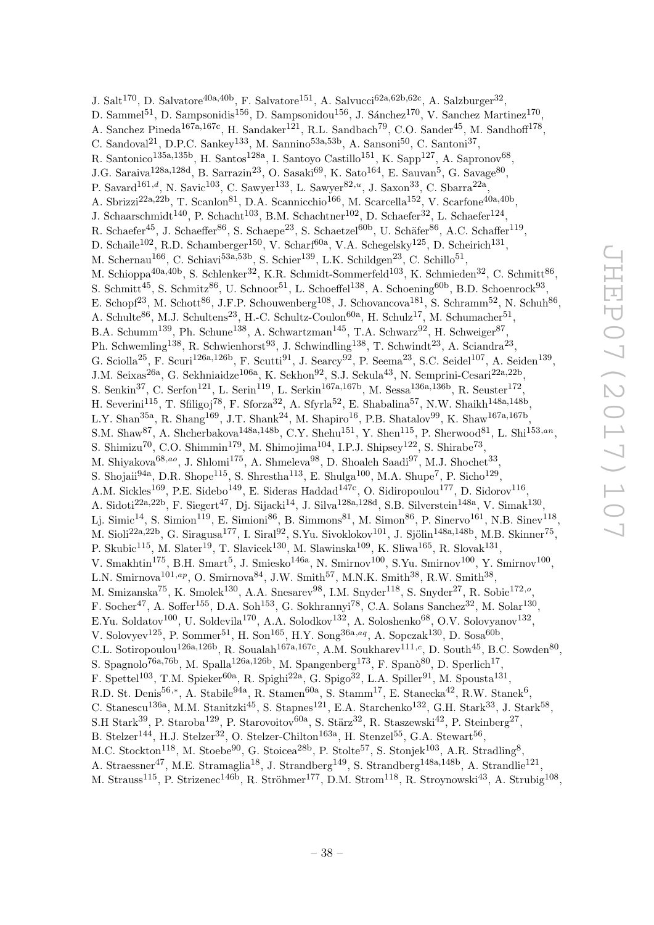J. Salt<sup>170</sup>, D. Salvatore<sup>40a,40b</sup>, F. Salvatore<sup>151</sup>, A. Salvucci<sup>62a,62b,62c</sup>, A. Salzburger<sup>32</sup>, D. Sammel<sup>51</sup>, D. Sampsonidis<sup>156</sup>, D. Sampsonidou<sup>156</sup>, J. Sánchez<sup>170</sup>, V. Sanchez Martinez<sup>170</sup>, A. Sanchez Pineda<sup>167a,167c</sup>, H. Sandaker<sup>121</sup>, R.L. Sandbach<sup>79</sup>, C.O. Sander<sup>45</sup>, M. Sandhoff<sup>178</sup>, C. Sandoval<sup>21</sup>, D.P.C. Sankey<sup>133</sup>, M. Sannino<sup>53a,53b</sup>, A. Sansoni<sup>50</sup>, C. Santoni<sup>37</sup>, R. Santonico<sup>135a,135b</sup>, H. Santos<sup>128a</sup>, I. Santoyo Castillo<sup>151</sup>, K. Sapp<sup>127</sup>, A. Sapronov<sup>68</sup>, J.G. Saraiva<sup>128a,128d</sup>, B. Sarrazin<sup>23</sup>, O. Sasaki<sup>69</sup>, K. Sato<sup>164</sup>, E. Sauvan<sup>5</sup>, G. Savage<sup>80</sup>, P. Savard<sup>161,d</sup>, N. Savic<sup>103</sup>, C. Sawyer<sup>133</sup>, L. Sawyer<sup>82,u</sup>, J. Saxon<sup>33</sup>, C. Sbarra<sup>22a</sup>, A. Sbrizzi<sup>22a,22b</sup>, T. Scanlon<sup>81</sup>, D.A. Scannicchio<sup>166</sup>, M. Scarcella<sup>152</sup>, V. Scarfone<sup>40a,40b</sup>, J. Schaarschmidt<sup>140</sup>, P. Schacht<sup>103</sup>, B.M. Schachtner<sup>102</sup>, D. Schaefer<sup>32</sup>, L. Schaefer<sup>124</sup>, R. Schaefer<sup>45</sup>, J. Schaeffer<sup>86</sup>, S. Schaepe<sup>23</sup>, S. Schaetzel<sup>60b</sup>, U. Schäfer<sup>86</sup>, A.C. Schaffer<sup>119</sup>, D. Schaile<sup>102</sup>, R.D. Schamberger<sup>150</sup>, V. Scharf<sup>60a</sup>, V.A. Schegelsky<sup>125</sup>, D. Scheirich<sup>131</sup>, M. Schernau<sup>166</sup>, C. Schiavi<sup>53a,53b</sup>, S. Schier<sup>139</sup>, L.K. Schildgen<sup>23</sup>, C. Schillo<sup>51</sup>, M. Schioppa<sup>40a,40b</sup>, S. Schlenker<sup>32</sup>, K.R. Schmidt-Sommerfeld<sup>103</sup>, K. Schmieden<sup>32</sup>, C. Schmitt<sup>86</sup>, S. Schmitt<sup>45</sup>, S. Schmitz<sup>86</sup>, U. Schnoor<sup>51</sup>, L. Schoeffel<sup>138</sup>, A. Schoening<sup>60b</sup>, B.D. Schoenrock<sup>93</sup>, E. Schopf<sup>23</sup>, M. Schott<sup>86</sup>, J.F.P. Schouwenberg<sup>108</sup>, J. Schovancova<sup>181</sup>, S. Schramm<sup>52</sup>, N. Schuh<sup>86</sup>, A. Schulte<sup>86</sup>, M.J. Schultens<sup>23</sup>, H.-C. Schultz-Coulon<sup>60a</sup>, H. Schulz<sup>17</sup>, M. Schumacher<sup>51</sup>, B.A. Schumm<sup>139</sup>, Ph. Schune<sup>138</sup>, A. Schwartzman<sup>145</sup>, T.A. Schwarz<sup>92</sup>, H. Schweiger<sup>87</sup>, Ph. Schwemling<sup>138</sup>, R. Schwienhorst<sup>93</sup>, J. Schwindling<sup>138</sup>, T. Schwindt<sup>23</sup>, A. Sciandra<sup>23</sup>, G. Sciolla<sup>25</sup>, F. Scuri<sup>126a,126b</sup>, F. Scutti<sup>91</sup>, J. Searcy<sup>92</sup>, P. Seema<sup>23</sup>, S.C. Seidel<sup>107</sup>, A. Seiden<sup>139</sup>, J.M. Seixas<sup>26a</sup>, G. Sekhniaidze<sup>106a</sup>, K. Sekhon<sup>92</sup>, S.J. Sekula<sup>43</sup>, N. Semprini-Cesari<sup>22a,22b</sup>, S. Senkin<sup>37</sup>, C. Serfon<sup>121</sup>, L. Serin<sup>119</sup>, L. Serkin<sup>167a,167b</sup>, M. Sessa<sup>136a,136b</sup>, R. Seuster<sup>172</sup>, H. Severini<sup>115</sup>, T. Sfiligoj<sup>78</sup>, F. Sforza<sup>32</sup>, A. Sfyrla<sup>52</sup>, E. Shabalina<sup>57</sup>, N.W. Shaikh<sup>148a,148b</sup>, L.Y. Shan<sup>35a</sup>, R. Shang<sup>169</sup>, J.T. Shank<sup>24</sup>, M. Shapiro<sup>16</sup>, P.B. Shatalov<sup>99</sup>, K. Shaw<sup>167a,167b</sup>, S.M. Shaw<sup>87</sup>, A. Shcherbakova<sup>148a,148b</sup>, C.Y. Shehu<sup>151</sup>, Y. Shen<sup>115</sup>, P. Sherwood<sup>81</sup>, L. Shi<sup>153,an</sup>, S. Shimizu<sup>70</sup>, C.O. Shimmin<sup>179</sup>, M. Shimojima<sup>104</sup>, I.P.J. Shipsey<sup>122</sup>, S. Shirabe<sup>73</sup>, M. Shiyakova<sup>68,ao</sup>, J. Shlomi<sup>175</sup>, A. Shmeleva<sup>98</sup>, D. Shoaleh Saadi<sup>97</sup>, M.J. Shochet<sup>33</sup>, S. Shojaii<sup>94a</sup>, D.R. Shope<sup>115</sup>, S. Shrestha<sup>113</sup>, E. Shulga<sup>100</sup>, M.A. Shupe<sup>7</sup>, P. Sicho<sup>129</sup>, A.M. Sickles<sup>169</sup>, P.E. Sidebo<sup>149</sup>, E. Sideras Haddad<sup>147c</sup>, O. Sidiropoulou<sup>177</sup>, D. Sidorov<sup>116</sup>, A. Sidoti<sup>22a,22b</sup>, F. Siegert<sup>47</sup>, Dj. Sijacki<sup>14</sup>, J. Silva<sup>128a,128d</sup>, S.B. Silverstein<sup>148a</sup>, V. Simak<sup>130</sup>, Lj. Simic $^{14}$ , S. Simion $^{119}$ , E. Simioni $^{86}$ , B. Simmons $^{81}$ , M. Simon $^{86}$ , P. Sinervo $^{161}$ , N.B. Sinev $^{118}$ , M. Sioli $^{22a,22b}$ , G. Siragusa $^{177}$ , I. Siral $^{92}$ , S.Yu. Sivoklokov $^{101}$ , J. Sjölin $^{148a,148b}$ , M.B. Skinner $^{75}$ , P. Skubic<sup>115</sup>, M. Slater<sup>19</sup>, T. Slavicek<sup>130</sup>, M. Slawinska<sup>109</sup>, K. Sliwa<sup>165</sup>, R. Slovak<sup>131</sup>, V. Smakhtin<sup>175</sup>, B.H. Smart<sup>5</sup>, J. Smiesko<sup>146a</sup>, N. Smirnov<sup>100</sup>, S.Yu. Smirnov<sup>100</sup>, Y. Smirnov<sup>100</sup>, L.N. Smirnova<sup>101,ap</sup>, O. Smirnova<sup>84</sup>, J.W. Smith<sup>57</sup>, M.N.K. Smith<sup>38</sup>, R.W. Smith<sup>38</sup>, M. Smizanska<sup>75</sup>, K. Smolek<sup>130</sup>, A.A. Snesarev<sup>98</sup>, I.M. Snyder<sup>118</sup>, S. Snyder<sup>27</sup>, R. Sobie<sup>172,0</sup>, F. Socher<sup>47</sup>, A. Soffer<sup>155</sup>, D.A. Soh<sup>153</sup>, G. Sokhrannyi<sup>78</sup>, C.A. Solans Sanchez<sup>32</sup>, M. Solar<sup>130</sup>, E.Yu. Soldatov<sup>100</sup>, U. Soldevila<sup>170</sup>, A.A. Solodkov<sup>132</sup>, A. Soloshenko<sup>68</sup>, O.V. Solovyanov<sup>132</sup>, V. Solovyev<sup>125</sup>, P. Sommer<sup>51</sup>, H. Son<sup>165</sup>, H.Y. Song<sup>36a,aq</sup>, A. Sopczak<sup>130</sup>, D. Sosa<sup>60b</sup>, C.L. Sotiropoulou<sup>126a,126b</sup>, R. Soualah<sup>167a,167c</sup>, A.M. Soukharev<sup>111,c</sup>, D. South<sup>45</sup>, B.C. Sowden<sup>80</sup>, S. Spagnolo<sup>76a,76b</sup>, M. Spalla<sup>126a,126b</sup>, M. Spangenberg<sup>173</sup>, F. Spanò<sup>80</sup>, D. Sperlich<sup>17</sup>, F. Spettel<sup>103</sup>, T.M. Spieker<sup>60a</sup>, R. Spighi<sup>22a</sup>, G. Spigo<sup>32</sup>, L.A. Spiller<sup>91</sup>, M. Spousta<sup>131</sup>, R.D. St. Denis<sup>56,\*</sup>, A. Stabile<sup>94a</sup>, R. Stamen<sup>60a</sup>, S. Stamm<sup>17</sup>, E. Stanecka<sup>42</sup>, R.W. Stanek<sup>6</sup>, C. Stanescu<sup>136a</sup>, M.M. Stanitzki<sup>45</sup>, S. Stapnes<sup>121</sup>, E.A. Starchenko<sup>132</sup>, G.H. Stark<sup>33</sup>, J. Stark<sup>58</sup>, S.H Stark<sup>39</sup>, P. Staroba<sup>129</sup>, P. Starovoitov<sup>60a</sup>, S. Stärz<sup>32</sup>, R. Staszewski<sup>42</sup>, P. Steinberg<sup>27</sup>, B. Stelzer<sup>144</sup>, H.J. Stelzer<sup>32</sup>, O. Stelzer-Chilton<sup>163a</sup>, H. Stenzel<sup>55</sup>, G.A. Stewart<sup>56</sup>, M.C. Stockton<sup>118</sup>, M. Stoebe<sup>90</sup>, G. Stoicea<sup>28b</sup>, P. Stolte<sup>57</sup>, S. Stonjek<sup>103</sup>, A.R. Stradling<sup>8</sup>, A. Straessner<sup>47</sup>, M.E. Stramaglia<sup>18</sup>, J. Strandberg<sup>149</sup>, S. Strandberg<sup>148a,148b</sup>, A. Strandlie<sup>121</sup>,

M. Strauss<sup>115</sup>, P. Strizenec<sup>146b</sup>, R. Ströhmer<sup>177</sup>, D.M. Strom<sup>118</sup>, R. Stroynowski<sup>43</sup>, A. Strubig<sup>108</sup>,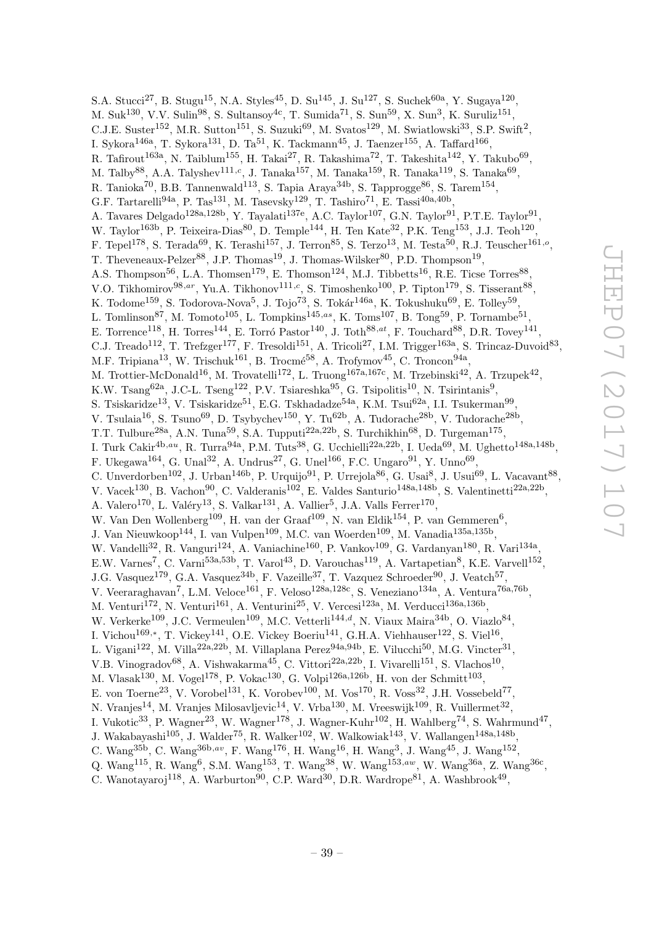S.A. Stucci<sup>27</sup>, B. Stugu<sup>15</sup>, N.A. Styles<sup>45</sup>, D. Su<sup>145</sup>, J. Su<sup>127</sup>, S. Suchek<sup>60a</sup>, Y. Sugaya<sup>120</sup>, M. Suk<sup>130</sup>, V.V. Sulin<sup>98</sup>, S. Sultansoy<sup>4c</sup>, T. Sumida<sup>71</sup>, S. Sun<sup>59</sup>, X. Sun<sup>3</sup>, K. Suruliz<sup>151</sup>, C.J.E. Suster<sup>152</sup>, M.R. Sutton<sup>151</sup>, S. Suzuki<sup>69</sup>, M. Svatos<sup>129</sup>, M. Swiatlowski<sup>33</sup>, S.P. Swift<sup>2</sup>, I. Sykora $^{146a}$ , T. Sykora $^{131}$ , D. Ta $^{51}$ , K. Tackmann $^{45}$ , J. Taenzer $^{155}$ , A. Taffard $^{166}$ , R. Tafirout<sup>163a</sup>, N. Taiblum<sup>155</sup>, H. Takai<sup>27</sup>, R. Takashima<sup>72</sup>, T. Takeshita<sup>142</sup>, Y. Takubo<sup>69</sup>, M. Talby<sup>88</sup>, A.A. Talyshev<sup>111,c</sup>, J. Tanaka<sup>157</sup>, M. Tanaka<sup>159</sup>, R. Tanaka<sup>119</sup>, S. Tanaka<sup>69</sup>, R. Tanioka<sup>70</sup>, B.B. Tannenwald<sup>113</sup>, S. Tapia Araya<sup>34b</sup>, S. Tapprogge<sup>86</sup>, S. Tarem<sup>154</sup>, G.F. Tartarelli<sup>94a</sup>, P. Tas<sup>131</sup>, M. Tasevsky<sup>129</sup>, T. Tashiro<sup>71</sup>, E. Tassi<sup>40a,40b</sup>, A. Tavares Delgado<sup>128a, 128b</sup>, Y. Tayalati<sup>137e</sup>, A.C. Taylor<sup>107</sup>, G.N. Taylor<sup>91</sup>, P.T.E. Taylor<sup>91</sup>, W. Taylor<sup>163b</sup>, P. Teixeira-Dias<sup>80</sup>, D. Temple<sup>144</sup>, H. Ten Kate<sup>32</sup>, P.K. Teng<sup>153</sup>, J.J. Teoh<sup>120</sup>, F. Tepel<sup>178</sup>, S. Terada<sup>69</sup>, K. Terashi<sup>157</sup>, J. Terron<sup>85</sup>, S. Terzo<sup>13</sup>, M. Testa<sup>50</sup>, R.J. Teuscher<sup>161,</sup><sup>o</sup>, T. Theveneaux-Pelzer<sup>88</sup>, J.P. Thomas<sup>19</sup>, J. Thomas-Wilsker<sup>80</sup>, P.D. Thompson<sup>19</sup>, A.S. Thompson<sup>56</sup>, L.A. Thomsen<sup>179</sup>, E. Thomson<sup>124</sup>, M.J. Tibbetts<sup>16</sup>, R.E. Ticse Torres<sup>88</sup>, V.O. Tikhomirov<sup>98,ar</sup>, Yu.A. Tikhonov<sup>111,c</sup>, S. Timoshenko<sup>100</sup>, P. Tipton<sup>179</sup>, S. Tisserant<sup>88</sup>, K. Todome $^{159}$ , S. Todorova-Nova $^5$ , J. Tojo $^{73}$ , S. Tokár $^{146a}$ , K. Tokushuku $^{69}$ , E. Tolley $^{59}$ , L. Tomlinson<sup>87</sup>, M. Tomoto<sup>105</sup>, L. Tompkins<sup>145,as</sup>, K. Toms<sup>107</sup>, B. Tong<sup>59</sup>, P. Tornambe<sup>51</sup>, E. Torrence<sup>118</sup>, H. Torres<sup>144</sup>, E. Torró Pastor<sup>140</sup>, J. Toth<sup>88,at</sup>, F. Touchard<sup>88</sup>, D.R. Tovey<sup>141</sup>, C.J. Treado<sup>112</sup>, T. Trefzger<sup>177</sup>, F. Tresoldi<sup>151</sup>, A. Tricoli<sup>27</sup>, I.M. Trigger<sup>163a</sup>, S. Trincaz-Duvoid<sup>83</sup>, M.F. Tripiana<sup>13</sup>, W. Trischuk<sup>161</sup>, B. Trocmé<sup>58</sup>, A. Trofymov<sup>45</sup>, C. Troncon<sup>94a</sup>, M. Trottier-McDonald<sup>16</sup>, M. Trovatelli<sup>172</sup>, L. Truong<sup>167a,167c</sup>, M. Trzebinski<sup>42</sup>, A. Trzupek<sup>42</sup>, K.W. Tsang<sup>62a</sup>, J.C-L. Tseng<sup>122</sup>, P.V. Tsiareshka<sup>95</sup>, G. Tsipolitis<sup>10</sup>, N. Tsirintanis<sup>9</sup>, S. Tsiskaridze<sup>13</sup>, V. Tsiskaridze<sup>51</sup>, E.G. Tskhadadze<sup>54a</sup>, K.M. Tsui<sup>62a</sup>, I.I. Tsukerman<sup>99</sup>, V. Tsulaia $^{16}$ , S. Tsuno $^{69}$ , D. Tsybychev $^{150}$ , Y. Tu<sup>62b</sup>, A. Tudorache<sup>28b</sup>, V. Tudorache<sup>28b</sup>, T.T. Tulbure<sup>28a</sup>, A.N. Tuna<sup>59</sup>, S.A. Tupputi<sup>22a,22b</sup>, S. Turchikhin<sup>68</sup>, D. Turgeman<sup>175</sup>, I. Turk Cakir<sup>4b,au</sup>, R. Turra<sup>94a</sup>, P.M. Tuts<sup>38</sup>, G. Ucchielli<sup>22a,22b</sup>, I. Ueda<sup>69</sup>, M. Ughetto<sup>148a,148b</sup>, F. Ukegawa<sup>164</sup>, G. Unal<sup>32</sup>, A. Undrus<sup>27</sup>, G. Unel<sup>166</sup>, F.C. Ungaro<sup>91</sup>, Y. Unno<sup>69</sup>, C. Unverdorben<sup>102</sup>, J. Urban<sup>146b</sup>, P. Urquijo<sup>91</sup>, P. Urrejola<sup>86</sup>, G. Usai<sup>8</sup>, J. Usui<sup>69</sup>, L. Vacavant<sup>88</sup>, V. Vacek<sup>130</sup>, B. Vachon<sup>90</sup>, C. Valderanis<sup>102</sup>, E. Valdes Santurio<sup>148a,148b</sup>, S. Valentinetti<sup>22a,22b</sup>, A. Valero<sup>170</sup>, L. Valéry<sup>13</sup>, S. Valkar<sup>131</sup>, A. Vallier<sup>5</sup>, J.A. Valls Ferrer<sup>170</sup>, W. Van Den Wollenberg<sup>109</sup>, H. van der Graaf<sup>109</sup>, N. van Eldik<sup>154</sup>, P. van Gemmeren<sup>6</sup>, J. Van Nieuwkoop<sup>144</sup>, I. van Vulpen<sup>109</sup>, M.C. van Woerden<sup>109</sup>, M. Vanadia<sup>135a,135b</sup>, W. Vandelli<sup>32</sup>, R. Vanguri<sup>124</sup>, A. Vaniachine<sup>160</sup>, P. Vankov<sup>109</sup>, G. Vardanyan<sup>180</sup>, R. Vari<sup>134a</sup>, E.W. Varnes<sup>7</sup>, C. Varni<sup>53a,53b</sup>, T. Varol<sup>43</sup>, D. Varouchas<sup>119</sup>, A. Vartapetian<sup>8</sup>, K.E. Varvell<sup>152</sup>, J.G. Vasquez<sup>179</sup>, G.A. Vasquez<sup>34b</sup>, F. Vazeille<sup>37</sup>, T. Vazquez Schroeder<sup>90</sup>, J. Veatch<sup>57</sup>, V. Veeraraghavan<sup>7</sup>, L.M. Veloce<sup>161</sup>, F. Veloso<sup>128a,128c</sup>, S. Veneziano<sup>134a</sup>, A. Ventura<sup>76a,76b</sup>, M. Venturi<sup>172</sup>, N. Venturi<sup>161</sup>, A. Venturini<sup>25</sup>, V. Vercesi<sup>123a</sup>, M. Verducci<sup>136a,136b</sup>, W. Verkerke<sup>109</sup>, J.C. Vermeulen<sup>109</sup>, M.C. Vetterli<sup>144,d</sup>, N. Viaux Maira<sup>34b</sup>, O. Viazlo<sup>84</sup>, I. Vichou $^{169,*}$ , T. Vickey $^{141}$ , O.E. Vickey Boeriu $^{141}$ , G.H.A. Viehhauser $^{122}$ , S. Viel $^{16}$ , L. Vigani $^{122}$ , M. Villa $^{22a,22b}$ , M. Villaplana Perez $^{94a,94b}$ , E. Vilucchi $^{50}$ , M.G. Vincter $^{31}$ , V.B. Vinogradov<sup>68</sup>, A. Vishwakarma<sup>45</sup>, C. Vittori<sup>22a,22b</sup>, I. Vivarelli<sup>151</sup>, S. Vlachos<sup>10</sup>, M. Vlasak $^{130}$ , M. Vogel $^{178}$ , P. Vokac $^{130}$ , G. Volpi $^{126a,126b}$ , H. von der Schmitt $^{103}$ , E. von Toerne<sup>23</sup>, V. Vorobel<sup>131</sup>, K. Vorobev<sup>100</sup>, M. Vos<sup>170</sup>, R. Voss<sup>32</sup>, J.H. Vossebeld<sup>77</sup>, N. Vranjes $^{14}$ , M. Vranjes Milosavljevic $^{14}$ , V. Vrba $^{130}$ , M. Vreeswijk $^{109}$ , R. Vuillermet $^{32}$ , I. Vukotic<sup>33</sup>, P. Wagner<sup>23</sup>, W. Wagner<sup>178</sup>, J. Wagner-Kuhr<sup>102</sup>, H. Wahlberg<sup>74</sup>, S. Wahrmund<sup>47</sup>, J. Wakabayashi<sup>105</sup>, J. Walder<sup>75</sup>, R. Walker<sup>102</sup>, W. Walkowiak<sup>143</sup>, V. Wallangen<sup>148a,148b</sup>, C. Wang<sup>35b</sup>, C. Wang<sup>36b,av</sup>, F. Wang<sup>176</sup>, H. Wang<sup>16</sup>, H. Wang<sup>3</sup>, J. Wang<sup>45</sup>, J. Wang<sup>152</sup>, Q. Wang<sup>115</sup>, R. Wang<sup>6</sup>, S.M. Wang<sup>153</sup>, T. Wang<sup>38</sup>, W. Wang<sup>153,aw</sup>, W. Wang<sup>36a</sup>, Z. Wang<sup>36c</sup>,

C. Wanotayaroj<sup>118</sup>, A. Warburton<sup>90</sup>, C.P. Ward<sup>30</sup>, D.R. Wardrope<sup>81</sup>, A. Washbrook<sup>49</sup>,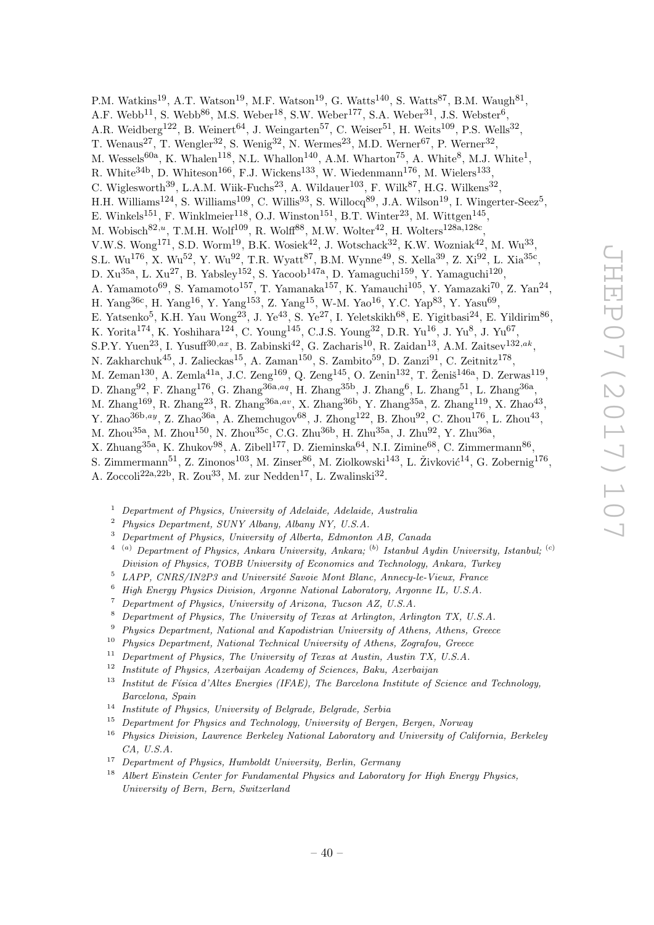P.M. Watkins<sup>19</sup>, A.T. Watson<sup>19</sup>, M.F. Watson<sup>19</sup>, G. Watts<sup>140</sup>, S. Watts<sup>87</sup>, B.M. Waugh<sup>81</sup>, A.F. Webb<sup>11</sup>, S. Webb<sup>86</sup>, M.S. Weber<sup>18</sup>, S.W. Weber<sup>177</sup>, S.A. Weber<sup>31</sup>, J.S. Webster<sup>6</sup>, A.R. Weidberg<sup>122</sup>, B. Weinert<sup>64</sup>, J. Weingarten<sup>57</sup>, C. Weiser<sup>51</sup>, H. Weits<sup>109</sup>, P.S. Wells<sup>32</sup>, T. Wenaus<sup>27</sup>, T. Wengler<sup>32</sup>, S. Wenig<sup>32</sup>, N. Wermes<sup>23</sup>, M.D. Werner<sup>67</sup>, P. Werner<sup>32</sup>, M. Wessels<sup>60a</sup>, K. Whalen<sup>118</sup>, N.L. Whallon<sup>140</sup>, A.M. Wharton<sup>75</sup>, A. White<sup>8</sup>, M.J. White<sup>1</sup>, R. White<sup>34b</sup>, D. Whiteson<sup>166</sup>, F.J. Wickens<sup>133</sup>, W. Wiedenmann<sup>176</sup>, M. Wielers<sup>133</sup>, C. Wiglesworth<sup>39</sup>, L.A.M. Wiik-Fuchs<sup>23</sup>, A. Wildauer<sup>103</sup>, F. Wilk<sup>87</sup>, H.G. Wilkens<sup>32</sup>, H.H. Williams<sup>124</sup>, S. Williams<sup>109</sup>, C. Willis<sup>93</sup>, S. Willocq<sup>89</sup>, J.A. Wilson<sup>19</sup>, I. Wingerter-Seez<sup>5</sup>, E. Winkels<sup>151</sup>, F. Winklmeier<sup>118</sup>, O.J. Winston<sup>151</sup>, B.T. Winter<sup>23</sup>, M. Wittgen<sup>145</sup>, M. Wobisch $^{82,u}$ , T.M.H. Wolf $^{109}$ , R. Wolff $^{88}$ , M.W. Wolter $^{42}$ , H. Wolters $^{128a,128c}$ , V.W.S. Wong<sup>171</sup>, S.D. Worm<sup>19</sup>, B.K. Wosiek<sup>42</sup>, J. Wotschack<sup>32</sup>, K.W. Wozniak<sup>42</sup>, M. Wu<sup>33</sup>, S.L. Wu<sup>176</sup>, X. Wu<sup>52</sup>, Y. Wu<sup>92</sup>, T.R. Wyatt<sup>87</sup>, B.M. Wynne<sup>49</sup>, S. Xella<sup>39</sup>, Z. Xi<sup>92</sup>, L. Xia<sup>35c</sup>, D.  $Xu^{35a}$ , L.  $Xu^{27}$ , B. Yabsley<sup>152</sup>, S. Yacoob<sup>147a</sup>, D. Yamaguchi<sup>159</sup>, Y. Yamaguchi<sup>120</sup>, A. Yamamoto<sup>69</sup>, S. Yamamoto<sup>157</sup>, T. Yamanaka<sup>157</sup>, K. Yamauchi<sup>105</sup>, Y. Yamazaki<sup>70</sup>, Z. Yan<sup>24</sup>, H. Yang<sup>36c</sup>, H. Yang<sup>16</sup>, Y. Yang<sup>153</sup>, Z. Yang<sup>15</sup>, W-M. Yao<sup>16</sup>, Y.C. Yap<sup>83</sup>, Y. Yasu<sup>69</sup>, E. Yatsenko<sup>5</sup>, K.H. Yau Wong<sup>23</sup>, J. Ye<sup>43</sup>, S. Ye<sup>27</sup>, I. Yeletskikh<sup>68</sup>, E. Yigitbasi<sup>24</sup>, E. Yildirim<sup>86</sup>, K. Yorita<sup>174</sup>, K. Yoshihara<sup>124</sup>, C. Young<sup>145</sup>, C.J.S. Young<sup>32</sup>, D.R. Yu<sup>16</sup>, J. Yu<sup>8</sup>, J. Yu<sup>67</sup>, S.P.Y. Yuen<sup>23</sup>, I. Yusuff<sup>30,ax</sup>, B. Zabinski<sup>42</sup>, G. Zacharis<sup>10</sup>, R. Zaidan<sup>13</sup>, A.M. Zaitsev<sup>132,ak</sup>, N. Zakharchuk $^{45}$ , J. Zalieckas $^{15}$ , A. Zaman $^{150}$ , S. Zambito $^{59}$ , D. Zanzi $^{91}$ , C. Zeitnitz $^{178}$ , M. Zeman<sup>130</sup>, A. Zemla<sup>41a</sup>, J.C. Zeng<sup>169</sup>, Q. Zeng<sup>145</sup>, O. Zenin<sup>132</sup>, T. Ženiš<sup>146a</sup>, D. Zerwas<sup>119</sup>, D. Zhang $^{92}$ , F. Zhang $^{176}$ , G. Zhang $^{36a,aq}$ , H. Zhang $^{35b}$ , J. Zhang $^6$ , L. Zhang $^{51}$ , L. Zhang $^{36a}$ , M. Zhang<sup>169</sup>, R. Zhang<sup>23</sup>, R. Zhang<sup>36a,av</sup>, X. Zhang<sup>36b</sup>, Y. Zhang<sup>35a</sup>, Z. Zhang<sup>119</sup>, X. Zhao<sup>43</sup>, Y. Zhao<sup>36b,ay</sup>, Z. Zhao<sup>36a</sup>, A. Zhemchugov<sup>68</sup>, J. Zhong<sup>122</sup>, B. Zhou<sup>92</sup>, C. Zhou<sup>176</sup>, L. Zhou<sup>43</sup>, M. Zhou $^{35\text{a}},$  M. Zhou $^{150},$  N. Zhou $^{35\text{c}},$  C.G. Zhu $^{36\text{b}},$  H. Zhu $^{35\text{a}},$  J. Zhu $^{92},$  Y. Zhu $^{36\text{a}},$ X. Zhuang<sup>35a</sup>, K. Zhukov<sup>98</sup>, A. Zibell<sup>177</sup>, D. Zieminska<sup>64</sup>, N.I. Zimine<sup>68</sup>, C. Zimmermann<sup>86</sup>, S. Zimmermann $^{51}$ , Z. Zinonos $^{103}$ , M. Zinser $^{86}$ , M. Ziolkowski $^{143}$ , L. Živković $^{14}$ , G. Zobernig $^{176}$ , A. Zoccoli<sup>22a, 22b</sup>, R. Zou<sup>33</sup>, M. zur Nedden<sup>17</sup>, L. Zwalinski<sup>32</sup>.

- <sup>1</sup> Department of Physics, University of Adelaide, Adelaide, Australia
- <sup>2</sup> Physics Department, SUNY Albany, Albany NY, U.S.A.
- <sup>3</sup> Department of Physics, University of Alberta, Edmonton AB, Canada
- <sup>4 (a)</sup> Department of Physics, Ankara University, Ankara; <sup>(b)</sup> Istanbul Aydin University, Istanbul; <sup>(c)</sup> Division of Physics, TOBB University of Economics and Technology, Ankara, Turkey
- $5$  LAPP, CNRS/IN2P3 and Université Savoie Mont Blanc, Annecy-le-Vieux, France
- <sup>6</sup> High Energy Physics Division, Argonne National Laboratory, Argonne IL, U.S.A.
- <sup>7</sup> Department of Physics, University of Arizona, Tucson AZ, U.S.A.
- <sup>8</sup> Department of Physics, The University of Texas at Arlington, Arlington TX, U.S.A.
- <sup>9</sup> Physics Department, National and Kapodistrian University of Athens, Athens, Greece
- <sup>10</sup> Physics Department, National Technical University of Athens, Zografou, Greece
- <sup>11</sup> Department of Physics, The University of Texas at Austin, Austin TX, U.S.A.
- $12$  Institute of Physics, Azerbaijan Academy of Sciences, Baku, Azerbaijan
- <sup>13</sup> Institut de Física d'Altes Energies (IFAE), The Barcelona Institute of Science and Technology, Barcelona, Spain
- <sup>14</sup> Institute of Physics, University of Belgrade, Belgrade, Serbia
- <sup>15</sup> Department for Physics and Technology, University of Bergen, Bergen, Norway
- <sup>16</sup> Physics Division, Lawrence Berkeley National Laboratory and University of California, Berkeley CA, U.S.A.
- $17$  Department of Physics, Humboldt University, Berlin, Germany
- <sup>18</sup> Albert Einstein Center for Fundamental Physics and Laboratory for High Energy Physics, University of Bern, Bern, Switzerland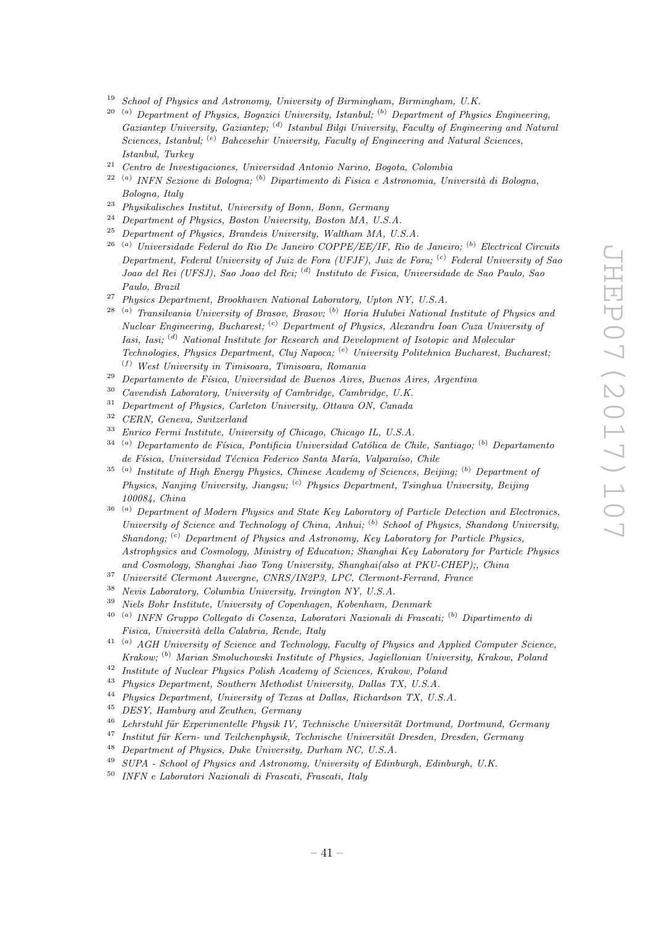- $19$  School of Physics and Astronomy, University of Birmingham, Birmingham, U.K.
- $20$  (a) Department of Physics, Bogazici University, Istanbul; (b) Department of Physics Engineering, Gaziantep University, Gaziantep; <sup>(d)</sup> Istanbul Bilgi University, Faculty of Engineering and Natural Sciences, Istanbul; <sup>(e)</sup> Bahcesehir University, Faculty of Engineering and Natural Sciences, Istanbul, Turkey
- $21$  Centro de Investigaciones, Universidad Antonio Narino, Bogota, Colombia
- <sup>22 (a)</sup> INFN Sezione di Bologna; <sup>(b)</sup> Dipartimento di Fisica e Astronomia, Università di Bologna, Bologna, Italy
- <sup>23</sup> Physikalisches Institut, University of Bonn, Bonn, Germany
- <sup>24</sup> Department of Physics, Boston University, Boston MA, U.S.A.
- <sup>25</sup> Department of Physics, Brandeis University, Waltham MA, U.S.A.
- $26$ <sup>(a)</sup> Universidade Federal do Rio De Janeiro COPPE/EE/IF, Rio de Janeiro; <sup>(b)</sup> Electrical Circuits Department, Federal University of Juiz de Fora (UFJF), Juiz de Fora;  $\binom{c}{r}$  Federal University of Sao Joao del Rei (UFSJ), Sao Joao del Rei; <sup>(d)</sup> Instituto de Fisica, Universidade de Sao Paulo, Sao Paulo, Brazil
- $27$  Physics Department, Brookhaven National Laboratory, Upton NY, U.S.A.
- $28$ <sup>(a)</sup> Transilvania University of Brasov, Brasov; <sup>(b)</sup> Horia Hulubei National Institute of Physics and Nuclear Engineering, Bucharest; <sup>(c)</sup> Department of Physics, Alexandru Ioan Cuza University of Iasi, Iasi; (d) National Institute for Research and Development of Isotopic and Molecular Technologies, Physics Department, Cluj Napoca; <sup>(e)</sup> University Politehnica Bucharest, Bucharest;  $(f)$  West University in Timisoara, Timisoara, Romania
- $29$  Departamento de Física, Universidad de Buenos Aires, Buenos Aires, Argentina
- $30$  Cavendish Laboratory, University of Cambridge, Cambridge, U.K.
- <sup>31</sup> Department of Physics, Carleton University, Ottawa ON, Canada<br><sup>32</sup> CERN Canada Suitessland
- <sup>32</sup> CERN, Geneva, Switzerland
- <sup>33</sup> Enrico Fermi Institute, University of Chicago, Chicago IL, U.S.A.
- $34$ <sup>(a)</sup> Departamento de Física, Pontificia Universidad Católica de Chile, Santiago; <sup>(b)</sup> Departamento de Física, Universidad Técnica Federico Santa María, Valparaíso, Chile
- $35$ <sup>(a)</sup> Institute of High Energy Physics, Chinese Academy of Sciences, Beijing; <sup>(b)</sup> Department of Physics, Nanjing University, Jiangsu; <sup>(c)</sup> Physics Department, Tsinghua University, Beijing 100084, China
- <sup>36</sup> (a) Department of Modern Physics and State Key Laboratory of Particle Detection and Electronics, University of Science and Technology of China, Anhui;  $^{(b)}$  School of Physics, Shandong University, Shandong;  $^{(c)}$  Department of Physics and Astronomy, Key Laboratory for Particle Physics, Astrophysics and Cosmology, Ministry of Education; Shanghai Key Laboratory for Particle Physics and Cosmology, Shanghai Jiao Tong University, Shanghai(also at PKU-CHEP);, China
- <sup>37</sup> Université Clermont Auvergne, CNRS/IN2P3, LPC, Clermont-Ferrand, France
- <sup>38</sup> Nevis Laboratory, Columbia University, Irvington NY, U.S.A.
- $39$  Niels Bohr Institute, University of Copenhagen, Kobenhavn, Denmark
- <sup>40 (a)</sup> INFN Gruppo Collegato di Cosenza, Laboratori Nazionali di Frascati; <sup>(b)</sup> Dipartimento di Fisica, Università della Calabria, Rende, Italy
- $^{41}$  (a) AGH University of Science and Technology, Faculty of Physics and Applied Computer Science, Krakow; (b) Marian Smoluchowski Institute of Physics, Jagiellonian University, Krakow, Poland
- <sup>42</sup> Institute of Nuclear Physics Polish Academy of Sciences, Krakow, Poland<br><sup>43</sup> Physics Department, Southern Matholiat University, Dellas TV, U.S.A.
- <sup>43</sup> Physics Department, Southern Methodist University, Dallas TX, U.S.A.<br><sup>44</sup> Physics Department, University of Truss at Dallas Pickaghan TV, U.S.
- <sup>44</sup> Physics Department, University of Texas at Dallas, Richardson TX, U.S.A.
- <sup>45</sup> DESY, Hamburg and Zeuthen, Germany
- $46$  Lehrstuhl für Experimentelle Physik IV, Technische Universität Dortmund, Dortmund, Germany
- $47$  Institut für Kern- und Teilchenphysik, Technische Universität Dresden, Dresden, Germany
- <sup>48</sup> Department of Physics, Duke University, Durham NC, U.S.A.
- <sup>49</sup> SUPA School of Physics and Astronomy, University of Edinburgh, Edinburgh, U.K.
- <sup>50</sup> INFN e Laboratori Nazionali di Frascati, Frascati, Italy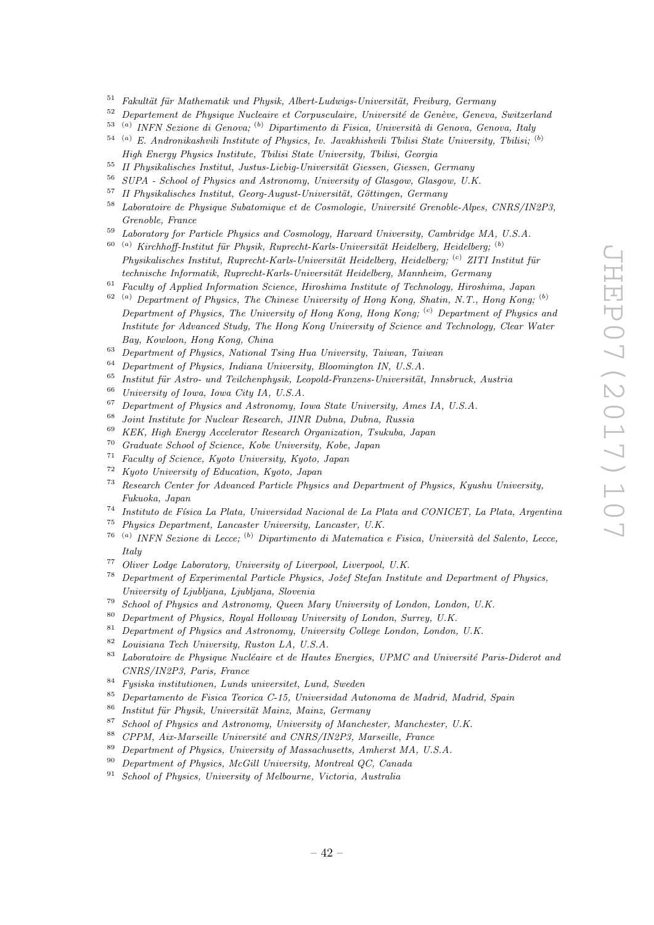- $51$  Fakultät für Mathematik und Physik, Albert-Ludwigs-Universität, Freiburg, Germany
- $52$  Departement de Physique Nucleaire et Corpusculaire, Université de Genève, Geneva, Switzerland
- <sup>53 (a)</sup> INFN Sezione di Genova; <sup>(b)</sup> Dipartimento di Fisica, Università di Genova, Genova, Italy
- $54$ <sup>(a)</sup> E. Andronikashvili Institute of Physics, Iv. Javakhishvili Tbilisi State University, Tbilisi; <sup>(b)</sup> High Energy Physics Institute, Tbilisi State University, Tbilisi, Georgia
- <sup>55</sup> II Physikalisches Institut, Justus-Liebig-Universität Giessen, Giessen, Germany<br><sup>56</sup> SUDA School of Physics and Astronomy, University of Glassey, Glassey, U.U.
- <sup>56</sup> SUPA School of Physics and Astronomy, University of Glasgow, Glasgow, U.K.
- II Physikalisches Institut, Georg-August-Universität, Göttingen, Germany
- $58$  Laboratoire de Physique Subatomique et de Cosmologie, Université Grenoble-Alpes, CNRS/IN2P3, Grenoble, France
- <sup>59</sup> Laboratory for Particle Physics and Cosmology, Harvard University, Cambridge MA, U.S.A.
- $\alpha^{(a)}$  Kirchhoff-Institut für Physik, Ruprecht-Karls-Universität Heidelberg, Heidelberg;  $\alpha^{(b)}$  $Phusikalisches Institut, Runrecht-Karls-Universität Heidelberg, Heidelberg, <sup>(c)</sup> ZITI Institut für$ technische Informatik, Ruprecht-Karls-Universität Heidelberg, Mannheim, Germany
- $61$  Faculty of Applied Information Science, Hiroshima Institute of Technology, Hiroshima, Japan
- $^{62}$  (a) Department of Physics, The Chinese University of Hong Kong, Shatin, N.T., Hong Kong; (b) Department of Physics, The University of Hong Kong, Hong Kong; <sup>(c)</sup> Department of Physics and Institute for Advanced Study, The Hong Kong University of Science and Technology, Clear Water Bay, Kowloon, Hong Kong, China
- <sup>63</sup> Department of Physics, National Tsing Hua University, Taiwan, Taiwan
- <sup>64</sup> Department of Physics, Indiana University, Bloomington IN, U.S.A.
- $65$  Institut für Astro- und Teilchenphysik, Leopold-Franzens-Universität, Innsbruck, Austria
- <sup>66</sup> University of Iowa, Iowa City IA, U.S.A.
- $^{67}$  Department of Physics and Astronomy, Iowa State University, Ames IA, U.S.A.<br> $^{68}$  Isint Institute for Nuclear Peacemak, HND Dukas, Dukas, Puesia
- <sup>68</sup> Joint Institute for Nuclear Research, JINR Dubna, Dubna, Russia
- <sup>69</sup> KEK, High Energy Accelerator Research Organization, Tsukuba, Japan
- <sup>70</sup> Graduate School of Science, Kobe University, Kobe, Japan
- <sup>71</sup> Faculty of Science, Kyoto University, Kyoto, Japan
- <sup>72</sup> Kyoto University of Education, Kyoto, Japan
- $73$  Research Center for Advanced Particle Physics and Department of Physics, Kyushu University, Fukuoka, Japan
- <sup>74</sup> Instituto de Física La Plata, Universidad Nacional de La Plata and CONICET, La Plata, Argentina
- <sup>75</sup> Physics Department, Lancaster University, Lancaster, U.K.
- <sup>76 (a)</sup> INFN Sezione di Lecce; <sup>(b)</sup> Dipartimento di Matematica e Fisica, Università del Salento, Lecce, Italy
- <sup>77</sup> Oliver Lodge Laboratory, University of Liverpool, Liverpool, U.K.
- $78$  Department of Experimental Particle Physics, Jožef Stefan Institute and Department of Physics, University of Ljubljana, Ljubljana, Slovenia
- <sup>79</sup> School of Physics and Astronomy, Queen Mary University of London, London, U.K.
- <sup>80</sup> Department of Physics, Royal Holloway University of London, Surrey, U.K.
- $81$  Department of Physics and Astronomy, University College London, London, U.K.
- <sup>82</sup> Louisiana Tech University, Ruston LA, U.S.A.
- $83$  Laboratoire de Physique Nucléaire et de Hautes Energies, UPMC and Université Paris-Diderot and CNRS/IN2P3, Paris, France
- <sup>84</sup> Fysiska institutionen, Lunds universitet, Lund, Sweden<br><sup>85</sup> Departmento de Fisica Teorica C 15, Universidad Aut
- <sup>85</sup> Departamento de Fisica Teorica C-15, Universidad Autonoma de Madrid, Madrid, Spain
- $86$  Institut für Physik, Universität Mainz, Mainz, Germany
- <sup>87</sup> School of Physics and Astronomy, University of Manchester, Manchester, U.K.
- $88$  CPPM, Aix-Marseille Université and CNRS/IN2P3, Marseille, France
- <sup>89</sup> Department of Physics, University of Massachusetts, Amherst MA, U.S.A.
- <sup>90</sup> Department of Physics, McGill University, Montreal QC, Canada
- <sup>91</sup> School of Physics, University of Melbourne, Victoria, Australia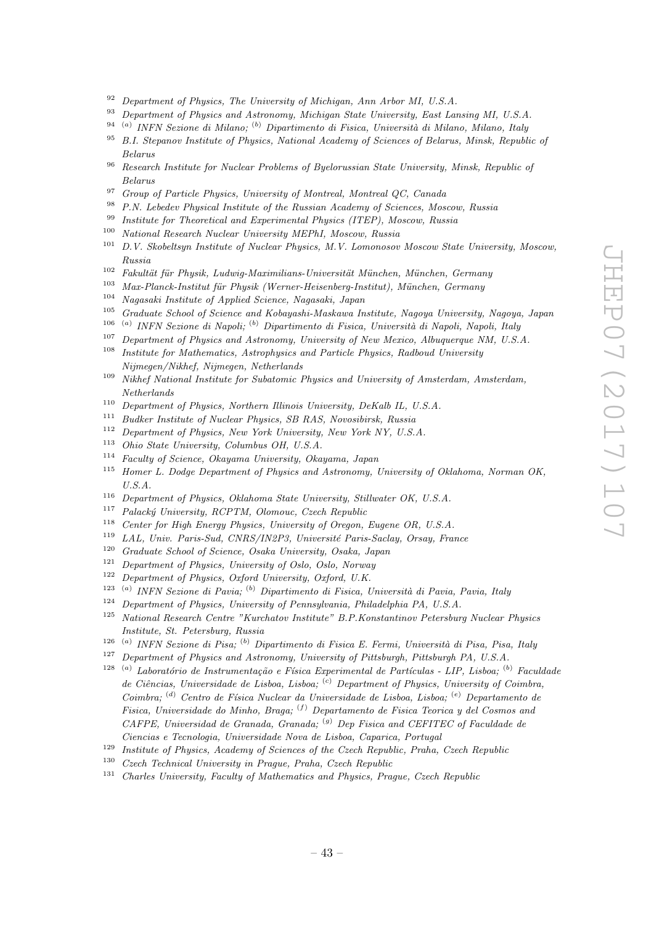- $92$  Department of Physics, The University of Michigan, Ann Arbor MI, U.S.A.
- <sup>93</sup> Department of Physics and Astronomy, Michigan State University, East Lansing MI, U.S.A.
- <sup>94 (a)</sup> INFN Sezione di Milano; <sup>(b)</sup> Dipartimento di Fisica, Università di Milano, Milano, Italy
- <sup>95</sup> B.I. Stepanov Institute of Physics, National Academy of Sciences of Belarus, Minsk, Republic of Belarus
- <sup>96</sup> Research Institute for Nuclear Problems of Byelorussian State University, Minsk, Republic of Belarus
- <sup>97</sup> Group of Particle Physics, University of Montreal, Montreal QC, Canada<br><sup>98</sup> B. N. I deduce Physical Institute of the Parajan Ased was of Crimera Mea
- P.N. Lebedev Physical Institute of the Russian Academy of Sciences, Moscow, Russia
- <sup>99</sup> Institute for Theoretical and Experimental Physics (ITEP), Moscow, Russia
- <sup>100</sup> National Research Nuclear University MEPhI, Moscow, Russia<br><sup>101</sup> D.V. Skakeltown Institute of Nuclear Physics M.V. Lamences
- <sup>101</sup> D.V. Skobeltsyn Institute of Nuclear Physics, M.V. Lomonosov Moscow State University, Moscow, Russia
- $102$  Fakultät für Physik, Ludwig-Maximilians-Universität München, München, Germany
- 103 Max-Planck-Institut für Physik (Werner-Heisenberg-Institut), München, Germany
- <sup>104</sup> Nagasaki Institute of Applied Science, Nagasaki, Japan
- <sup>105</sup> Graduate School of Science and Kobayashi-Maskawa Institute, Nagoya University, Nagoya, Japan
- <sup>106 (a)</sup> INFN Sezione di Napoli; <sup>(b)</sup> Dipartimento di Fisica, Università di Napoli, Napoli, Italy
- <sup>107</sup> Department of Physics and Astronomy, University of New Mexico, Albuquerque NM, U.S.A.
- <sup>108</sup> Institute for Mathematics, Astrophysics and Particle Physics, Radboud University Nijmegen/Nikhef, Nijmegen, Netherlands
- <sup>109</sup> Nikhef National Institute for Subatomic Physics and University of Amsterdam, Amsterdam, Netherlands
- <sup>110</sup> Department of Physics, Northern Illinois University, DeKalb IL, U.S.A.<br><sup>111</sup> Pueblac Institute of Nuclear Physics, SP PAS, Neugalianh Puesia
- <sup>111</sup> Budker Institute of Nuclear Physics, SB RAS, Novosibirsk, Russia<br><sup>112</sup> Department of Physics, New York University, New York NY U.S.
- Department of Physics, New York University, New York NY, U.S.A.
- <sup>113</sup> Ohio State University, Columbus OH, U.S.A.
- <sup>114</sup> Faculty of Science, Okayama University, Okayama, Japan
- <sup>115</sup> Homer L. Dodge Department of Physics and Astronomy, University of Oklahoma, Norman OK, U.S.A.
- <sup>116</sup> Department of Physics, Oklahoma State University, Stillwater OK, U.S.A.
- <sup>117</sup> Palacký University, RCPTM, Olomouc, Czech Republic  $\frac{118}{118}$  Curty for *High Republic Holomouc, University of Organ*
- <sup>118</sup> Center for High Energy Physics, University of Oregon, Eugene OR, U.S.A.<br><sup>119</sup> LAL University Carlo CNDS (INOR) University Perio Scalau Oregu Fra
- <sup>119</sup> LAL, Univ. Paris-Sud, CNRS/IN2P3, Université Paris-Saclay, Orsay, France<br><sup>120</sup> Craduate School of Science, Oscha University, Oscha, Japan
- Graduate School of Science, Osaka University, Osaka, Japan
- $121$  Department of Physics, University of Oslo, Oslo, Norway
- <sup>122</sup> Department of Physics, Oxford University, Oxford, U.K.
- <sup>123 (a)</sup> INFN Sezione di Pavia; <sup>(b)</sup> Dipartimento di Fisica, Università di Pavia, Pavia, Italy
- <sup>124</sup> Department of Physics, University of Pennsylvania, Philadelphia PA, U.S.A.<br><sup>125</sup> National Research Centre "Kurchatov Institute" B P Konstantinov Petersbur
- <sup>125</sup> National Research Centre "Kurchatov Institute" B.P.Konstantinov Petersburg Nuclear Physics Institute, St. Petersburg, Russia
- <sup>126 (a)</sup> INFN Sezione di Pisa; <sup>(b)</sup> Dipartimento di Fisica E. Fermi, Università di Pisa, Pisa, Italy
- <sup>127</sup> Department of Physics and Astronomy, University of Pittsburgh, Pittsburgh PA, U.S.A.
- <sup>128 (a)</sup> Laboratório de Instrumentação e Física Experimental de Partículas LIP, Lisboa; <sup>(b)</sup> Faculdade de Ciências, Universidade de Lisboa, Lisboa; <sup>(c)</sup> Department of Physics, University of Coimbra, Coimbra; <sup>(d)</sup> Centro de Física Nuclear da Universidade de Lisboa, Lisboa; <sup>(e)</sup> Departamento de Fisica, Universidade do Minho, Braga; (f) Departamento de Fisica Teorica y del Cosmos and CAFPE, Universidad de Granada, Granada; <sup>(g)</sup> Dep Fisica and CEFITEC of Faculdade de Ciencias e Tecnologia, Universidade Nova de Lisboa, Caparica, Portugal
- <sup>129</sup> Institute of Physics, Academy of Sciences of the Czech Republic, Praha, Czech Republic
- <sup>130</sup> Czech Technical University in Prague, Praha, Czech Republic
- <sup>131</sup> Charles University, Faculty of Mathematics and Physics, Prague, Czech Republic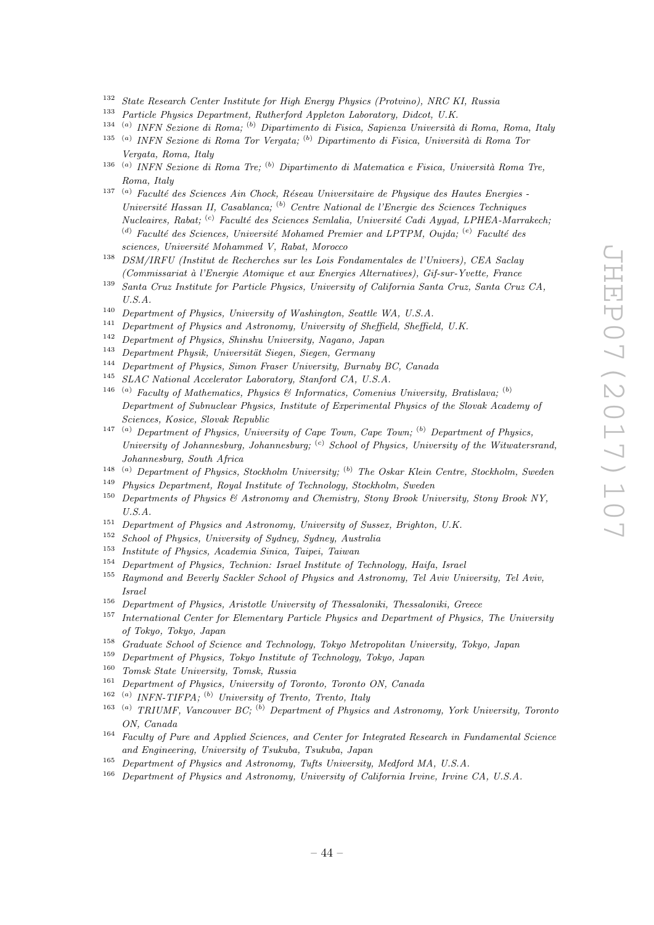- <sup>132</sup> State Research Center Institute for High Energy Physics (Protvino), NRC KI, Russia
- <sup>133</sup> Particle Physics Department, Rutherford Appleton Laboratory, Didcot, U.K.
- <sup>134 (a)</sup> INFN Sezione di Roma; <sup>(b)</sup> Dipartimento di Fisica, Sapienza Università di Roma, Roma, Italy
- <sup>135 (a)</sup> INFN Sezione di Roma Tor Vergata; <sup>(b)</sup> Dipartimento di Fisica, Università di Roma Tor Vergata, Roma, Italy
- <sup>136 (a)</sup> INFN Sezione di Roma Tre; <sup>(b)</sup> Dipartimento di Matematica e Fisica, Università Roma Tre, Roma, Italy
- $137$  (a) Faculté des Sciences Ain Chock, Réseau Universitaire de Physique des Hautes Energies -Université Hassan II, Casablanca; <sup>(b)</sup> Centre National de l'Energie des Sciences Techniques  $Nucleaires, Rabat;$  (c) Faculté des Sciences Semlalia, Université Cadi Ayyad, LPHEA-Marrakech; (d) Faculté des Sciences, Université Mohamed Premier and LPTPM, Oujda;  $^{(e)}$  Faculté des sciences, Université Mohammed V, Rabat, Morocco
- <sup>138</sup> DSM/IRFU (Institut de Recherches sur les Lois Fondamentales de l'Univers), CEA Saclay (Commissariat `a l'Energie Atomique et aux Energies Alternatives), Gif-sur-Yvette, France
- <sup>139</sup> Santa Cruz Institute for Particle Physics, University of California Santa Cruz, Santa Cruz CA, U.S.A.
- <sup>140</sup> Department of Physics, University of Washington, Seattle WA, U.S.A.
- $141$  Department of Physics and Astronomy, University of Sheffield, Sheffield, U.K.
- <sup>142</sup> Department of Physics, Shinshu University, Nagano, Japan<br><sup>143</sup> Department Physics, University Circum Company
- Department Physik, Universität Siegen, Siegen, Germany
- <sup>144</sup> Department of Physics, Simon Fraser University, Burnaby BC, Canada
- <sup>145</sup> SLAC National Accelerator Laboratory, Stanford CA, U.S.A.
- <sup>146</sup> <sup>(a)</sup> Faculty of Mathematics, Physics & Informatics, Comenius University, Bratislava; <sup>(b)</sup> Department of Subnuclear Physics, Institute of Experimental Physics of the Slovak Academy of Sciences, Kosice, Slovak Republic
- <sup>147</sup> (a) Department of Physics, University of Cape Town, Cape Town; <sup>(b)</sup> Department of Physics, University of Johannesburg, Johannesburg;  $\left( \text{c} \right)$  School of Physics, University of the Witwatersrand, Johannesburg, South Africa
- <sup>148</sup> (a) Department of Physics, Stockholm University; <sup>(b)</sup> The Oskar Klein Centre, Stockholm, Sweden
- <sup>149</sup> Physics Department, Royal Institute of Technology, Stockholm, Sweden
- <sup>150</sup> Departments of Physics & Astronomy and Chemistry, Stony Brook University, Stony Brook NY,  $U.S.A.$
- <sup>151</sup> Department of Physics and Astronomy, University of Sussex, Brighton, U.K.<br><sup>152</sup> Sebacl of Physics University of Sudney, Sydney, Australia
- <sup>152</sup> School of Physics, University of Sydney, Sydney, Australia
- <sup>153</sup> Institute of Physics, Academia Sinica, Taipei, Taiwan
- <sup>154</sup> Department of Physics, Technion: Israel Institute of Technology, Haifa, Israel
- <sup>155</sup> Raymond and Beverly Sackler School of Physics and Astronomy, Tel Aviv University, Tel Aviv, Israel
- <sup>156</sup> Department of Physics, Aristotle University of Thessaloniki, Thessaloniki, Greece
- <sup>157</sup> International Center for Elementary Particle Physics and Department of Physics, The University of Tokyo, Tokyo, Japan
- <sup>158</sup> Graduate School of Science and Technology, Tokyo Metropolitan University, Tokyo, Japan
- <sup>159</sup> Department of Physics, Tokyo Institute of Technology, Tokyo, Japan
- <sup>160</sup> Tomsk State University, Tomsk, Russia<br><sup>161</sup> Department of Physics, University of T
- <sup>161</sup> Department of Physics, University of Toronto, Toronto ON, Canada
- $162$  (a) INFN-TIFPA; (b) University of Trento, Trento, Italy
- <sup>163</sup> (a) TRIUMF, Vancouver BC; <sup>(b)</sup> Department of Physics and Astronomy, York University, Toronto ON, Canada
- <sup>164</sup> Faculty of Pure and Applied Sciences, and Center for Integrated Research in Fundamental Science and Engineering, University of Tsukuba, Tsukuba, Japan
- <sup>165</sup> Department of Physics and Astronomy, Tufts University, Medford MA, U.S.A.
- <sup>166</sup> Department of Physics and Astronomy, University of California Irvine, Irvine CA, U.S.A.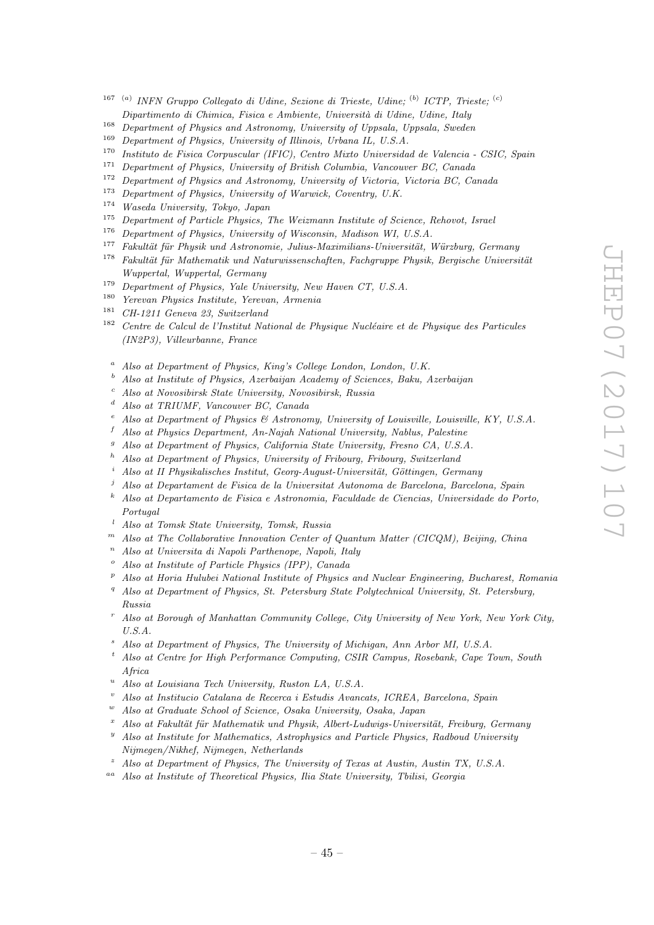- <sup>167 (a)</sup> INFN Gruppo Collegato di Udine, Sezione di Trieste, Udine; <sup>(b)</sup> ICTP, Trieste; <sup>(c)</sup> Dipartimento di Chimica, Fisica e Ambiente, Università di Udine, Udine, Italy
- <sup>168</sup> Department of Physics and Astronomy, University of Uppsala, Uppsala, Sweden
- <sup>169</sup> Department of Physics, University of Illinois, Urbana IL, U.S.A.<br><sup>170</sup> Institute de Fisica Corpuscular (IEIC), Centro Mirto Universida
- <sup>170</sup> Instituto de Fisica Corpuscular (IFIC), Centro Mixto Universidad de Valencia CSIC, Spain<br><sup>171</sup> Department of Physics University of Puttick Columbia Verseum P.C. Centrol
- <sup>171</sup> Department of Physics, University of British Columbia, Vancouver BC, Canada<br><sup>172</sup> Department of Physics and Astronomy, University of Victoria, Victoria BC, Ca
- <sup>172</sup> Department of Physics and Astronomy, University of Victoria, Victoria BC, Canada<br><sup>173</sup> Department of Physics Hairmaite of Wannish Canadan UK
- <sup>173</sup> Department of Physics, University of Warwick, Coventry, U.K.<br> $\frac{174}{174}$  Western University Tribec, Language
- <sup>174</sup> Waseda University, Tokyo, Japan
- <sup>175</sup> Department of Particle Physics, The Weizmann Institute of Science, Rehovot, Israel
- <sup>176</sup> Department of Physics, University of Wisconsin, Madison WI, U.S.A.<br><sup>177</sup> Eshaltit für Physik und Astronomia, Iulius Marinilians Universität 1
- $Fakultät für Physik und Astronomie, Julius-Maximilians-Universität, Würzburg, Germany$
- $178$  Fakultät für Mathematik und Naturwissenschaften, Fachgruppe Physik, Bergische Universität Wuppertal, Wuppertal, Germany
- <sup>179</sup> Department of Physics, Yale University, New Haven CT, U.S.A.
- <sup>180</sup> Yerevan Physics Institute, Yerevan, Armenia
- <sup>181</sup> CH-1211 Geneva 23, Switzerland
- $182$  Centre de Calcul de l'Institut National de Physique Nucléaire et de Physique des Particules (IN2P3), Villeurbanne, France
	- $a$  Also at Department of Physics, King's College London, London, U.K.
	- $b$  Also at Institute of Physics, Azerbaijan Academy of Sciences, Baku, Azerbaijan
	- <sup>c</sup> Also at Novosibirsk State University, Novosibirsk, Russia
	- <sup>d</sup> Also at TRIUMF, Vancouver BC, Canada
	- <sup>e</sup> Also at Department of Physics & Astronomy, University of Louisville, Louisville, KY, U.S.A.
	- $f$  Also at Physics Department, An-Najah National University, Nablus, Palestine
	- Also at Department of Physics, California State University, Fresno CA, U.S.A.
	- <sup>h</sup> Also at Department of Physics, University of Fribourg, Fribourg, Switzerland
	- Also at II Physikalisches Institut, Georg-August-Universität, Göttingen, Germany
	- <sup>j</sup> Also at Departament de Fisica de la Universitat Autonoma de Barcelona, Barcelona, Spain
	- $k$  Also at Departamento de Fisica e Astronomia, Faculdade de Ciencias, Universidade do Porto, Portugal
	- <sup>l</sup> Also at Tomsk State University, Tomsk, Russia
- $<sup>m</sup>$  Also at The Collaborative Innovation Center of Quantum Matter (CICQM), Beijing, China</sup>
- $n$  Also at Universita di Napoli Parthenope, Napoli, Italy
- $\degree$  Also at Institute of Particle Physics (IPP), Canada
- $P$  Also at Horia Hulubei National Institute of Physics and Nuclear Engineering, Bucharest, Romania
- <sup>q</sup> Also at Department of Physics, St. Petersburg State Polytechnical University, St. Petersburg, Russia
- <sup>r</sup> Also at Borough of Manhattan Community College, City University of New York, New York City,  $U.S.A.$
- Also at Department of Physics, The University of Michigan, Ann Arbor MI, U.S.A.
- <sup>t</sup> Also at Centre for High Performance Computing, CSIR Campus, Rosebank, Cape Town, South Africa
- $^u$  Also at Louisiana Tech University, Ruston LA, U.S.A.
- <sup>v</sup> Also at Institucio Catalana de Recerca i Estudis Avancats, ICREA, Barcelona, Spain
- Also at Graduate School of Science, Osaka University, Osaka, Japan
- Also at Fakultät für Mathematik und Physik, Albert-Ludwigs-Universität, Freiburg, Germany
- $y<sup>y</sup>$  Also at Institute for Mathematics, Astrophysics and Particle Physics, Radboud University Nijmegen/Nikhef, Nijmegen, Netherlands
- Also at Department of Physics, The University of Texas at Austin, Austin TX, U.S.A.
- aa Also at Institute of Theoretical Physics, Ilia State University, Tbilisi, Georgia